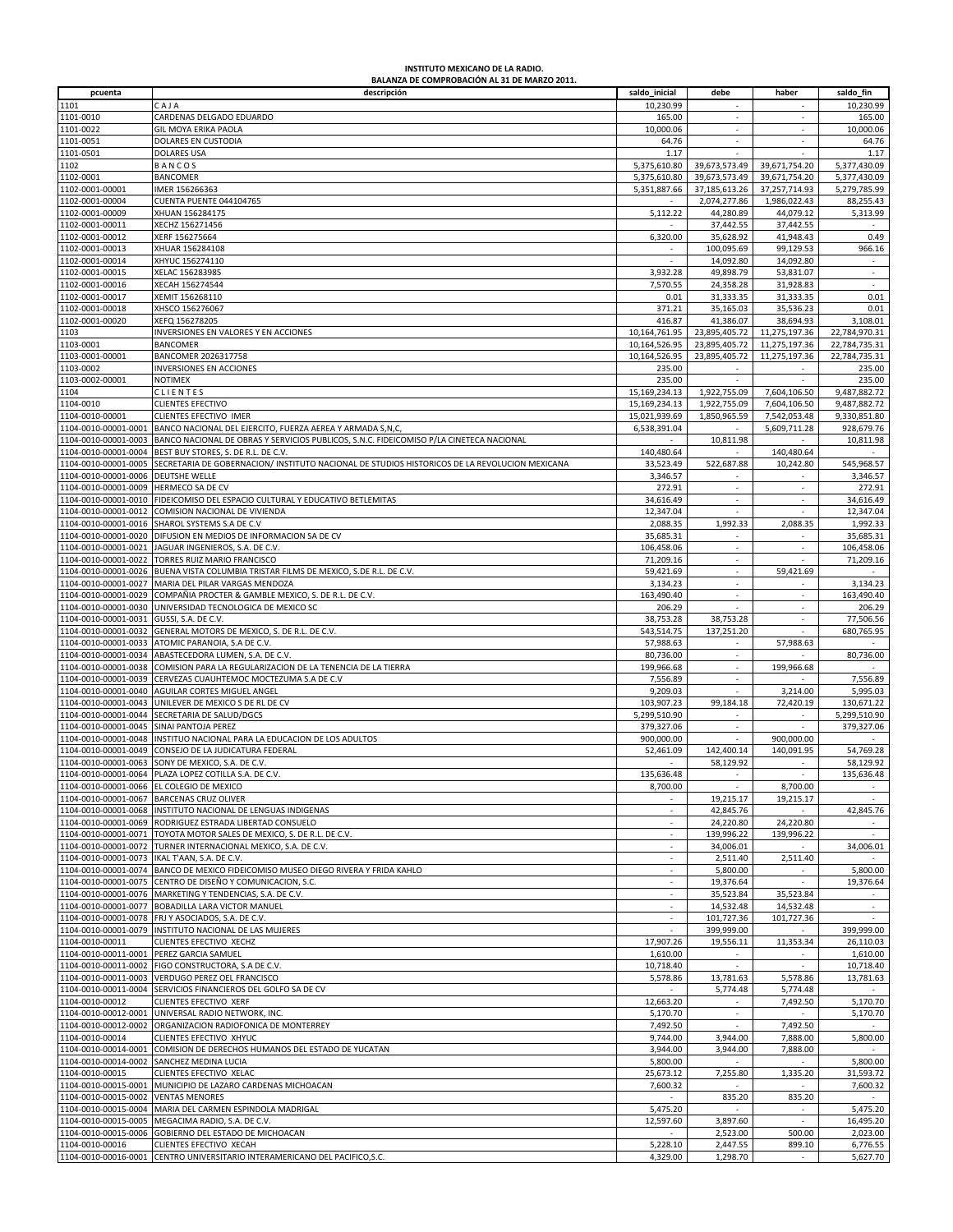## **INSTITUTO MEXICANO DE LA RADIO.**

|                                           | BALANZA DE COMPROBACIÓN AL 31 DE MARZO 2011.                                                  |                      |                          |               |                      |
|-------------------------------------------|-----------------------------------------------------------------------------------------------|----------------------|--------------------------|---------------|----------------------|
| pcuenta                                   | descripción                                                                                   | saldo_inicial        | debe                     | haber         | saldo_fin            |
|                                           |                                                                                               |                      |                          |               |                      |
| 1101                                      | CAJA                                                                                          | 10,230.99            |                          |               | 10,230.99            |
| 1101-0010                                 | CARDENAS DELGADO EDUARDO                                                                      | 165.00               |                          |               | 165.00               |
|                                           |                                                                                               |                      |                          |               | 10,000.06            |
| 1101-0022                                 | GIL MOYA ERIKA PAOLA                                                                          | 10,000.06            | $\overline{\phantom{a}}$ |               |                      |
| 1101-0051                                 | DOLARES EN CUSTODIA                                                                           | 64.76                |                          |               | 64.76                |
| 1101-0501                                 | <b>DOLARES USA</b>                                                                            | 1.17                 |                          |               | 1.17                 |
|                                           |                                                                                               |                      |                          |               |                      |
| 1102                                      | BANCOS                                                                                        | 5,375,610.80         | 39,673,573.49            | 39,671,754.20 | 5,377,430.09         |
| 1102-0001                                 | <b>BANCOMER</b>                                                                               | 5,375,610.80         | 39,673,573.49            | 39,671,754.20 | 5,377,430.09         |
|                                           |                                                                                               |                      |                          |               |                      |
| 1102-0001-00001                           | IMER 156266363                                                                                | 5,351,887.66         | 37,185,613.26            | 37,257,714.93 | 5,279,785.99         |
| 1102-0001-00004                           | CUENTA PUENTE 044104765                                                                       |                      | 2,074,277.86             | 1,986,022.43  | 88,255.43            |
| 1102-0001-00009                           | XHUAN 156284175                                                                               | 5,112.22             | 44,280.89                | 44,079.12     | 5,313.99             |
|                                           |                                                                                               |                      |                          |               |                      |
| 1102-0001-00011                           | XECHZ 156271456                                                                               |                      | 37,442.55                | 37,442.55     |                      |
| 1102-0001-00012                           | XERF 156275664                                                                                | 6.320.00             | 35,628.92                | 41,948.43     | 0.49                 |
|                                           |                                                                                               |                      |                          |               |                      |
| 1102-0001-00013                           | XHUAR 156284108                                                                               |                      | 100,095.69               | 99,129.53     | 966.16               |
| 1102-0001-00014                           | XHYUC 156274110                                                                               |                      | 14,092.80                | 14,092.80     | $\sim$               |
| 1102-0001-00015                           | XELAC 156283985                                                                               | 3,932.28             | 49,898.79                | 53,831.07     | $\sim$               |
|                                           |                                                                                               |                      |                          |               |                      |
| 1102-0001-00016                           | XECAH 156274544                                                                               | 7,570.55             | 24,358.28                | 31,928.83     | $\sim$               |
| 1102-0001-00017                           | XEMIT 156268110                                                                               | 0.01                 | 31,333.35                | 31,333.35     | 0.01                 |
|                                           |                                                                                               |                      |                          |               |                      |
| 1102-0001-00018                           | XHSCO 156276067                                                                               | 371.21               | 35,165.03                | 35,536.23     | 0.01                 |
| 1102-0001-00020                           | XEFQ 156278205                                                                                | 416.87               | 41,386.07                | 38,694.93     | 3,108.01             |
|                                           |                                                                                               |                      |                          |               |                      |
| 1103                                      | INVERSIONES EN VALORES Y EN ACCIONES                                                          | 10,164,761.95        | 23,895,405.72            | 11,275,197.36 | 22,784,970.31        |
| 1103-0001                                 | <b>BANCOMER</b>                                                                               | 10,164,526.95        | 23,895,405.72            | 11,275,197.36 | 22,784,735.31        |
| 1103-0001-00001                           | BANCOMER 2026317758                                                                           | 10,164,526.95        | 23,895,405.72            | 11,275,197.36 | 22,784,735.31        |
|                                           |                                                                                               |                      |                          |               |                      |
| 1103-0002                                 | INVERSIONES EN ACCIONES                                                                       | 235.00               | $\sim$                   |               | 235.00               |
| 1103-0002-00001                           | <b>NOTIMEX</b>                                                                                | 235.00               | $\sim$                   | $\sim$        | 235.00               |
|                                           |                                                                                               |                      |                          |               |                      |
| 1104                                      | CLIENTES                                                                                      | 15,169,234.13        | 1,922,755.09             | 7,604,106.50  | 9,487,882.72         |
| 1104-0010                                 | <b>CLIENTES EFECTIVO</b>                                                                      | 15,169,234.13        | 1,922,755.09             | 7,604,106.50  | 9,487,882.72         |
|                                           |                                                                                               |                      |                          |               | 9,330,851.80         |
| 1104-0010-00001                           | CLIENTES EFECTIVO IMER                                                                        | 15,021,939.69        | 1,850,965.59             | 7,542,053.48  |                      |
| 1104-0010-00001-0001                      | BANCO NACIONAL DEL EJERCITO, FUERZA AEREA Y ARMADA S,N,C,                                     | 6,538,391.04         |                          | 5,609,711.28  | 928,679.76           |
| 1104-0010-00001-0003                      | BANCO NACIONAL DE OBRAS Y SERVICIOS PUBLICOS, S.N.C. FIDEICOMISO P/LA CINETECA NACIONAL       |                      | 10,811.98                |               | 10,811.98            |
|                                           |                                                                                               |                      |                          |               |                      |
| 1104-0010-00001-0004                      | BEST BUY STORES, S. DE R.L. DE C.V.                                                           | 140,480.64           |                          | 140,480.64    |                      |
| 1104-0010-00001-0005                      | SECRETARIA DE GOBERNACION/ INSTITUTO NACIONAL DE STUDIOS HISTORICOS DE LA REVOLUCION MEXICANA | 33,523.49            | 522,687.88               | 10,242.80     | 545,968.57           |
|                                           |                                                                                               |                      |                          |               |                      |
| 1104-0010-00001-0006                      | <b>DEUTSHE WELLE</b>                                                                          | 3,346.57             |                          |               | 3,346.57             |
| 1104-0010-00001-0009                      | <b>HERMECO SA DE CV</b>                                                                       | 272.91               | $\sim$                   | $\sim$        | 272.91               |
| 1104-0010-00001-0010                      |                                                                                               |                      |                          | $\sim$        |                      |
|                                           | FIDEICOMISO DEL ESPACIO CULTURAL Y EDUCATIVO BETLEMITAS                                       | 34,616.49            | $\overline{\phantom{a}}$ |               | 34,616.49            |
| 1104-0010-00001-0012                      | COMISION NACIONAL DE VIVIENDA                                                                 | 12,347.04            |                          |               | 12,347.04            |
| 1104-0010-00001-0016                      | SHAROL SYSTEMS S.A DE C.V                                                                     | 2,088.35             | 1,992.33                 | 2,088.35      | 1,992.33             |
|                                           |                                                                                               |                      |                          |               |                      |
| 1104-0010-00001-0020                      | DIFUSION EN MEDIOS DE INFORMACION SA DE CV                                                    | 35,685.31            |                          |               | 35,685.31            |
| 1104-0010-00001-0021                      | JAGUAR INGENIEROS, S.A. DE C.V.                                                               | 106,458.06           | $\overline{\phantom{a}}$ |               | 106,458.06           |
|                                           |                                                                                               |                      |                          |               |                      |
| 1104-0010-00001-0022                      | TORRES RUIZ MARIO FRANCISCO                                                                   | 71,209.16            | $\sim$                   |               | 71,209.16            |
| 1104-0010-00001-0026                      | BUENA VISTA COLUMBIA TRISTAR FILMS DE MEXICO, S.DE R.L. DE C.V.                               | 59,421.69            | ×.                       | 59,421.69     |                      |
| 1104-0010-00001-0027                      | MARIA DEL PILAR VARGAS MENDOZA                                                                | 3,134.23             | ×.                       |               | 3,134.23             |
|                                           |                                                                                               |                      |                          |               |                      |
| 1104-0010-00001-0029                      | COMPAÑIA PROCTER & GAMBLE MEXICO, S. DE R.L. DE C.V.                                          | 163,490.40           | $\sim$                   | $\sim$        | 163,490.40           |
| 1104-0010-00001-0030                      | UNIVERSIDAD TECNOLOGICA DE MEXICO SC                                                          | 206.29               |                          |               | 206.29               |
|                                           |                                                                                               |                      |                          |               |                      |
| 1104-0010-00001-0031                      | GUSSI, S.A. DE C.V.                                                                           | 38,753.28            | 38,753.28                |               | 77,506.56            |
| 1104-0010-00001-0032                      | GENERAL MOTORS DE MEXICO, S. DE R.L. DE C.V.                                                  | 543,514.75           | 137,251.20               |               | 680,765.95           |
| 1104-0010-00001-0033                      | ATOMIC PARANOIA, S.A DE C.V.                                                                  | 57,988.63            | $\sim$                   | 57,988.63     |                      |
|                                           |                                                                                               |                      |                          |               |                      |
| 1104-0010-00001-0034                      | ABASTECEDORA LUMEN, S.A. DE C.V.                                                              | 80,736.00            | $\sim$                   |               | 80,736.00            |
| 1104-0010-00001-0038                      | COMISION PARA LA REGULARIZACION DE LA TENENCIA DE LA TIERRA                                   | 199,966.68           | $\sim$                   | 199,966.68    |                      |
| 1104-0010-00001-0039                      |                                                                                               |                      |                          |               |                      |
|                                           | CERVEZAS CUAUHTEMOC MOCTEZUMA S.A DE C.V                                                      | 7,556.89             | $\sim$                   |               | 7,556.89             |
| 1104-0010-00001-0040                      | AGUILAR CORTES MIGUEL ANGEL                                                                   | 9,209.03             |                          | 3,214.00      | 5,995.03             |
| 1104-0010-00001-0043                      | UNILEVER DE MEXICO S DE RL DE CV                                                              | 103,907.23           | 99,184.18                | 72,420.19     | 130,671.22           |
|                                           |                                                                                               |                      |                          |               |                      |
| 1104-0010-00001-0044                      | SECRETARIA DE SALUD/DGCS                                                                      | 5,299,510.90         |                          |               | 5,299,510.90         |
| 1104-0010-00001-0045                      | SINAI PANTOJA PEREZ                                                                           | 379,327.06           | $\overline{\phantom{a}}$ |               | 379,327.06           |
|                                           |                                                                                               |                      |                          |               |                      |
| 1104-0010-00001-0048                      | INSTITUO NACIONAL PARA LA EDUCACION DE LOS ADULTOS                                            | 900,000.00           |                          | 900,000.00    |                      |
| 1104-0010-00001-0049                      | CONSEJO DE LA JUDICATURA FEDERAL                                                              | 52,461.09            | 142,400.14               | 140,091.95    | 54,769.28            |
|                                           |                                                                                               |                      |                          |               |                      |
|                                           | 1104-0010-00001-0063 SONY DE MEXICO, S.A. DE C.V.                                             |                      | 58,129.92                | $\sim$        | 58,129.92            |
|                                           | 1104-0010-00001-0064 PLAZA LOPEZ COTILLA S.A. DE C.V                                          | 135.636.48           |                          |               | 135,636.48           |
| 1104-0010-00001-0066 EL COLEGIO DE MEXICO |                                                                                               | 8,700.00             |                          | 8,700.00      | $\sim$               |
|                                           |                                                                                               |                      |                          |               |                      |
| 1104-0010-00001-0067                      | <b>BARCENAS CRUZ OLIVER</b>                                                                   |                      | 19,215.17                | 19,215.17     |                      |
| 1104-0010-00001-0068                      | INSTITUTO NACIONAL DE LENGUAS INDIGENAS                                                       | $\sim$               | 42,845.76                |               | 42,845.76            |
|                                           |                                                                                               |                      |                          |               |                      |
| 1104-0010-00001-0069                      | RODRIGUEZ ESTRADA LIBERTAD CONSUELO                                                           |                      | 24,220.80                | 24,220.80     |                      |
| 1104-0010-00001-0071                      | TOYOTA MOTOR SALES DE MEXICO, S. DE R.L. DE C.V.                                              | $\sim$               | 139,996.22               | 139,996.22    |                      |
| 1104-0010-00001-0072                      | TURNER INTERNACIONAL MEXICO, S.A. DE C.V.                                                     | $\sim$               | 34,006.01                |               | 34,006.01            |
|                                           |                                                                                               |                      |                          |               |                      |
| 1104-0010-00001-0073                      | IKAL T'AAN, S.A. DE C.V.                                                                      | $\sim$               | 2,511.40                 | 2,511.40      |                      |
| 1104-0010-00001-0074                      | BANCO DE MEXICO FIDEICOMISO MUSEO DIEGO RIVERA Y FRIDA KAHLO                                  | $\sim$               | 5,800.00                 | $\sim$        | 5,800.00             |
|                                           |                                                                                               |                      |                          |               |                      |
| 1104-0010-00001-0075                      | CENTRO DE DISEÑO Y COMUNICACION, S.C.                                                         | $\mathcal{L}$        | 19,376.64                |               | 19,376.64            |
|                                           | 1104-0010-00001-0076 MARKETING Y TENDENCIAS, S.A. DE C.V.                                     | $\sim$               | 35,523.84                | 35,523.84     | $\sim$               |
| 1104-0010-00001-0077                      | BOBADILLA LARA VICTOR MANUEL                                                                  |                      | 14,532.48                | 14,532.48     |                      |
|                                           |                                                                                               |                      |                          |               |                      |
| 1104-0010-00001-0078                      | FRJ Y ASOCIADOS, S.A. DE C.V.                                                                 | $\sim$               | 101,727.36               | 101,727.36    |                      |
| 1104-0010-00001-0079                      | INSTITUTO NACIONAL DE LAS MUJERES                                                             |                      | 399,999.00               |               | 399,999.00           |
|                                           |                                                                                               |                      |                          |               |                      |
| 1104-0010-00011                           | CLIENTES EFECTIVO XECHZ                                                                       | 17,907.26            | 19,556.11                | 11,353.34     | 26,110.03            |
| 1104-0010-00011-0001                      | PEREZ GARCIA SAMUEL                                                                           | 1,610.00             |                          |               | 1,610.00             |
| 1104-0010-00011-0002                      | FIGO CONSTRUCTORA, S.A DE C.V.                                                                | 10,718.40            | $\sim$                   | ×             | 10,718.40            |
|                                           |                                                                                               |                      |                          |               |                      |
| 1104-0010-00011-0003                      | VERDUGO PEREZ OEL FRANCISCO                                                                   | 5,578.86             | 13,781.63                | 5,578.86      | 13,781.63            |
| 1104-0010-00011-0004                      | SERVICIOS FINANCIEROS DEL GOLFO SA DE CV                                                      |                      | 5,774.48                 | 5,774.48      |                      |
|                                           |                                                                                               |                      |                          |               |                      |
| 1104-0010-00012                           | <b>CLIENTES EFECTIVO XERF</b>                                                                 | 12,663.20            | $\overline{\phantom{a}}$ | 7,492.50      | 5,170.70             |
| 1104-0010-00012-0001                      | UNIVERSAL RADIO NETWORK, INC.                                                                 | 5,170.70             | $\overline{\phantom{a}}$ |               | 5,170.70             |
| 1104-0010-00012-0002                      |                                                                                               |                      |                          | 7,492.50      |                      |
|                                           | ORGANIZACION RADIOFONICA DE MONTERREY                                                         | 7,492.50             |                          |               |                      |
| 1104-0010-00014                           | CLIENTES EFECTIVO XHYUC                                                                       | 9,744.00             | 3,944.00                 | 7,888.00      | 5,800.00             |
| 1104-0010-00014-0001                      | COMISION DE DERECHOS HUMANOS DEL ESTADO DE YUCATAN                                            | 3,944.00             | 3,944.00                 | 7,888.00      |                      |
|                                           |                                                                                               |                      |                          |               |                      |
| 1104-0010-00014-0002                      | SANCHEZ MEDINA LUCIA                                                                          | 5,800.00             | $\sim$                   | $\sim$        | 5,800.00             |
| 1104-0010-00015                           | CLIENTES EFECTIVO XELAC                                                                       | 25,673.12            | 7,255.80                 | 1,335.20      | 31,593.72            |
|                                           |                                                                                               |                      |                          |               |                      |
| 1104-0010-00015-0001                      | MUNICIPIO DE LAZARO CARDENAS MICHOACAN                                                        | 7,600.32             |                          |               | 7,600.32             |
|                                           |                                                                                               |                      | 835.20                   | 835.20        |                      |
| 1104-0010-00015-0002                      | <b>VENTAS MENORES</b>                                                                         |                      |                          |               |                      |
|                                           |                                                                                               |                      |                          |               |                      |
| 1104-0010-00015-0004                      | MARIA DEL CARMEN ESPINDOLA MADRIGAL                                                           | 5,475.20             |                          |               | 5,475.20             |
| 1104-0010-00015-0005                      | MEGACIMA RADIO, S.A. DE C.V.                                                                  | 12,597.60            | 3,897.60                 |               | 16,495.20            |
|                                           |                                                                                               |                      |                          |               |                      |
| 1104-0010-00015-0006                      | GOBIERNO DEL ESTADO DE MICHOACAN                                                              |                      | 2,523.00                 | 500.00        | 2,023.00             |
| 1104-0010-00016<br>1104-0010-00016-0001   | CLIENTES EFECTIVO XECAH<br>CENTRO UNIVERSITARIO INTERAMERICANO DEL PACIFICO, S.C.             | 5,228.10<br>4,329.00 | 2,447.55<br>1,298.70     | 899.10        | 6,776.55<br>5,627.70 |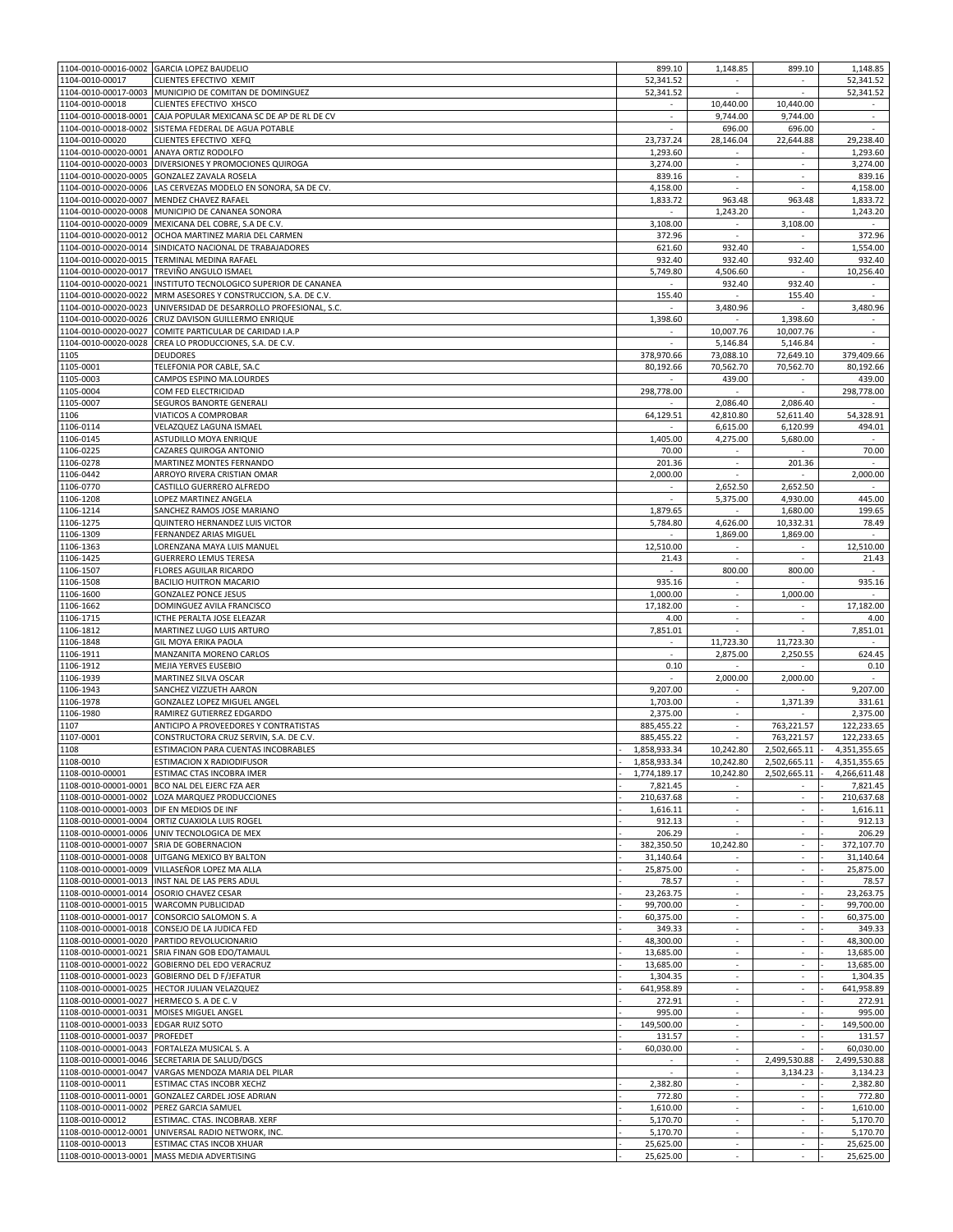|                                              | 1104-0010-00016-0002 GARCIA LOPEZ BAUDELIO                                              | 899.10                 | 1,148.85                                             | 899.10                                               | 1,148.85               |
|----------------------------------------------|-----------------------------------------------------------------------------------------|------------------------|------------------------------------------------------|------------------------------------------------------|------------------------|
| 1104-0010-00017                              | CLIENTES EFECTIVO XEMIT                                                                 | 52,341.52              | $\sim$                                               | $\sim$                                               | 52,341.52              |
| 1104-0010-00017-0003                         | MUNICIPIO DE COMITAN DE DOMINGUEZ                                                       | 52,341.52              |                                                      |                                                      | 52,341.52              |
| 1104-0010-00018                              | CLIENTES EFECTIVO XHSCO                                                                 |                        | 10,440.00                                            | 10,440.00                                            |                        |
| 1104-0010-00018-0001                         | CAJA POPULAR MEXICANA SC DE AP DE RL DE CV                                              |                        | 9,744.00                                             | 9,744.00                                             |                        |
| 1104-0010-00018-0002                         | SISTEMA FEDERAL DE AGUA POTABLE                                                         | $\sim$                 | 696.00                                               | 696.00                                               | ×.                     |
| 1104-0010-00020                              | CLIENTES EFECTIVO XEFQ                                                                  | 23,737.24              | 28,146.04                                            | 22,644.88                                            | 29,238.40              |
| 1104-0010-00020-0001                         | ANAYA ORTIZ RODOLFO                                                                     | 1,293.60               |                                                      |                                                      | 1,293.60               |
| 1104-0010-00020-0005                         | 1104-0010-00020-0003 DIVERSIONES Y PROMOCIONES QUIROGA<br><b>GONZALEZ ZAVALA ROSELA</b> | 3,274.00<br>839.16     | ٠<br>$\overline{\phantom{a}}$                        | $\overline{\phantom{a}}$<br>$\overline{\phantom{a}}$ | 3,274.00<br>839.16     |
| 1104-0010-00020-0006                         | LAS CERVEZAS MODELO EN SONORA, SA DE CV.                                                | 4,158.00               | ×.                                                   |                                                      | 4,158.00               |
| 1104-0010-00020-0007                         | MENDEZ CHAVEZ RAFAEL                                                                    | 1,833.72               | 963.48                                               | 963.48                                               | 1,833.72               |
| 1104-0010-00020-0008                         | MUNICIPIO DE CANANEA SONORA                                                             |                        | 1,243.20                                             |                                                      | 1,243.20               |
| 1104-0010-00020-0009                         | MEXICANA DEL COBRE, S.A DE C.V.                                                         | 3,108.00               |                                                      | 3,108.00                                             |                        |
| 1104-0010-00020-0012                         | OCHOA MARTINEZ MARIA DEL CARMEN                                                         | 372.96                 | ×                                                    |                                                      | 372.96                 |
| 1104-0010-00020-0014                         | SINDICATO NACIONAL DE TRABAJADORES                                                      | 621.60                 | 932.40                                               |                                                      | 1,554.00               |
| 1104-0010-00020-0015                         | TERMINAL MEDINA RAFAEL                                                                  | 932.40                 | 932.40                                               | 932.40                                               | 932.40                 |
| 1104-0010-00020-0017                         | TREVIÑO ANGULO ISMAEL                                                                   | 5,749.80               | 4,506.60                                             |                                                      | 10,256.40              |
| 1104-0010-00020-0021                         | INSTITUTO TECNOLOGICO SUPERIOR DE CANANEA                                               |                        | 932.40                                               | 932.40                                               |                        |
| 1104-0010-00020-0022                         | MRM ASESORES Y CONSTRUCCION, S.A. DE C.V.                                               | 155.40                 |                                                      | 155.40                                               |                        |
| 1104-0010-00020-0023                         | UNIVERSIDAD DE DESARROLLO PROFESIONAL, S.C.                                             |                        | 3,480.96                                             |                                                      | 3,480.96               |
| 1104-0010-00020-0026<br>1104-0010-00020-0027 | CRUZ DAVISON GUILLERMO ENRIQUE                                                          | 1,398.60               | 10,007.76                                            | 1,398.60<br>10,007.76                                | $\sim$                 |
| 1104-0010-00020-0028                         | COMITE PARTICULAR DE CARIDAD I.A.P<br>CREA LO PRODUCCIONES, S.A. DE C.V.                |                        | 5,146.84                                             | 5,146.84                                             |                        |
| 1105                                         | <b>DEUDORES</b>                                                                         | 378,970.66             | 73,088.10                                            | 72,649.10                                            | 379,409.66             |
| 1105-0001                                    | TELEFONIA POR CABLE, SA.C                                                               | 80,192.66              | 70,562.70                                            | 70,562.70                                            | 80,192.66              |
| 1105-0003                                    | CAMPOS ESPINO MA.LOURDES                                                                |                        | 439.00                                               | $\sim$                                               | 439.00                 |
| 1105-0004                                    | COM FED ELECTRICIDAD                                                                    | 298,778.00             |                                                      |                                                      | 298,778.00             |
| 1105-0007                                    | SEGUROS BANORTE GENERALI                                                                |                        | 2,086.40                                             | 2,086.40                                             |                        |
| 1106                                         | <b>VIATICOS A COMPROBAR</b>                                                             | 64,129.51              | 42.810.80                                            | 52,611.40                                            | 54,328.91              |
| 1106-0114                                    | VELAZQUEZ LAGUNA ISMAEL                                                                 |                        | 6,615.00                                             | 6,120.99                                             | 494.01                 |
| 1106-0145                                    | ASTUDILLO MOYA ENRIQUE                                                                  | 1,405.00               | 4,275.00                                             | 5,680.00                                             | $\sim$                 |
| 1106-0225                                    | CAZARES QUIROGA ANTONIO                                                                 | 70.00                  | ×.                                                   |                                                      | 70.00                  |
| 1106-0278                                    | MARTINEZ MONTES FERNANDO                                                                | 201.36                 | $\overline{\phantom{a}}$                             | 201.36                                               |                        |
| 1106-0442<br>1106-0770                       | ARROYO RIVERA CRISTIAN OMAR<br>CASTILLO GUERRERO ALFREDO                                | 2,000.00               | 2,652.50                                             | 2,652.50                                             | 2,000.00               |
| 1106-1208                                    | LOPEZ MARTINEZ ANGELA                                                                   |                        | 5,375.00                                             | 4,930.00                                             | 445.00                 |
| 1106-1214                                    | SANCHEZ RAMOS JOSE MARIANO                                                              | 1,879.65               |                                                      | 1,680.00                                             | 199.65                 |
| 1106-1275                                    | QUINTERO HERNANDEZ LUIS VICTOR                                                          | 5,784.80               | 4,626.00                                             | 10,332.31                                            | 78.49                  |
| 1106-1309                                    | FERNANDEZ ARIAS MIGUEL                                                                  |                        | 1,869.00                                             | 1,869.00                                             | $\sim$                 |
| 1106-1363                                    | LORENZANA MAYA LUIS MANUEL                                                              | 12,510.00              | $\sim$                                               | $\overline{\phantom{a}}$                             | 12,510.00              |
| 1106-1425                                    | <b>GUERRERO LEMUS TERESA</b>                                                            | 21.43                  |                                                      |                                                      | 21.43                  |
| 1106-1507                                    | <b>FLORES AGUILAR RICARDO</b>                                                           | $\sim$                 | 800.00                                               | 800.00                                               | $\sim$                 |
| 1106-1508                                    | <b>BACILIO HUITRON MACARIO</b>                                                          | 935.16                 |                                                      |                                                      | 935.16                 |
| 1106-1600                                    | <b>GONZALEZ PONCE JESUS</b>                                                             | 1,000.00               | $\overline{\phantom{a}}$                             | 1,000.00                                             |                        |
| 1106-1662                                    | DOMINGUEZ AVILA FRANCISCO                                                               | 17,182.00              |                                                      |                                                      | 17,182.00              |
| 1106-1715                                    | ICTHE PERALTA JOSE ELEAZAR                                                              | 4.00                   | $\overline{\phantom{a}}$                             | $\overline{\phantom{a}}$                             | 4.00                   |
| 1106-1812                                    | MARTINEZ LUGO LUIS ARTURO                                                               | 7,851.01<br>×.         |                                                      |                                                      | 7,851.01               |
| 1106-1848<br>1106-1911                       | GIL MOYA ERIKA PAOLA<br>MANZANITA MORENO CARLOS                                         | $\sim$                 | 11,723.30<br>2,875.00                                | 11,723.30<br>2,250.55                                | 624.45                 |
| 1106-1912                                    | <b>MEJIA YERVES EUSEBIO</b>                                                             | 0.10                   |                                                      |                                                      | 0.10                   |
| 1106-1939                                    | MARTINEZ SILVA OSCAR                                                                    |                        | 2,000.00                                             | 2,000.00                                             |                        |
| 1106-1943                                    | SANCHEZ VIZZUETH AARON                                                                  | 9,207.00               |                                                      |                                                      | 9,207.00               |
| 1106-1978                                    | GONZALEZ LOPEZ MIGUEL ANGEL                                                             | 1,703.00               | $\sim$                                               | 1,371.39                                             | 331.61                 |
| 1106-1980                                    | RAMIREZ GUTIERREZ EDGARDO                                                               | 2,375.00               |                                                      |                                                      | 2,375.00               |
| 1107                                         | ANTICIPO A PROVEEDORES Y CONTRATISTAS                                                   | 885,455.22             | $\overline{\phantom{a}}$                             | 763,221.57                                           | 122,233.65             |
| 1107-0001                                    | CONSTRUCTORA CRUZ SERVIN, S.A. DE C.V.                                                  | 885,455.22             | ×.                                                   | 763,221.57                                           | 122,233.65             |
| 1108                                         | ESTIMACION PARA CUENTAS INCOBRABLES                                                     | 1,858,933.34           | 10,242.80                                            | 2,502,665.11                                         | 4,351,355.65           |
| 1108-0010                                    | <b>ESTIMACION X RADIODIFUSOR</b>                                                        | 1,858,933.34           | 10,242.80                                            | 2,502,665.11                                         | 4,351,355.65           |
| 1108-0010-00001                              | <b>ESTIMAC CTAS INCOBRA IMER</b>                                                        | 1,774,189.17           | 10,242.80                                            | 2,502,665.11                                         | 4,266,611.48           |
| 1108-0010-00001-0002                         | 1108-0010-00001-0001 BCO NAL DEL EJERC FZA AER<br>LOZA MARQUEZ PRODUCCIONES             | 7,821.45<br>210,637.68 |                                                      |                                                      | 7,821.45<br>210,637.68 |
| 1108-0010-00001-0003 DIF EN MEDIOS DE INF    |                                                                                         | 1.616.11               | $\overline{\phantom{a}}$                             | $\overline{\phantom{a}}$                             | 1,616.11               |
|                                              | 1108-0010-00001-0004 ORTIZ CUAXIOLA LUIS ROGEL                                          | 912.13                 | $\overline{\phantom{a}}$                             | $\overline{\phantom{a}}$                             | 912.13                 |
|                                              | 1108-0010-00001-0006 UNIV TECNOLOGICA DE MEX                                            | 206.29                 |                                                      | $\sim$                                               | 206.29                 |
| 1108-0010-00001-0007                         | SRIA DE GOBERNACION                                                                     | 382,350.50             | 10,242.80                                            | $\sim$                                               | 372,107.70             |
| 1108-0010-00001-0008                         | UITGANG MEXICO BY BALTON                                                                | 31,140.64              |                                                      | ×.                                                   | 31,140.64              |
|                                              | 1108-0010-00001-0009 VILLASEÑOR LOPEZ MA ALLA                                           | 25,875.00              | $\sim$                                               | $\overline{\phantom{a}}$                             | 25,875.00              |
|                                              | 1108-0010-00001-0013 INST NAL DE LAS PERS ADUL                                          | 78.57                  |                                                      |                                                      | 78.57                  |
| 1108-0010-00001-0014 OSORIO CHAVEZ CESAR     |                                                                                         | 23,263.75              | $\overline{\phantom{a}}$                             | $\overline{\phantom{a}}$                             | 23,263.75              |
|                                              | 1108-0010-00001-0015 WARCOMN PUBLICIDAD                                                 | 99,700.00              |                                                      |                                                      | 99,700.00              |
|                                              | 1108-0010-00001-0017 CONSORCIO SALOMON S. A                                             | 60,375.00              | $\overline{\phantom{a}}$                             | $\overline{\phantom{a}}$                             | 60,375.00              |
| 1108-0010-00001-0020                         | 1108-0010-00001-0018 CONSEJO DE LA JUDICA FED<br>PARTIDO REVOLUCIONARIO                 | 349.33<br>48,300.00    | $\overline{\phantom{a}}$<br>$\overline{\phantom{a}}$ | $\sim$<br>$\sim$                                     | 349.33<br>48,300.00    |
|                                              | 1108-0010-00001-0021 SRIA FINAN GOB EDO/TAMAUL                                          | 13,685.00              | $\sim$                                               | $\overline{\phantom{a}}$                             | 13,685.00              |
|                                              | 1108-0010-00001-0022 GOBIERNO DEL EDO VERACRUZ                                          | 13,685.00              | ×.                                                   | ×.                                                   | 13,685.00              |
|                                              | 1108-0010-00001-0023 GOBIERNO DEL D F/JEFATUR                                           | 1,304.35               |                                                      | $\overline{\phantom{a}}$                             | 1,304.35               |
|                                              | 1108-0010-00001-0025 HECTOR JULIAN VELAZQUEZ                                            | 641,958.89             | ×.                                                   | $\overline{\phantom{a}}$                             | 641,958.89             |
| 1108-0010-00001-0027 HERMECO S. A DE C. V    |                                                                                         | 272.91                 | $\sim$                                               | $\sim$                                               | 272.91                 |
| 1108-0010-00001-0031 MOISES MIGUEL ANGEL     |                                                                                         | 995.00                 |                                                      |                                                      | 995.00                 |
| 1108-0010-00001-0033                         | <b>EDGAR RUIZ SOTO</b>                                                                  | 149,500.00             | ÷.                                                   | $\sim$                                               | 149,500.00             |
| 1108-0010-00001-0037 PROFEDET                |                                                                                         | 131.57                 | $\overline{\phantom{a}}$                             | $\sim$                                               | 131.57                 |
|                                              | 1108-0010-00001-0043 FORTALEZA MUSICAL S. A                                             | 60,030.00              | ×.                                                   |                                                      | 60,030.00              |
|                                              | 1108-0010-00001-0046 SECRETARIA DE SALUD/DGCS                                           | $\sim$                 | ٠<br>$\overline{\phantom{a}}$                        | 2,499,530.88                                         | 2,499,530.88           |
| 1108-0010-00001-0047<br>1108-0010-00011      | VARGAS MENDOZA MARIA DEL PILAR<br>ESTIMAC CTAS INCOBR XECHZ                             | 2,382.80               | $\sim$                                               | 3,134.23                                             | 3,134.23<br>2,382.80   |
| 1108-0010-00011-0001                         | GONZALEZ CARDEL JOSE ADRIAN                                                             | 772.80                 |                                                      |                                                      | 772.80                 |
| 1108-0010-00011-0002                         | PEREZ GARCIA SAMUEL                                                                     | 1,610.00               | $\overline{\phantom{a}}$                             | $\overline{\phantom{a}}$                             | 1,610.00               |
| 1108-0010-00012                              | ESTIMAC. CTAS. INCOBRAB. XERF                                                           | 5,170.70               | $\overline{\phantom{a}}$                             | ٠                                                    | 5,170.70               |
| 1108-0010-00012-0001                         | UNIVERSAL RADIO NETWORK, INC.                                                           | 5,170.70               | ÷.                                                   |                                                      | 5,170.70               |
| 1108-0010-00013                              | ESTIMAC CTAS INCOB XHUAR                                                                | 25,625.00              | $\sim$                                               | $\sim$                                               | 25,625.00              |
|                                              | 1108-0010-00013-0001 MASS MEDIA ADVERTISING                                             | 25,625.00              | ÷.                                                   | $\overline{\phantom{a}}$                             | 25,625.00              |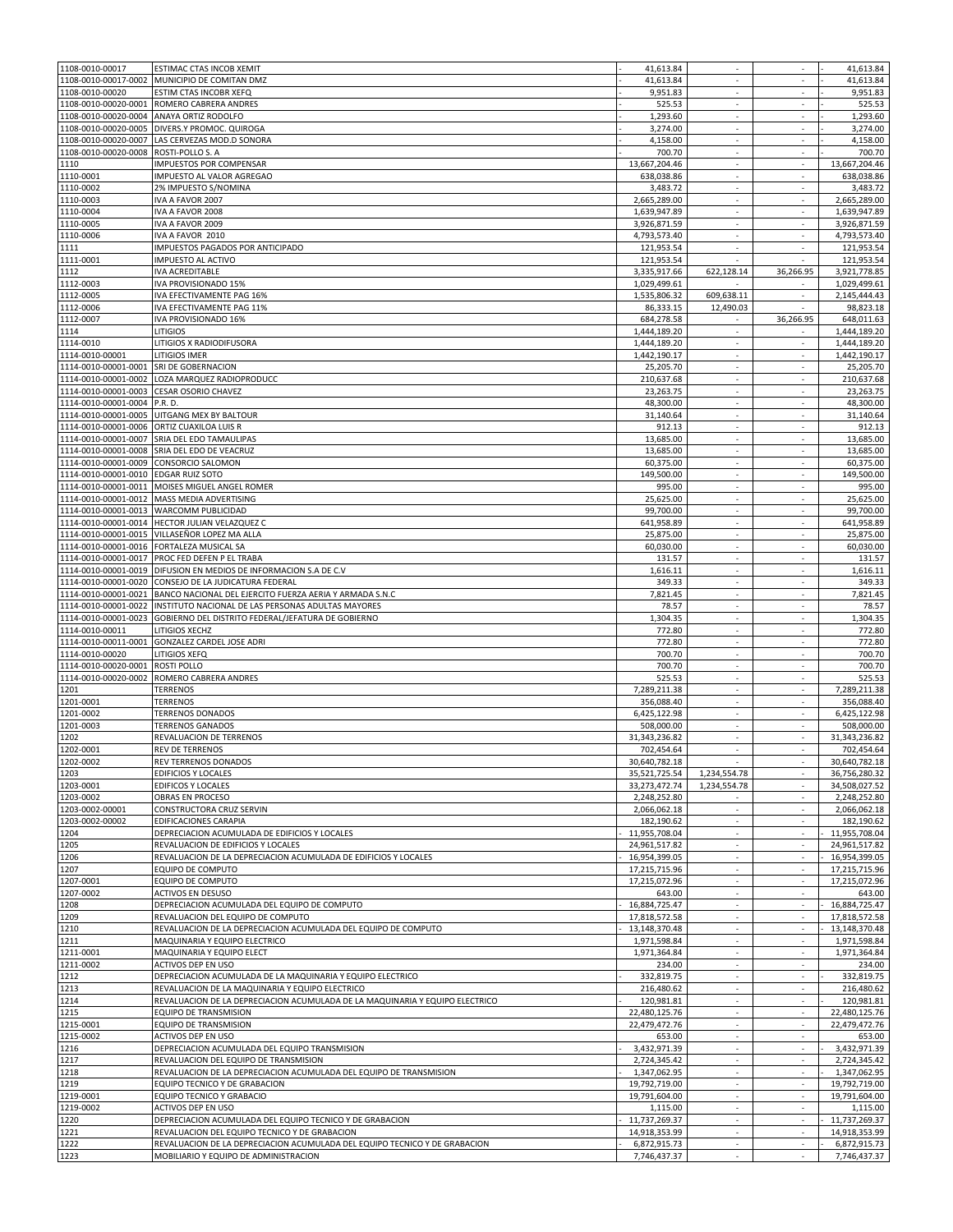| 1108-0010-00017        | ESTIMAC CTAS INCOB XEMIT                                                                                            | 41,613.84                    | $\sim$                   | $\overline{\phantom{a}}$ | 41,613.84                    |
|------------------------|---------------------------------------------------------------------------------------------------------------------|------------------------------|--------------------------|--------------------------|------------------------------|
| 1108-0010-00017-0002   | MUNICIPIO DE COMITAN DMZ                                                                                            | 41,613.84                    | ×.                       | ٠                        | 41,613.84                    |
| 1108-0010-00020        | ESTIM CTAS INCOBR XEFQ                                                                                              | 9,951.83                     | ×                        | $\sim$                   | 9,951.83                     |
| 1108-0010-00020-0001   | ROMERO CABRERA ANDRES                                                                                               | 525.53                       | $\sim$                   | $\overline{\phantom{a}}$ | 525.53                       |
| 1108-0010-00020-0004   | ANAYA ORTIZ RODOLFO                                                                                                 | 1,293.60                     |                          |                          | 1,293.60                     |
| 1108-0010-00020-0005   | DIVERS.Y PROMOC. QUIROGA                                                                                            | 3,274.00                     | $\overline{\phantom{a}}$ | ٠                        | 3,274.00                     |
| 1108-0010-00020-0007   | LAS CERVEZAS MOD.D SONORA                                                                                           | 4,158.00                     |                          |                          | 4,158.00                     |
| 1108-0010-00020-0008   | ROSTI-POLLO S. A                                                                                                    | 700.70                       | $\overline{\phantom{a}}$ | $\overline{\phantom{a}}$ | 700.70                       |
| 1110                   | IMPUESTOS POR COMPENSAR                                                                                             | 13,667,204.46                | $\overline{\phantom{a}}$ | $\overline{\phantom{a}}$ | 13,667,204.46                |
| 1110-0001              | IMPUESTO AL VALOR AGREGAO                                                                                           | 638.038.86                   | ×                        | $\sim$                   | 638,038.86                   |
| 1110-0002              | 2% IMPUESTO S/NOMINA                                                                                                | 3,483.72                     | $\sim$                   | $\sim$                   | 3,483.72                     |
| 1110-0003              | IVA A FAVOR 2007                                                                                                    | 2,665,289.00                 | ×                        | $\overline{\phantom{a}}$ | 2,665,289.00                 |
| 1110-0004              | IVA A FAVOR 2008                                                                                                    | 1,639,947.89                 | $\overline{\phantom{a}}$ | $\overline{\phantom{a}}$ | 1,639,947.89                 |
| 1110-0005              | IVA A FAVOR 2009                                                                                                    | 3,926,871.59                 | ×                        | $\overline{\phantom{a}}$ | 3,926,871.59                 |
| 1110-0006              | IVA A FAVOR 2010                                                                                                    | 4,793,573.40                 | $\sim$                   | $\overline{\phantom{a}}$ | 4,793,573.40                 |
|                        |                                                                                                                     |                              |                          |                          |                              |
| 1111                   | IMPUESTOS PAGADOS POR ANTICIPADO                                                                                    | 121,953.54                   |                          |                          | 121,953.54                   |
| 1111-0001              | IMPUESTO AL ACTIVO                                                                                                  | 121,953.54                   | ×                        | ×.                       | 121,953.54                   |
| 1112                   | <b>IVA ACREDITABLE</b>                                                                                              | 3,335,917.66                 | 622,128.14               | 36,266.95                | 3,921,778.85                 |
| 1112-0003              | IVA PROVISIONADO 15%                                                                                                | 1,029,499.61                 |                          |                          | 1,029,499.61                 |
| 1112-0005              | IVA EFECTIVAMENTE PAG 16%                                                                                           | 1,535,806.32                 | 609,638.11               | $\sim$                   | 2,145,444.43                 |
| 1112-0006              | IVA EFECTIVAMENTE PAG 11%                                                                                           | 86,333.15                    | 12,490.03                |                          | 98,823.18                    |
| 1112-0007              | IVA PROVISIONADO 16%                                                                                                | 684,278.58                   |                          | 36,266.95                | 648,011.63                   |
| 1114                   | <b>LITIGIOS</b>                                                                                                     | 1,444,189.20                 |                          |                          | 1,444,189.20                 |
| 1114-0010              | LITIGIOS X RADIODIFUSORA                                                                                            | 1,444,189.20                 | $\overline{\phantom{a}}$ | $\overline{\phantom{a}}$ | 1,444,189.20                 |
| 1114-0010-00001        | LITIGIOS IMER                                                                                                       | 1,442,190.17                 | $\overline{\phantom{a}}$ | $\overline{\phantom{a}}$ | 1,442,190.17                 |
| 1114-0010-00001-0001   | SRI DE GOBERNACION                                                                                                  | 25,205.70                    | $\overline{\phantom{a}}$ | $\sim$                   | 25,205.70                    |
| 1114-0010-00001-0002   | LOZA MARQUEZ RADIOPRODUCC                                                                                           | 210,637.68                   | ×.                       | ٠                        | 210.637.68                   |
| 1114-0010-00001-0003   | <b>CESAR OSORIO CHAVEZ</b>                                                                                          | 23,263.75                    | ×                        | $\sim$                   | 23,263.75                    |
| 1114-0010-00001-0004   | P.R. D.                                                                                                             | 48,300.00                    | $\sim$                   | $\overline{\phantom{a}}$ | 48,300.00                    |
| 1114-0010-00001-0005   | UITGANG MEX BY BALTOUR                                                                                              | 31,140.64                    |                          |                          | 31,140.64                    |
| 1114-0010-00001-0006   | ORTIZ CUAXILOA LUIS R                                                                                               | 912.13                       | $\overline{\phantom{a}}$ | ٠                        | 912.13                       |
| 1114-0010-00001-0007   | SRIA DEL EDO TAMAULIPAS                                                                                             | 13.685.00                    |                          |                          | 13,685.00                    |
|                        |                                                                                                                     |                              |                          |                          |                              |
| 1114-0010-00001-0008   | SRIA DEL EDO DE VEACRUZ                                                                                             | 13,685.00                    | $\overline{\phantom{a}}$ | $\overline{\phantom{a}}$ | 13,685.00                    |
| 1114-0010-00001-0009   | CONSORCIO SALOMON                                                                                                   | 60,375.00                    | $\overline{\phantom{a}}$ | $\overline{\phantom{a}}$ | 60,375.00                    |
| 1114-0010-00001-0010   | <b>EDGAR RUIZ SOTO</b>                                                                                              | 149,500.00                   | ×                        | $\sim$                   | 149,500.00                   |
| 1114-0010-00001-0011   | MOISES MIGUEL ANGEL ROMER                                                                                           | 995.00                       | $\sim$                   | $\sim$                   | 995.00                       |
| 1114-0010-00001-0012   | <b>MASS MEDIA ADVERTISING</b>                                                                                       | 25,625.00                    | ×                        | $\sim$                   | 25,625.00                    |
| 1114-0010-00001-0013   | <b>WARCOMM PUBLICIDAD</b>                                                                                           | 99,700.00                    | $\overline{\phantom{a}}$ | ä,                       | 99,700.00                    |
| 1114-0010-00001-0014   | HECTOR JULIAN VELAZQUEZ C                                                                                           | 641,958.89                   | ٠                        | $\overline{\phantom{a}}$ | 641,958.89                   |
| 1114-0010-00001-0015   | VILLASEÑOR LOPEZ MA ALLA                                                                                            | 25,875.00                    | $\sim$                   | $\overline{\phantom{a}}$ | 25,875.00                    |
| 1114-0010-00001-0016   | FORTALEZA MUSICAL SA                                                                                                | 60,030.00                    |                          |                          | 60,030.00                    |
| 1114-0010-00001-0017   | PROC FED DEFEN P EL TRABA                                                                                           | 131.57                       | $\overline{\phantom{a}}$ | ×.                       | 131.57                       |
| 1114-0010-00001-0019   | DIFUSION EN MEDIOS DE INFORMACION S.A DE C.V                                                                        | 1,616.11                     | $\overline{\phantom{a}}$ | $\overline{\phantom{a}}$ | 1,616.11                     |
| 1114-0010-00001-0020   | CONSEJO DE LA JUDICATURA FEDERAL                                                                                    | 349.33                       | ÷                        | $\sim$                   | 349.33                       |
| 1114-0010-00001-0021   | BANCO NACIONAL DEL EJERCITO FUERZA AERIA Y ARMADA S.N.C                                                             | 7,821.45                     | $\overline{\phantom{a}}$ | $\overline{\phantom{a}}$ | 7,821.45                     |
| 1114-0010-00001-0022   | INSTITUTO NACIONAL DE LAS PERSONAS ADULTAS MAYORES                                                                  | 78.57                        | ×                        | ä,                       | 78.57                        |
| 1114-0010-00001-0023   | GOBIERNO DEL DISTRITO FEDERAL/JEFATURA DE GOBIERNO                                                                  | 1,304.35                     | $\overline{\phantom{a}}$ | $\overline{\phantom{a}}$ | 1,304.35                     |
|                        |                                                                                                                     | 772.80                       |                          |                          | 772.80                       |
| 1114-0010-00011        | LITIGIOS XECHZ                                                                                                      |                              |                          |                          |                              |
| 1114-0010-00011-0001   | <b>GONZALEZ CARDEL JOSE ADRI</b>                                                                                    | 772.80                       | $\overline{\phantom{a}}$ | $\overline{\phantom{a}}$ | 772.80                       |
| 1114-0010-00020        | <b>LITIGIOS XEFQ</b>                                                                                                | 700.70                       | $\overline{\phantom{a}}$ | $\overline{\phantom{a}}$ | 700.70                       |
| 1114-0010-00020-0001   | <b>ROSTI POLLO</b>                                                                                                  | 700.70                       | ×                        | $\sim$                   | 700.70                       |
| 1114-0010-00020-0002   | ROMERO CABRERA ANDRES                                                                                               | 525.53                       | $\sim$                   | $\sim$                   | 525.53                       |
| 1201                   | <b>TERRENOS</b>                                                                                                     | 7,289,211.38                 | ×                        | ×.                       | 7,289,211.38                 |
| 1201-0001              | <b>TERRENOS</b>                                                                                                     | 356,088.40                   | $\sim$                   | $\overline{\phantom{a}}$ | 356,088.40                   |
| 1201-0002              | <b>TERRENOS DONADOS</b>                                                                                             | 6,425,122.98                 |                          |                          | 6,425,122.98                 |
| 1201-0003              | <b>TERRENOS GANADOS</b>                                                                                             | 508,000.00                   | $\overline{\phantom{a}}$ |                          | 508,000.00                   |
| 1202                   | REVALUACION DE TERRENOS                                                                                             | 31,343,236.82                |                          |                          | 31,343,236.82                |
| 1202-0001              | <b>REV DE TERRENOS</b>                                                                                              | 702.454.64                   | $\overline{\phantom{a}}$ | $\overline{\phantom{a}}$ | 702,454.64                   |
| 1202-0002              | REV TERRENOS DONADOS                                                                                                | 30,640,782.18                |                          |                          | 30,640,782.18                |
| 1203                   | <b>EDIFICIOS Y LOCALES</b>                                                                                          | 35,521,725.54                | 1,234,554.78             | $\sim$                   | 36,756,280.32                |
| 1203-0001              | <b>EDIFICOS Y LOCALES</b>                                                                                           | 33,273,472.74                | 1,234,554.78             | $\overline{\phantom{a}}$ | 34,508,027.52                |
| 1203-0002              | OBRAS EN PROCESO                                                                                                    | 2,248,252.80                 |                          | $\overline{\phantom{a}}$ | 2,248,252.80                 |
| 1203-0002-00001        | CONSTRUCTORA CRUZ SERVIN                                                                                            | 2,066,062.18                 | $\sim$                   | $\overline{\phantom{a}}$ | 2,066,062.18                 |
| 1203-0002-00002        | EDIFICACIONES CARAPIA                                                                                               | 182,190.62                   | ä,                       | ÷.                       | 182,190.62                   |
| 1204                   | DEPRECIACION ACUMULADA DE EDIFICIOS Y LOCALES                                                                       | 11,955,708.04                | $\overline{\phantom{a}}$ | $\sim$                   | 11,955,708.04                |
| 1205                   | REVALUACION DE EDIFICIOS Y LOCALES                                                                                  | 24,961,517.82                |                          |                          | 24,961,517.82                |
| 1206                   | REVALUACION DE LA DEPRECIACION ACUMULADA DE EDIFICIOS Y LOCALES                                                     | 16,954,399.05                | $\overline{\phantom{a}}$ | $\sim$                   | 16,954,399.05                |
| 1207                   | <b>EQUIPO DE COMPUTO</b>                                                                                            | 17,215,715.96                | $\sim$                   | $\sim$                   | 17,215,715.96                |
|                        |                                                                                                                     |                              | ÷                        | $\sim$                   |                              |
| 1207-0001<br>1207-0002 | EQUIPO DE COMPUTO                                                                                                   | 17,215,072.96                |                          |                          | 17,215,072.96                |
|                        | <b>ACTIVOS EN DESUSO</b>                                                                                            | 643.00                       | $\sim$                   | ٠                        | 643.00                       |
| 1208                   | DEPRECIACION ACUMULADA DEL EQUIPO DE COMPUTO                                                                        | 16,884,725.47                | $\overline{\phantom{a}}$ | $\overline{\phantom{a}}$ | 16,884,725.47                |
| 1209                   | REVALUACION DEL EQUIPO DE COMPUTO                                                                                   | 17,818,572.58                | $\sim$                   | $\overline{\phantom{a}}$ | 17,818,572.58                |
| 1210                   | REVALUACION DE LA DEPRECIACION ACUMULADA DEL EQUIPO DE COMPUTO                                                      | 13,148,370.48                |                          |                          | 13,148,370.48                |
| 1211                   | MAQUINARIA Y EQUIPO ELECTRICO                                                                                       | 1,971,598.84                 | $\overline{\phantom{a}}$ | $\sim$                   | 1,971,598.84                 |
| 1211-0001              | MAQUINARIA Y EQUIPO ELECT                                                                                           | 1,971,364.84                 | $\overline{\phantom{a}}$ | $\epsilon$               | 1,971,364.84                 |
| 1211-0002              | ACTIVOS DEP EN USO                                                                                                  | 234.00                       | $\overline{\phantom{a}}$ | $\overline{\phantom{a}}$ | 234.00                       |
| 1212                   | DEPRECIACION ACUMULADA DE LA MAQUINARIA Y EQUIPO ELECTRICO                                                          | 332,819.75                   | $\sim$                   | $\sim$                   | 332,819.75                   |
| 1213                   | REVALUACION DE LA MAQUINARIA Y EQUIPO ELECTRICO                                                                     | 216,480.62                   | $\overline{\phantom{a}}$ | $\overline{\phantom{a}}$ | 216,480.62                   |
| 1214                   | REVALUACION DE LA DEPRECIACION ACUMULADA DE LA MAQUINARIA Y EQUIPO ELECTRICO                                        | 120,981.81                   | $\overline{\phantom{a}}$ | $\overline{\phantom{a}}$ | 120,981.81                   |
| 1215                   | EQUIPO DE TRANSMISION                                                                                               | 22,480,125.76                |                          | $\overline{\phantom{a}}$ | 22,480,125.76                |
| 1215-0001              | EQUIPO DE TRANSMISION                                                                                               | 22,479,472.76                | $\sim$                   | $\overline{\phantom{a}}$ | 22,479,472.76                |
| 1215-0002              | ACTIVOS DEP EN USO                                                                                                  | 653.00                       | $\overline{\phantom{a}}$ | $\overline{\phantom{a}}$ | 653.00                       |
| 1216                   | DEPRECIACION ACUMULADA DEL EQUIPO TRANSMISION                                                                       | 3,432,971.39                 | $\overline{\phantom{a}}$ | $\sim$                   | 3,432,971.39                 |
| 1217                   | REVALUACION DEL EQUIPO DE TRANSMISION                                                                               | 2,724,345.42                 | $\overline{\phantom{a}}$ | $\overline{\phantom{a}}$ | 2,724,345.42                 |
| 1218                   | REVALUACION DE LA DEPRECIACION ACUMULADA DEL EQUIPO DE TRANSMISION                                                  | 1,347,062.95                 | ÷.                       | $\sim$                   | 1,347,062.95                 |
| 1219                   | EQUIPO TECNICO Y DE GRABACION                                                                                       | 19,792,719.00                | $\sim$                   | $\sim$                   | 19,792,719.00                |
|                        |                                                                                                                     |                              | $\overline{\phantom{a}}$ | $\overline{\phantom{a}}$ |                              |
| 1219-0001              | EQUIPO TECNICO Y GRABACIO                                                                                           | 19,791,604.00                |                          |                          | 19,791,604.00                |
| 1219-0002              | ACTIVOS DEP EN USO                                                                                                  | 1,115.00                     | $\sim$                   | $\overline{\phantom{a}}$ | 1,115.00                     |
| 1220                   | DEPRECIACION ACUMULADA DEL EQUIPO TECNICO Y DE GRABACION                                                            | 11,737,269.37                | $\overline{\phantom{a}}$ | $\overline{\phantom{a}}$ | 11,737,269.37                |
|                        |                                                                                                                     |                              |                          |                          |                              |
| 1221                   | REVALUACION DEL EQUIPO TECNICO Y DE GRABACION                                                                       | 14,918,353.99                | $\sim$                   | $\sim$                   | 14,918,353.99                |
| 1222<br>1223           | REVALUACION DE LA DEPRECIACION ACUMULADA DEL EQUIPO TECNICO Y DE GRABACION<br>MOBILIARIO Y EQUIPO DE ADMINISTRACION | 6,872,915.73<br>7,746,437.37 | $\overline{\phantom{a}}$ | $\sim$                   | 6,872,915.73<br>7,746,437.37 |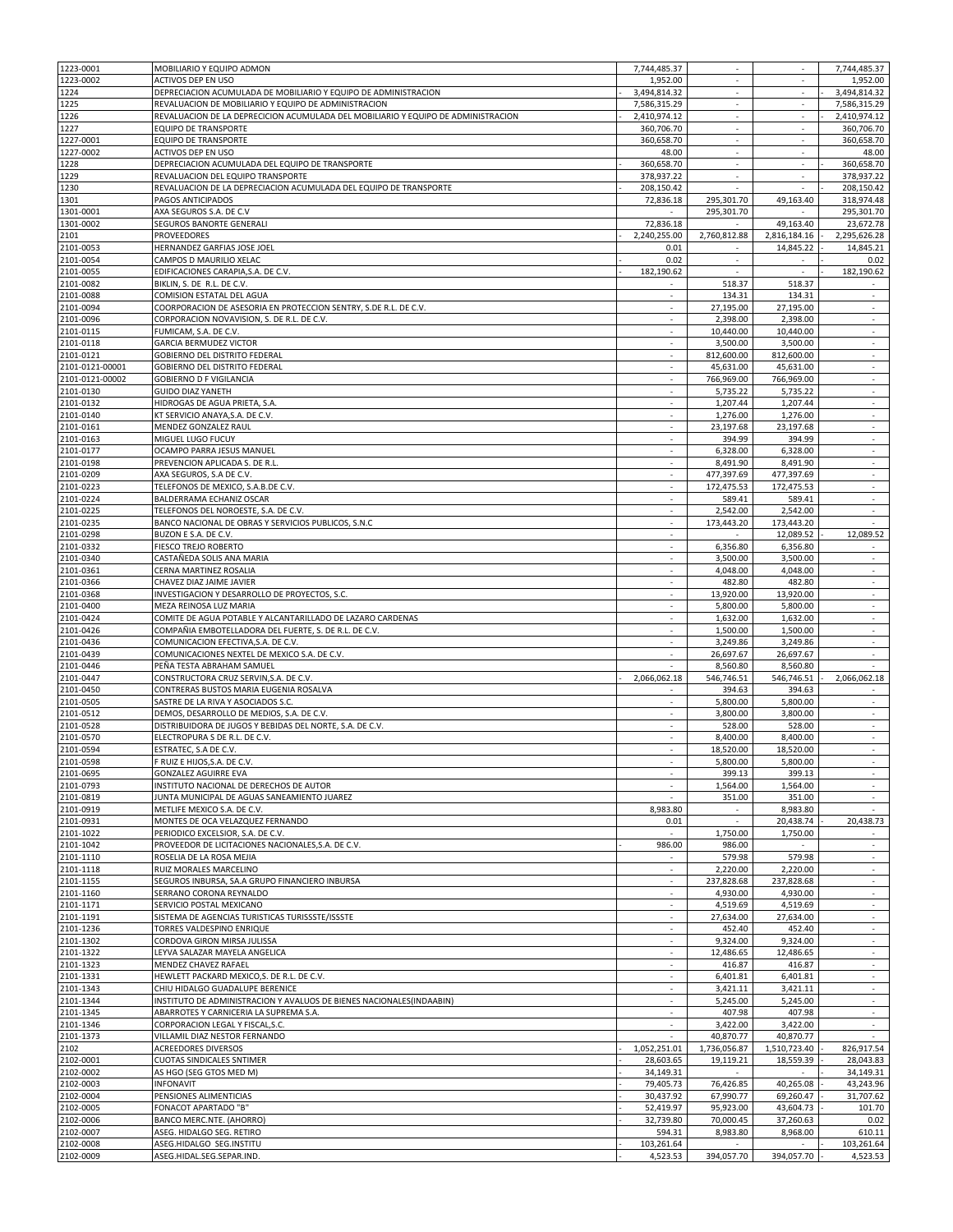| 1223-0001       | MOBILIARIO Y EQUIPO ADMON                                                         | 7,744,485.37             | ÷                        |                          | 7,744,485.37             |
|-----------------|-----------------------------------------------------------------------------------|--------------------------|--------------------------|--------------------------|--------------------------|
| 1223-0002       | ACTIVOS DEP EN USO                                                                | 1,952.00                 | $\sim$                   | $\overline{\phantom{a}}$ | 1,952.00                 |
| 1224            | DEPRECIACION ACUMULADA DE MOBILIARIO Y EQUIPO DE ADMINISTRACION                   | 3,494,814.32             | $\overline{\phantom{a}}$ | $\overline{\phantom{a}}$ | 3,494,814.32             |
| 1225            | REVALUACION DE MOBILIARIO Y EQUIPO DE ADMINISTRACION                              | 7,586,315.29             | $\overline{\phantom{a}}$ | $\overline{\phantom{a}}$ | 7,586,315.29             |
| 1226            | REVALUACION DE LA DEPRECICION ACUMULADA DEL MOBILIARIO Y EQUIPO DE ADMINISTRACION | 2,410,974.12             |                          |                          | 2,410,974.12             |
| 1227            | <b>EQUIPO DE TRANSPORTE</b>                                                       | 360,706.70               | $\overline{\phantom{a}}$ | $\overline{\phantom{a}}$ | 360,706.70               |
| 1227-0001       | EQUIPO DE TRANSPORTE                                                              | 360,658.70               | $\overline{\phantom{a}}$ | $\overline{\phantom{a}}$ | 360,658.70               |
| 1227-0002       | ACTIVOS DEP EN USO                                                                | 48.00                    | ×.                       | $\sim$                   | 48.00                    |
| 1228            | DEPRECIACION ACUMULADA DEL EQUIPO DE TRANSPORTE                                   | 360,658.70               | $\sim$                   | $\overline{\phantom{a}}$ | 360,658.70               |
| 1229            | REVALUACION DEL EQUIPO TRANSPORTE                                                 | 378,937.22               | ×.                       | ×.                       | 378,937.22               |
| 1230            | REVALUACION DE LA DEPRECIACION ACUMULADA DEL EQUIPO DE TRANSPORTE                 | 208,150.42               |                          |                          | 208,150.42               |
| 1301            | PAGOS ANTICIPADOS                                                                 | 72,836.18                | 295,301.70               | 49,163.40                | 318,974.48               |
| 1301-0001       | AXA SEGUROS S.A. DE C.V                                                           |                          | 295,301.70               |                          | 295,301.70               |
| 1301-0002       | SEGUROS BANORTE GENERALI                                                          | 72,836.18                |                          | 49,163.40                | 23,672.78                |
| 2101            | <b>PROVEEDORES</b>                                                                | 2,240,255.00             | 2,760,812.88             | 2,816,184.16             | 2,295,626.28             |
| 2101-0053       | HERNANDEZ GARFIAS JOSE JOEL                                                       | 0.01                     | $\sim$                   | 14,845.22                | 14,845.21                |
| 2101-0054       | CAMPOS D MAURILIO XELAC                                                           | 0.02                     | $\mathcal{L}$            |                          | 0.02                     |
| 2101-0055       | EDIFICACIONES CARAPIA, S.A. DE C.V.                                               | 182,190.62               | $\sim$                   | $\sim$                   | 182,190.62               |
| 2101-0082       | BIKLIN, S. DE R.L. DE C.V.                                                        |                          | 518.37                   | 518.37                   |                          |
| 2101-0088       | COMISION ESTATAL DEL AGUA                                                         | $\overline{\phantom{a}}$ | 134.31                   | 134.31                   | $\overline{\phantom{a}}$ |
| 2101-0094       | COORPORACION DE ASESORIA EN PROTECCION SENTRY, S.DE R.L. DE C.V.                  |                          | 27,195.00                | 27,195.00                |                          |
| 2101-0096       | CORPORACION NOVAVISION, S. DE R.L. DE C.V.                                        | $\sim$                   | 2,398.00                 | 2,398.00                 | $\sim$                   |
| 2101-0115       | FUMICAM, S.A. DE C.V.                                                             |                          | 10,440.00                | 10,440.00                |                          |
| 2101-0118       | <b>GARCIA BERMUDEZ VICTOR</b>                                                     | ÷.                       | 3,500.00                 | 3,500.00                 | $\sim$                   |
| 2101-0121       | GOBIERNO DEL DISTRITO FEDERAL                                                     | $\sim$                   | 812,600.00               | 812,600.00               | $\sim$                   |
| 2101-0121-00001 | <b>GOBIERNO DEL DISTRITO FEDERAL</b>                                              | ×                        | 45,631.00                | 45,631.00                | ÷                        |
| 2101-0121-00002 | GOBIERNO D F VIGILANCIA                                                           | $\sim$                   | 766,969.00               | 766,969.00               | $\sim$                   |
| 2101-0130       | <b>GUIDO DIAZ YANETH</b>                                                          |                          | 5,735.22                 | 5,735.22                 | $\bar{\phantom{a}}$      |
| 2101-0132       |                                                                                   | $\overline{\phantom{a}}$ | 1,207.44                 | 1,207.44                 | $\overline{\phantom{a}}$ |
|                 | HIDROGAS DE AGUA PRIETA, S.A.<br>KT SERVICIO ANAYA.S.A. DE C.V.                   |                          |                          |                          |                          |
| 2101-0140       |                                                                                   |                          | 1,276.00                 | 1,276.00                 |                          |
| 2101-0161       | MENDEZ GONZALEZ RAUL                                                              | $\overline{\phantom{a}}$ | 23,197.68                | 23,197.68                | $\sim$                   |
| 2101-0163       | MIGUEL LUGO FUCUY                                                                 | $\sim$                   | 394.99                   | 394.99                   | $\sim$                   |
| 2101-0177       | OCAMPO PARRA JESUS MANUEL                                                         | $\sim$                   | 6,328.00                 | 6,328.00                 | $\sim$                   |
| 2101-0198       | PREVENCION APLICADA S. DE R.L.                                                    | $\sim$                   | 8,491.90                 | 8,491.90                 | $\sim$                   |
| 2101-0209       | AXA SEGUROS, S.A DE C.V.                                                          | ×                        | 477,397.69               | 477,397.69               | $\mathcal{L}$            |
| 2101-0223       | TELEFONOS DE MEXICO, S.A.B.DE C.V.                                                | $\overline{\phantom{a}}$ | 172,475.53               | 172,475.53               | $\sim$                   |
| 2101-0224       | BALDERRAMA ECHANIZ OSCAR                                                          |                          | 589.41                   | 589.41                   |                          |
| 2101-0225       | TELEFONOS DEL NOROESTE, S.A. DE C.V.                                              | $\overline{\phantom{a}}$ | 2,542.00                 | 2,542.00                 | $\sim$                   |
| 2101-0235       | BANCO NACIONAL DE OBRAS Y SERVICIOS PUBLICOS, S.N.C                               | $\overline{\phantom{a}}$ | 173,443.20               | 173,443.20               |                          |
| 2101-0298       | BUZON E S.A. DE C.V.                                                              | ÷.                       |                          | 12,089.52                | 12,089.52                |
| 2101-0332       | FIESCO TREJO ROBERTO                                                              | $\sim$                   | 6,356.80                 | 6,356.80                 | $\sim$                   |
| 2101-0340       | CASTAÑEDA SOLIS ANA MARIA                                                         | ×.                       | 3,500.00                 | 3,500.00                 | ÷                        |
| 2101-0361       | CERNA MARTINEZ ROSALIA                                                            | $\sim$                   | 4,048.00                 | 4,048.00                 | $\sim$                   |
| 2101-0366       | CHAVEZ DIAZ JAIME JAVIER                                                          |                          | 482.80                   | 482.80                   | $\sim$                   |
| 2101-0368       | INVESTIGACION Y DESARROLLO DE PROYECTOS, S.C.                                     | $\overline{\phantom{a}}$ | 13,920.00                | 13,920.00                | $\overline{\phantom{a}}$ |
| 2101-0400       | MEZA REINOSA LUZ MARIA                                                            |                          | 5,800.00                 | 5,800.00                 |                          |
| 2101-0424       | COMITE DE AGUA POTABLE Y ALCANTARILLADO DE LAZARO CARDENAS                        | $\sim$                   |                          |                          | $\sim$                   |
|                 |                                                                                   |                          | 1,632.00                 | 1,632.00                 |                          |
| 2101-0426       | COMPAÑIA EMBOTELLADORA DEL FUERTE, S. DE R.L. DE C.V.                             | $\sim$                   | 1,500.00                 | 1,500.00                 | $\sim$                   |
| 2101-0436       | COMUNICACION EFECTIVA, S.A. DE C.V.                                               | ÷.                       | 3,249.86                 | 3,249.86                 | $\sim$                   |
| 2101-0439       | COMUNICACIONES NEXTEL DE MEXICO S.A. DE C.V.                                      | $\sim$                   | 26,697.67                | 26,697.67                | $\sim$                   |
| 2101-0446       | PEÑA TESTA ABRAHAM SAMUEL                                                         |                          | 8,560.80                 | 8,560.80                 |                          |
| 2101-0447       | CONSTRUCTORA CRUZ SERVIN, S.A. DE C.V.                                            | 2,066,062.18             | 546,746.51               | 546,746.51               | 2,066,062.18             |
| 2101-0450       | CONTRERAS BUSTOS MARIA EUGENIA ROSALVA                                            |                          | 394.63                   | 394.63                   |                          |
| 2101-0505       | SASTRE DE LA RIVA Y ASOCIADOS S.C.                                                | $\sim$                   | 5,800.00                 | 5,800.00                 | $\sim$                   |
| 2101-0512       | DEMOS, DESARROLLO DE MEDIOS, S.A. DE C.V.                                         |                          | 3.800.00                 | 3,800.00                 |                          |
| 2101-0528       | DISTRIBUIDORA DE JUGOS Y BEBIDAS DEL NORTE, S.A. DE C.V.                          | $\sim$                   | 528.00                   | 528.00                   | $\sim$                   |
| 2101-0570       | ELECTROPURA S DE R.L. DE C.V.                                                     | $\sim$                   | 8,400.00                 | 8,400.00                 | $\sim$                   |
| 2101-0594       | ESTRATEC, S.A DE C.V.                                                             | ÷.                       | 18,520.00                | 18,520.00                | $\sim$                   |
| 2101-0598       | F RUIZ E HIJOS, S.A. DE C.V.                                                      |                          | 5,800.00                 | 5,800.00                 |                          |
| 2101-0695       | <b>GONZALEZ AGUIRRE EVA</b>                                                       | $\mathcal{L}$            | 399.13                   | 399.13                   | $\mathcal{L}$            |
| 2101-0793       | INSTITUTO NACIONAL DE DERECHOS DE AUTOR                                           | $\sim$                   | 1,564.00                 | 1,564.00                 | $\sim$                   |
| 2101-0819       | JUNTA MUNICIPAL DE AGUAS SANEAMIENTO JUAREZ                                       |                          | 351.00                   | 351.00                   |                          |
| 2101-0919       | METLIFE MEXICO S.A. DE C.V.                                                       | 8,983.80                 | $\sim$                   | 8,983.80                 |                          |
| 2101-0931       | MONTES DE OCA VELAZQUEZ FERNANDO                                                  | 0.01                     | $\overline{\phantom{a}}$ | 20,438.74                | 20,438.73                |
| 2101-1022       | PERIODICO EXCELSIOR, S.A. DE C.V.                                                 |                          | 1,750.00                 | 1,750.00                 |                          |
| 2101-1042       | PROVEEDOR DE LICITACIONES NACIONALES, S.A. DE C.V.                                | 986.00                   | 986.00                   | $\sim$                   | $\sim$                   |
| 2101-1110       | ROSELIA DE LA ROSA MEJIA                                                          |                          | 579.98                   | 579.98                   | $\mathcal{L}$            |
| 2101-1118       | RUIZ MORALES MARCELINO                                                            | $\sim$                   | 2,220.00                 | 2,220.00                 | $\sim$                   |
| 2101-1155       | SEGUROS INBURSA, SA.A GRUPO FINANCIERO INBURSA                                    |                          | 237,828.68               | 237,828.68               |                          |
| 2101-1160       | SERRANO CORONA REYNALDO                                                           | $\sim$                   | 4,930.00                 | 4,930.00                 | $\sim$                   |
| 2101-1171       | SERVICIO POSTAL MEXICANO                                                          |                          | 4,519.69                 | 4,519.69                 |                          |
| 2101-1191       | SISTEMA DE AGENCIAS TURISTICAS TURISSSTE/ISSSTE                                   | $\sim$                   | 27,634.00                | 27,634.00                | $\sim$                   |
|                 |                                                                                   |                          |                          |                          |                          |
| 2101-1236       | TORRES VALDESPINO ENRIQUE                                                         | $\sim$                   | 452.40                   | 452.40                   | $\sim$<br>$\sim$         |
| 2101-1302       | CORDOVA GIRON MIRSA JULISSA                                                       | $\sim$                   | 9,324.00                 | 9,324.00                 |                          |
| 2101-1322       | LEYVA SALAZAR MAYELA ANGELICA                                                     | $\sim$                   | 12,486.65                | 12,486.65                | $\sim$                   |
| 2101-1323       | MENDEZ CHAVEZ RAFAEL                                                              | $\mathcal{L}$            | 416.87                   | 416.87                   | $\sim$                   |
| 2101-1331       | HEWLETT PACKARD MEXICO,S. DE R.L. DE C.V.                                         | $\overline{\phantom{a}}$ | 6,401.81                 | 6,401.81                 | $\sim$                   |
| 2101-1343       | CHIU HIDALGO GUADALUPE BERENICE                                                   |                          | 3,421.11                 | 3,421.11                 |                          |
| 2101-1344       | INSTITUTO DE ADMINISTRACION Y AVALUOS DE BIENES NACIONALES(INDAABIN)              | $\sim$                   | 5,245.00                 | 5,245.00                 | $\sim$                   |
| 2101-1345       | ABARROTES Y CARNICERIA LA SUPREMA S.A.                                            |                          | 407.98                   | 407.98                   |                          |
| 2101-1346       | CORPORACION LEGAL Y FISCAL, S.C.                                                  | $\sim$                   | 3,422.00                 | 3,422.00                 | $\sim$                   |
| 2101-1373       | VILLAMIL DIAZ NESTOR FERNANDO                                                     | $\sim$                   | 40,870.77                | 40,870.77                |                          |
| 2102            | <b>ACREEDORES DIVERSOS</b>                                                        | 1,052,251.01             | 1,736,056.87             | 1,510,723.40             | 826,917.54               |
| 2102-0001       | CUOTAS SINDICALES SNTIMER                                                         | 28,603.65                | 19,119.21                | 18,559.39                | 28,043.83                |
| 2102-0002       | AS HGO (SEG GTOS MED M)                                                           | 34,149.31                |                          |                          | 34,149.31                |
| 2102-0003       | <b>INFONAVIT</b>                                                                  | 79,405.73                | 76,426.85                | 40,265.08                | 43,243.96                |
| 2102-0004       | PENSIONES ALIMENTICIAS                                                            | 30,437.92                | 67,990.77                | 69,260.47                | 31,707.62                |
| 2102-0005       | FONACOT APARTADO "B"                                                              | 52,419.97                | 95,923.00                | 43,604.73                | 101.70                   |
| 2102-0006       | BANCO MERC.NTE. (AHORRO)                                                          | 32,739.80                | 70,000.45                | 37,260.63                | 0.02                     |
| 2102-0007       | ASEG. HIDALGO SEG. RETIRO                                                         | 594.31                   | 8,983.80                 | 8,968.00                 | 610.11                   |
| 2102-0008       | ASEG.HIDALGO SEG.INSTITU                                                          | 103,261.64               |                          |                          | 103,261.64               |
| 2102-0009       | ASEG.HIDAL.SEG.SEPAR.IND.                                                         | 4,523.53                 | 394,057.70               | 394,057.70               | 4,523.53                 |
|                 |                                                                                   |                          |                          |                          |                          |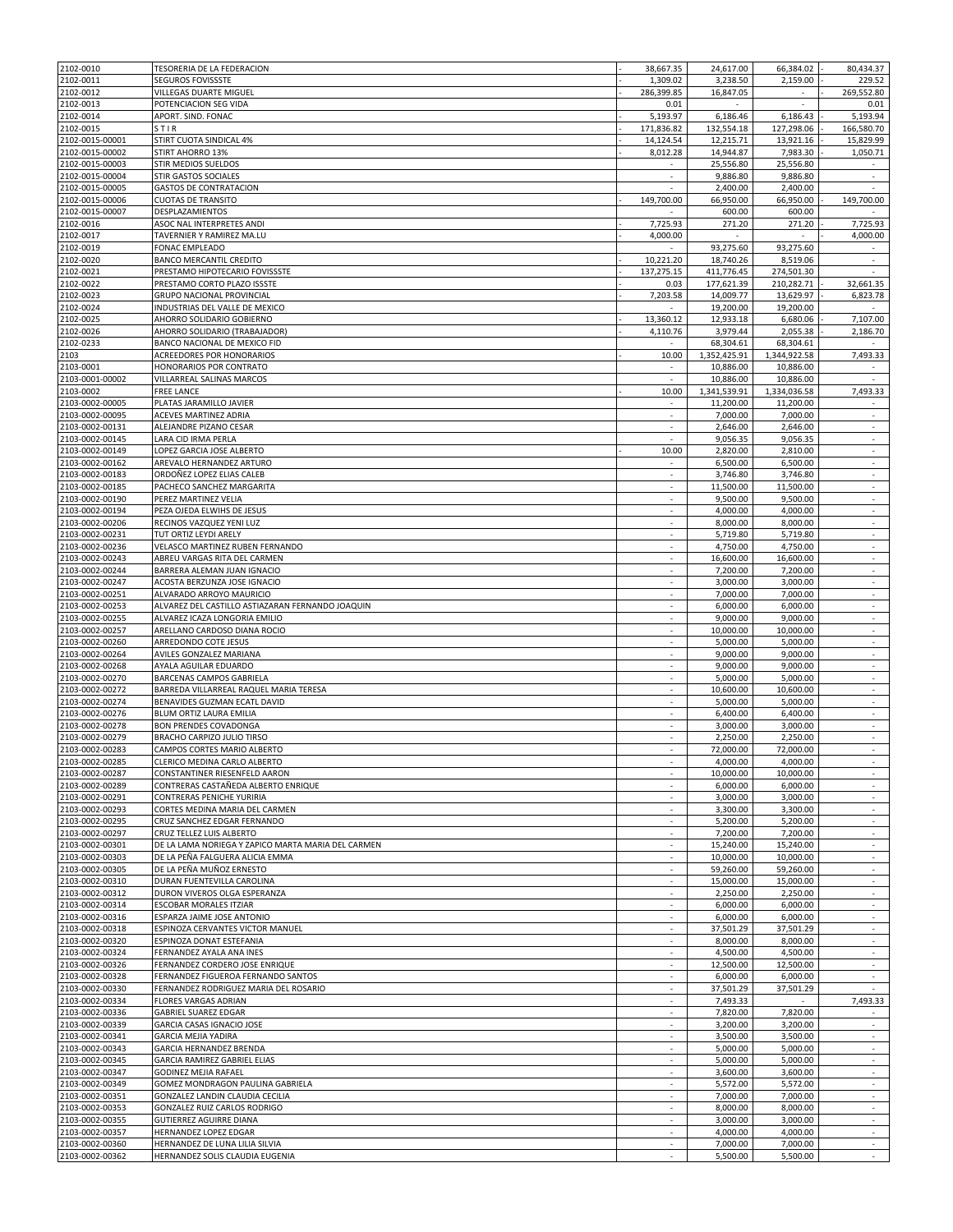| 2102-0010       | TESORERIA DE LA FEDERACION                         | 38,667.35                | 24,617.00    | 66,384.02                | 80,434.37  |
|-----------------|----------------------------------------------------|--------------------------|--------------|--------------------------|------------|
| 2102-0011       | SEGUROS FOVISSSTE                                  | 1,309.02                 | 3,238.50     | 2,159.00                 | 229.52     |
| 2102-0012       | VILLEGAS DUARTE MIGUEL                             | 286,399.85               | 16,847.05    |                          | 269,552.80 |
|                 |                                                    |                          |              |                          |            |
| 2102-0013       | POTENCIACION SEG VIDA                              | 0.01                     | $\sim$       | $\overline{\phantom{a}}$ | 0.01       |
| 2102-0014       | APORT. SIND. FONAC                                 | 5,193.97                 | 6,186.46     | 6,186.43                 | 5,193.94   |
| 2102-0015       | <b>STIR</b>                                        | 171,836.82               | 132,554.18   | 127,298.06               | 166,580.70 |
| 2102-0015-00001 | STIRT CUOTA SINDICAL 4%                            | 14,124.54                | 12,215.71    | 13,921.16                | 15,829.99  |
| 2102-0015-00002 | STIRT AHORRO 13%                                   | 8,012.28                 | 14,944.87    | 7,983.30                 | 1,050.71   |
| 2102-0015-00003 | STIR MEDIOS SUELDOS                                |                          |              |                          |            |
|                 |                                                    |                          | 25,556.80    | 25,556.80                |            |
| 2102-0015-00004 | <b>STIR GASTOS SOCIALES</b>                        | ÷.                       | 9,886.80     | 9,886.80                 | ×.         |
| 2102-0015-00005 | <b>GASTOS DE CONTRATACION</b>                      | $\sim$                   | 2,400.00     | 2,400.00                 |            |
| 2102-0015-00006 | <b>CUOTAS DE TRANSITO</b>                          | 149,700.00               | 66,950.00    | 66,950.00                | 149,700.00 |
| 2102-0015-00007 | DESPLAZAMIENTOS                                    |                          | 600.00       | 600.00                   |            |
| 2102-0016       | ASOC NAL INTERPRETES ANDI                          | 7,725.93                 | 271.20       | 271.20                   | 7,725.93   |
|                 | TAVERNIER Y RAMIREZ MA.LU                          |                          |              |                          |            |
| 2102-0017       |                                                    | 4,000.00                 |              |                          | 4,000.00   |
| 2102-0019       | FONAC EMPLEADO                                     |                          | 93,275.60    | 93,275.60                | $\sim$     |
| 2102-0020       | <b>BANCO MERCANTIL CREDITO</b>                     | 10,221.20                | 18,740.26    | 8,519.06                 |            |
| 2102-0021       | PRESTAMO HIPOTECARIO FOVISSSTE                     | 137,275.15               | 411,776.45   | 274,501.30               | ×.         |
| 2102-0022       | PRESTAMO CORTO PLAZO ISSSTE                        | 0.03                     | 177.621.39   | 210.282.71               | 32,661.35  |
| 2102-0023       | GRUPO NACIONAL PROVINCIAL                          | 7,203.58                 | 14,009.77    | 13,629.97                | 6,823.78   |
|                 |                                                    |                          |              |                          |            |
| 2102-0024       | INDUSTRIAS DEL VALLE DE MEXICO                     |                          | 19,200.00    | 19,200.00                |            |
| 2102-0025       | AHORRO SOLIDARIO GOBIERNO                          | 13,360.12                | 12,933.18    | 6,680.06                 | 7,107.00   |
| 2102-0026       | AHORRO SOLIDARIO (TRABAJADOR)                      | 4,110.76                 | 3,979.44     | 2,055.38                 | 2,186.70   |
| 2102-0233       | BANCO NACIONAL DE MEXICO FID                       |                          | 68,304.61    | 68,304.61                |            |
| 2103            | ACREEDORES POR HONORARIOS                          | 10.00                    | 1,352,425.91 | 1,344,922.58             | 7,493.33   |
|                 | HONORARIOS POR CONTRATO                            |                          |              |                          |            |
| 2103-0001       |                                                    |                          | 10,886.00    | 10,886.00                |            |
| 2103-0001-00002 | VILLARREAL SALINAS MARCOS                          | $\sim$                   | 10,886.00    | 10,886.00                |            |
| 2103-0002       | FREE LANCE                                         | 10.00                    | 1,341,539.91 | 1,334,036.58             | 7.493.33   |
| 2103-0002-00005 | PLATAS JARAMILLO JAVIER                            | $\sim$                   | 11,200.00    | 11,200.00                | $\sim$     |
| 2103-0002-00095 | <b>ACEVES MARTINEZ ADRIA</b>                       | $\sim$                   | 7,000.00     | 7,000.00                 | $\sim$     |
| 2103-0002-00131 | ALEJANDRE PIZANO CESAR                             | $\sim$                   | 2,646.00     | 2,646.00                 | $\sim$     |
|                 |                                                    |                          |              |                          |            |
| 2103-0002-00145 | LARA CID IRMA PERLA                                | $\sim$                   | 9,056.35     | 9,056.35                 | $\sim$     |
| 2103-0002-00149 | LOPEZ GARCIA JOSE ALBERTO                          | 10.00                    | 2,820.00     | 2,810.00                 | $\sim$     |
| 2103-0002-00162 | AREVALO HERNANDEZ ARTURO                           | ٠                        | 6,500.00     | 6,500.00                 | $\sim$     |
| 2103-0002-00183 | ORDOÑEZ LOPEZ ELIAS CALEB                          | ÷.                       | 3,746.80     | 3,746.80                 | ä,         |
| 2103-0002-00185 | PACHECO SANCHEZ MARGARITA                          | $\sim$                   | 11,500.00    | 11,500.00                | $\sim$     |
|                 |                                                    |                          |              |                          |            |
| 2103-0002-00190 | PEREZ MARTINEZ VELIA                               |                          | 9,500.00     | 9,500.00                 |            |
| 2103-0002-00194 | PEZA OJEDA ELWIHS DE JESUS                         | ×.                       | 4,000.00     | 4,000.00                 | $\sim$     |
| 2103-0002-00206 | RECINOS VAZQUEZ YENI LUZ                           | $\sim$                   | 8,000.00     | 8,000.00                 | $\sim$     |
| 2103-0002-00231 | TUT ORTIZ LEYDI ARELY                              | ×                        | 5,719.80     | 5,719.80                 | $\sim$     |
| 2103-0002-00236 | VELASCO MARTINEZ RUBEN FERNANDO                    | $\sim$                   | 4,750.00     | 4,750.00                 | $\sim$     |
| 2103-0002-00243 | ABREU VARGAS RITA DEL CARMEN                       | ÷.                       | 16,600.00    | 16,600.00                | ÷.         |
|                 |                                                    |                          |              |                          |            |
| 2103-0002-00244 | BARRERA ALEMAN JUAN IGNACIO                        | $\sim$                   | 7,200.00     | 7,200.00                 | $\sim$     |
| 2103-0002-00247 | ACOSTA BERZUNZA JOSE IGNACIO                       |                          | 3,000.00     | 3,000.00                 |            |
| 2103-0002-00251 | ALVARADO ARROYO MAURICIO                           | $\sim$                   | 7,000.00     | 7,000.00                 | $\sim$     |
| 2103-0002-00253 | ALVAREZ DEL CASTILLO ASTIAZARAN FERNANDO JOAQUIN   | $\sim$                   | 6,000.00     | 6,000.00                 | $\sim$     |
| 2103-0002-00255 | ALVAREZ ICAZA LONGORIA EMILIO                      | $\sim$                   | 9,000.00     | 9,000.00                 | $\sim$     |
|                 |                                                    |                          |              |                          |            |
| 2103-0002-00257 | ARELLANO CARDOSO DIANA ROCIO                       | $\sim$                   | 10,000.00    | 10,000.00                | $\sim$     |
| 2103-0002-00260 | ARREDONDO COTE JESUS                               | ×.                       | 5,000.00     | 5,000.00                 | ÷          |
| 2103-0002-00264 | AVILES GONZALEZ MARIANA                            | $\overline{\phantom{a}}$ | 9,000.00     | 9,000.00                 | $\sim$     |
| 2103-0002-00268 | AYALA AGUILAR EDUARDO                              |                          | 9,000.00     | 9,000.00                 | ×.         |
| 2103-0002-00270 | BARCENAS CAMPOS GABRIELA                           | $\sim$                   | 5,000.00     | 5,000.00                 | $\sim$     |
| 2103-0002-00272 | BARREDA VILLARREAL RAQUEL MARIA TERESA             |                          | 10,600.00    | 10,600.00                | $\sim$     |
|                 |                                                    | ×                        | 5,000.00     |                          | $\sim$     |
| 2103-0002-00274 | BENAVIDES GUZMAN ECATL DAVID                       |                          |              | 5,000.00                 |            |
| 2103-0002-00276 | BLUM ORTIZ LAURA EMILIA                            | $\sim$                   | 6,400.00     | 6,400.00                 | $\sim$     |
| 2103-0002-00278 | <b>BON PRENDES COVADONGA</b>                       | ×.                       | 3,000.00     | 3,000.00                 | ÷          |
| 2103-0002-00279 | BRACHO CARPIZO JULIO TIRSO                         | $\sim$                   | 2,250.00     | 2,250.00                 | $\sim$     |
| 2103-0002-00283 | CAMPOS CORTES MARIO ALBERTO                        | $\epsilon$               | 72,000.00    | 72,000.00                | ÷          |
| 2103-0002-00285 | CLERICO MEDINA CARLO ALBERTO                       |                          | 4,000.00     | 4,000.00                 |            |
| 2103-0002-00287 | CONSTANTINER RIESENFELD AARON                      |                          | 10,000.00    | 10,000.00                |            |
|                 |                                                    |                          |              |                          |            |
| 2103-0002-00289 | CONTRERAS CASTAÑEDA ALBERTO ENRIQUE                | $\sim$                   | 6,000.00     | 6,000.00                 | $\sim$     |
| 2103-0002-00291 | CONTRERAS PENICHE YURIRIA                          |                          | 3.000.00     | 3,000.00                 |            |
| 2103-0002-00293 | CORTES MEDINA MARIA DEL CARMEN                     | $\sim$                   | 3,300.00     | 3,300.00                 | $\sim$     |
| 2103-0002-00295 | CRUZ SANCHEZ EDGAR FERNANDO                        | $\sim$                   | 5,200.00     | 5,200.00                 | $\sim$     |
| 2103-0002-00297 | CRUZ TELLEZ LUIS ALBERTO                           | ÷                        | 7,200.00     | 7,200.00                 | $\sim$     |
| 2103-0002-00301 | DE LA LAMA NORIEGA Y ZAPICO MARTA MARIA DEL CARMEN | $\sim$                   | 15,240.00    | 15,240.00                | $\sim$     |
|                 |                                                    | ä,                       |              |                          |            |
| 2103-0002-00303 | DE LA PEÑA FALGUERA ALICIA EMMA                    |                          | 10,000.00    | 10,000.00                |            |
| 2103-0002-00305 | DE LA PEÑA MUÑOZ ERNESTO                           | $\sim$                   | 59,260.00    | 59,260.00                | $\sim$     |
| 2103-0002-00310 | DURAN FUENTEVILLA CAROLINA                         |                          | 15,000.00    | 15.000.00                |            |
| 2103-0002-00312 | DURON VIVEROS OLGA ESPERANZA                       | $\sim$                   | 2,250.00     | 2,250.00                 | $\sim$     |
| 2103-0002-00314 | <b>ESCOBAR MORALES ITZIAR</b>                      | $\sim$                   | 6,000.00     | 6,000.00                 | $\sim$     |
| 2103-0002-00316 | ESPARZA JAIME JOSE ANTONIO                         | $\sim$                   | 6,000.00     | 6,000.00                 | $\sim$     |
| 2103-0002-00318 | ESPINOZA CERVANTES VICTOR MANUEL                   | $\sim$                   | 37,501.29    | 37,501.29                | $\sim$     |
|                 |                                                    |                          |              |                          |            |
| 2103-0002-00320 | ESPINOZA DONAT ESTEFANIA                           | $\sim$                   | 8,000.00     | 8,000.00                 | $\sim$     |
| 2103-0002-00324 | FERNANDEZ AYALA ANA INES                           | $\sim$                   | 4,500.00     | 4,500.00                 | $\sim$     |
| 2103-0002-00326 | FERNANDEZ CORDERO JOSE ENRIQUE                     | ÷.                       | 12,500.00    | 12,500.00                |            |
| 2103-0002-00328 | FERNANDEZ FIGUEROA FERNANDO SANTOS                 | $\sim$                   | 6,000.00     | 6,000.00                 | $\sim$     |
| 2103-0002-00330 | FERNANDEZ RODRIGUEZ MARIA DEL ROSARIO              | $\overline{\phantom{a}}$ | 37,501.29    | 37,501.29                |            |
| 2103-0002-00334 | FLORES VARGAS ADRIAN                               | $\sim$                   | 7,493.33     |                          | 7,493.33   |
|                 |                                                    |                          |              |                          |            |
| 2103-0002-00336 | <b>GABRIEL SUAREZ EDGAR</b>                        | $\sim$                   | 7,820.00     | 7,820.00                 | $\sim$     |
| 2103-0002-00339 | GARCIA CASAS IGNACIO JOSE                          | $\mathcal{L}$            | 3,200.00     | 3,200.00                 | ÷.         |
| 2103-0002-00341 | <b>GARCIA MEJIA YADIRA</b>                         | $\sim$                   | 3,500.00     | 3,500.00                 | $\sim$     |
| 2103-0002-00343 | GARCIA HERNANDEZ BRENDA                            |                          | 5,000.00     | 5,000.00                 |            |
| 2103-0002-00345 | GARCIA RAMIREZ GABRIEL ELIAS                       | $\sim$                   | 5,000.00     | 5,000.00                 | $\sim$     |
| 2103-0002-00347 | <b>GODINEZ MEJIA RAFAEL</b>                        |                          | 3,600.00     | 3,600.00                 |            |
|                 |                                                    |                          |              |                          |            |
| 2103-0002-00349 | GOMEZ MONDRAGON PAULINA GABRIELA                   | $\sim$                   | 5,572.00     | 5,572.00                 | $\sim$     |
| 2103-0002-00351 | GONZALEZ LANDIN CLAUDIA CECILIA                    |                          | 7,000.00     | 7,000.00                 |            |
| 2103-0002-00353 | GONZALEZ RUIZ CARLOS RODRIGO                       | $\sim$                   | 8,000.00     | 8,000.00                 | $\sim$     |
| 2103-0002-00355 | <b>GUTIERREZ AGUIRRE DIANA</b>                     | $\sim$                   | 3,000.00     | 3,000.00                 | $\sim$     |
| 2103-0002-00357 | HERNANDEZ LOPEZ EDGAR                              | ÷                        | 4,000.00     | 4,000.00                 | $\sim$     |
| 2103-0002-00360 | HERNANDEZ DE LUNA LILIA SILVIA                     | $\sim$                   | 7,000.00     | 7,000.00                 | ÷          |
|                 |                                                    | ä,                       |              |                          |            |
| 2103-0002-00362 | HERNANDEZ SOLIS CLAUDIA EUGENIA                    |                          | 5,500.00     | 5,500.00                 |            |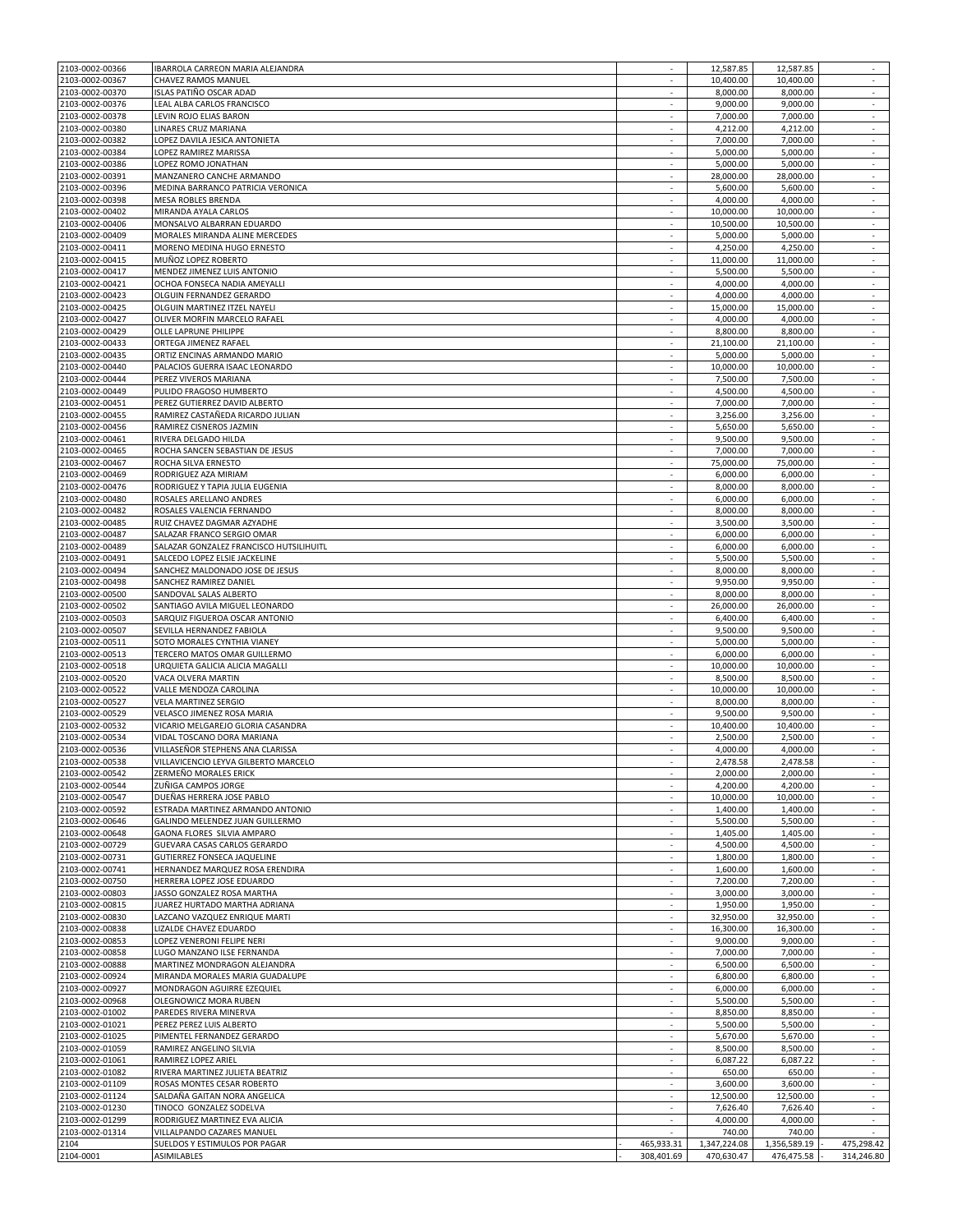| 2103-0002-00366 | IBARROLA CARREON MARIA ALEJANDRA        |                          | 12,587.85    | 12,587.85    | $\sim$        |
|-----------------|-----------------------------------------|--------------------------|--------------|--------------|---------------|
| 2103-0002-00367 | CHAVEZ RAMOS MANUEL                     | $\sim$                   | 10,400.00    | 10,400.00    | $\sim$        |
| 2103-0002-00370 | ISLAS PATIÑO OSCAR ADAD                 |                          | 8,000.00     | 8,000.00     |               |
| 2103-0002-00376 | LEAL ALBA CARLOS FRANCISCO              | $\overline{\phantom{a}}$ | 9,000.00     | 9,000.00     | $\sim$        |
| 2103-0002-00378 | LEVIN ROJO ELIAS BARON                  |                          | 7,000.00     | 7,000.00     |               |
|                 |                                         |                          |              |              |               |
| 2103-0002-00380 | LINARES CRUZ MARIANA                    | $\sim$                   | 4,212.00     | 4,212.00     | $\sim$        |
| 2103-0002-00382 | LOPEZ DAVILA JESICA ANTONIETA           | $\sim$                   | 7,000.00     | 7,000.00     | $\sim$        |
| 2103-0002-00384 | LOPEZ RAMIREZ MARISSA                   | ÷.                       | 5,000.00     | 5,000.00     | $\sim$        |
| 2103-0002-00386 | LOPEZ ROMO JONATHAN                     | $\overline{\phantom{a}}$ | 5,000.00     | 5,000.00     | ٠             |
| 2103-0002-00391 | MANZANERO CANCHE ARMANDO                | ×                        | 28,000.00    | 28,000.00    | ÷.            |
| 2103-0002-00396 | MEDINA BARRANCO PATRICIA VERONICA       | $\overline{\phantom{a}}$ | 5,600.00     | 5,600.00     | $\sim$        |
| 2103-0002-00398 | MESA ROBLES BRENDA                      |                          | 4,000.00     | 4,000.00     |               |
|                 |                                         |                          |              |              |               |
| 2103-0002-00402 | MIRANDA AYALA CARLOS                    | $\sim$                   | 10,000.00    | 10,000.00    | $\sim$        |
| 2103-0002-00406 | MONSALVO ALBARRAN EDUARDO               | $\sim$                   | 10,500.00    | 10,500.00    | $\sim$        |
| 2103-0002-00409 | MORALES MIRANDA ALINE MERCEDES          | $\sim$                   | 5,000.00     | 5,000.00     | $\sim$        |
| 2103-0002-00411 | MORENO MEDINA HUGO ERNESTO              | $\sim$                   | 4,250.00     | 4,250.00     | $\sim$        |
| 2103-0002-00415 | MUÑOZ LOPEZ ROBERTO                     | ×                        | 11,000.00    | 11,000.00    | ÷             |
| 2103-0002-00417 | MENDEZ JIMENEZ LUIS ANTONIO             | $\sim$                   | 5,500.00     | 5,500.00     | $\sim$        |
| 2103-0002-00421 | OCHOA FONSECA NADIA AMEYALLI            |                          | 4,000.00     | 4,000.00     | ÷             |
|                 |                                         | ٠                        |              |              | $\sim$        |
| 2103-0002-00423 | OLGUIN FERNANDEZ GERARDO                |                          | 4,000.00     | 4,000.00     |               |
| 2103-0002-00425 | OLGUIN MARTINEZ ITZEL NAYELI            |                          | 15,000.00    | 15,000.00    |               |
| 2103-0002-00427 | OLIVER MORFIN MARCELO RAFAEL            | $\sim$                   | 4,000.00     | 4,000.00     | $\sim$        |
| 2103-0002-00429 | OLLE LAPRUNE PHILIPPE                   |                          | 8,800.00     | 8,800.00     |               |
| 2103-0002-00433 | ORTEGA JIMENEZ RAFAEL                   | $\sim$                   | 21,100.00    | 21,100.00    | $\sim$        |
| 2103-0002-00435 | ORTIZ ENCINAS ARMANDO MARIO             | $\sim$                   | 5,000.00     | 5,000.00     | $\sim$        |
| 2103-0002-00440 | PALACIOS GUERRA ISAAC LEONARDO          | ×                        | 10,000.00    | 10,000.00    | $\sim$        |
|                 |                                         |                          |              |              |               |
| 2103-0002-00444 | PEREZ VIVEROS MARIANA                   | $\sim$                   | 7,500.00     | 7,500.00     | ٠             |
| 2103-0002-00449 | PULIDO FRAGOSO HUMBERTO                 | ×.                       | 4,500.00     | 4,500.00     | ×.            |
| 2103-0002-00451 | PEREZ GUTIERREZ DAVID ALBERTO           | $\overline{\phantom{a}}$ | 7,000.00     | 7,000.00     | $\sim$        |
| 2103-0002-00455 | RAMIREZ CASTAÑEDA RICARDO JULIAN        |                          | 3.256.00     | 3,256.00     |               |
| 2103-0002-00456 | RAMIREZ CISNEROS JAZMIN                 | $\sim$                   | 5,650.00     | 5,650.00     | $\sim$        |
| 2103-0002-00461 | RIVERA DELGADO HILDA                    | $\sim$                   | 9,500.00     | 9,500.00     | $\sim$        |
| 2103-0002-00465 | ROCHA SANCEN SEBASTIAN DE JESUS         | $\sim$                   | 7,000.00     | 7,000.00     | $\sim$        |
|                 |                                         |                          |              |              |               |
| 2103-0002-00467 | ROCHA SILVA ERNESTO                     | $\sim$                   | 75,000.00    | 75,000.00    | $\sim$        |
| 2103-0002-00469 | RODRIGUEZ AZA MIRIAM                    | ×.                       | 6,000.00     | 6,000.00     | ÷             |
| 2103-0002-00476 | RODRIGUEZ Y TAPIA JULIA EUGENIA         | $\overline{\phantom{a}}$ | 8,000.00     | 8,000.00     | $\sim$        |
| 2103-0002-00480 | ROSALES ARELLANO ANDRES                 |                          | 6,000.00     | 6,000.00     | ×.            |
| 2103-0002-00482 | ROSALES VALENCIA FERNANDO               | $\sim$                   | 8,000.00     | 8,000.00     | $\sim$        |
|                 |                                         |                          |              |              |               |
| 2103-0002-00485 | RUIZ CHAVEZ DAGMAR AZYADHE              | $\sim$                   | 3,500.00     | 3,500.00     | $\sim$        |
| 2103-0002-00487 | SALAZAR FRANCO SERGIO OMAR              | ÷.                       | 6,000.00     | 6,000.00     | $\sim$        |
| 2103-0002-00489 | SALAZAR GONZALEZ FRANCISCO HUTSILIHUITL | $\sim$                   | 6,000.00     | 6,000.00     | $\sim$        |
| 2103-0002-00491 | SALCEDO LOPEZ ELSIE JACKELINE           | $\sim$                   | 5,500.00     | 5,500.00     | $\mathcal{L}$ |
| 2103-0002-00494 | SANCHEZ MALDONADO JOSE DE JESUS         | $\sim$                   | 8,000.00     | 8,000.00     | $\sim$        |
| 2103-0002-00498 | SANCHEZ RAMIREZ DANIEL                  |                          | 9,950.00     | 9,950.00     | $\sim$        |
|                 |                                         |                          |              |              |               |
| 2103-0002-00500 | SANDOVAL SALAS ALBERTO                  | ٠                        | 8,000.00     | 8,000.00     | $\sim$        |
| 2103-0002-00502 | SANTIAGO AVILA MIGUEL LEONARDO          |                          | 26,000.00    | 26,000.00    |               |
| 2103-0002-00503 | SARQUIZ FIGUEROA OSCAR ANTONIO          | $\sim$                   | 6,400.00     | 6,400.00     | $\sim$        |
| 2103-0002-00507 | SEVILLA HERNANDEZ FABIOLA               | $\sim$                   | 9,500.00     | 9,500.00     | $\sim$        |
| 2103-0002-00511 | SOTO MORALES CYNTHIA VIANEY             | ÷.                       | 5,000.00     | 5,000.00     | $\sim$        |
| 2103-0002-00513 | TERCERO MATOS OMAR GUILLERMO            | $\sim$                   | 6,000.00     | 6,000.00     | $\sim$        |
| 2103-0002-00518 | URQUIETA GALICIA ALICIA MAGALLI         | ÷.                       | 10,000.00    | 10,000.00    | $\mathcal{L}$ |
|                 |                                         |                          |              |              |               |
| 2103-0002-00520 | VACA OLVERA MARTIN                      | $\overline{\phantom{a}}$ | 8,500.00     | 8,500.00     | $\sim$        |
| 2103-0002-00522 | VALLE MENDOZA CAROLINA                  |                          | 10,000.00    | 10,000.00    |               |
| 2103-0002-00527 | <b>VELA MARTINEZ SERGIO</b>             | $\sim$                   | 8,000.00     | 8,000.00     | $\sim$        |
| 2103-0002-00529 | VELASCO JIMENEZ ROSA MARIA              |                          | 9,500.00     | 9.500.00     |               |
| 2103-0002-00532 | VICARIO MELGAREJO GLORIA CASANDRA       | $\sim$                   | 10,400.00    | 10,400.00    | $\sim$        |
| 2103-0002-00534 | VIDAL TOSCANO DORA MARIANA              | $\sim$                   | 2,500.00     | 2,500.00     | $\sim$        |
|                 |                                         | ÷.                       |              |              | $\sim$        |
| 2103-0002-00536 | VILLASEÑOR STEPHENS ANA CLARISSA        |                          | 4,000.00     | 4,000.00     |               |
| 2103-0002-00538 | VILLAVICENCIO LEYVA GILBERTO MARCELO    |                          | 2,478.58     | 2,478.58     |               |
| 2103-0002-00542 | ZERMEÑO MORALES ERICK                   | $\mathcal{L}$            | 2,000.00     | 2,000.00     | ÷             |
| 2103-0002-00544 | ZUÑIGA CAMPOS JORGE                     | $\sim$                   | 4,200.00     | 4,200.00     | $\sim$        |
| 2103-0002-00547 | DUEÑAS HERRERA JOSE PABLO               |                          | 10,000.00    | 10,000.00    |               |
| 2103-0002-00592 | ESTRADA MARTINEZ ARMANDO ANTONIO        | $\sim$                   | 1,400.00     | 1,400.00     | $\sim$        |
| 2103-0002-00646 | GALINDO MELENDEZ JUAN GUILLERMO         | $\overline{\phantom{a}}$ | 5,500.00     | 5,500.00     |               |
| 2103-0002-00648 | GAONA FLORES SILVIA AMPARO              | $\sim$                   | 1,405.00     | 1,405.00     | $\sim$        |
|                 |                                         | $\sim$                   | 4,500.00     | 4,500.00     | $\sim$        |
| 2103-0002-00729 | GUEVARA CASAS CARLOS GERARDO            |                          |              |              |               |
| 2103-0002-00731 | GUTIERREZ FONSECA JAQUELINE             | ×                        | 1,800.00     | 1,800.00     | ÷             |
| 2103-0002-00741 | HERNANDEZ MARQUEZ ROSA ERENDIRA         | $\sim$                   | 1,600.00     | 1,600.00     | $\sim$        |
| 2103-0002-00750 | HERRERA LOPEZ JOSE EDUARDO              |                          | 7,200.00     | 7,200.00     |               |
| 2103-0002-00803 | JASSO GONZALEZ ROSA MARTHA              | $\overline{\phantom{a}}$ | 3,000.00     | 3,000.00     | ٠             |
| 2103-0002-00815 | JUAREZ HURTADO MARTHA ADRIANA           |                          | 1,950.00     | 1,950.00     |               |
| 2103-0002-00830 | LAZCANO VAZQUEZ ENRIQUE MARTI           | $\sim$                   | 32,950.00    | 32,950.00    | $\sim$        |
| 2103-0002-00838 | LIZALDE CHAVEZ EDUARDO                  | $\sim$                   | 16,300.00    | 16,300.00    | $\sim$        |
|                 |                                         | $\sim$                   |              |              |               |
| 2103-0002-00853 | LOPEZ VENERONI FELIPE NERI              |                          | 9,000.00     | 9,000.00     | $\sim$        |
| 2103-0002-00858 | LUGO MANZANO ILSE FERNANDA              | $\sim$                   | 7,000.00     | 7,000.00     | $\sim$        |
| 2103-0002-00888 | MARTINEZ MONDRAGON ALEJANDRA            | ×                        | 6,500.00     | 6,500.00     | $\sim$        |
| 2103-0002-00924 | MIRANDA MORALES MARIA GUADALUPE         | $\sim$                   | 6,800.00     | 6,800.00     | $\sim$        |
| 2103-0002-00927 | MONDRAGON AGUIRRE EZEQUIEL              | $\overline{\phantom{a}}$ | 6,000.00     | 6,000.00     |               |
| 2103-0002-00968 | OLEGNOWICZ MORA RUBEN                   | $\sim$                   | 5,500.00     | 5,500.00     | $\sim$        |
| 2103-0002-01002 | PAREDES RIVERA MINERVA                  |                          | 8,850.00     | 8,850.00     |               |
|                 |                                         |                          |              |              |               |
| 2103-0002-01021 | PEREZ PEREZ LUIS ALBERTO                | $\sim$                   | 5,500.00     | 5,500.00     | $\sim$        |
| 2103-0002-01025 | PIMENTEL FERNANDEZ GERARDO              | $\sim$                   | 5,670.00     | 5,670.00     | $\sim$        |
| 2103-0002-01059 | RAMIREZ ANGELINO SILVIA                 | ×                        | 8,500.00     | 8,500.00     | $\sim$        |
| 2103-0002-01061 | RAMIREZ LOPEZ ARIEL                     | $\sim$                   | 6,087.22     | 6,087.22     | $\sim$        |
| 2103-0002-01082 | RIVERA MARTINEZ JULIETA BEATRIZ         | $\overline{\phantom{a}}$ | 650.00       | 650.00       | $\sim$        |
| 2103-0002-01109 | ROSAS MONTES CESAR ROBERTO              | $\sim$                   | 3,600.00     | 3,600.00     | $\sim$        |
| 2103-0002-01124 | SALDAÑA GAITAN NORA ANGELICA            |                          | 12,500.00    | 12,500.00    |               |
|                 |                                         |                          |              |              |               |
| 2103-0002-01230 | TINOCO GONZALEZ SODELVA                 | $\sim$                   | 7,626.40     | 7,626.40     | $\sim$        |
| 2103-0002-01299 | RODRIGUEZ MARTINEZ EVA ALICIA           | $\sim$                   | 4,000.00     | 4,000.00     |               |
| 2103-0002-01314 | VILLALPANDO CAZARES MANUEL              |                          | 740.00       | 740.00       |               |
| 2104            | SUELDOS Y ESTIMULOS POR PAGAR           | 465,933.31               | 1,347,224.08 | 1,356,589.19 | 475,298.42    |
| 2104-0001       | ASIMILABLES                             | 308,401.69               | 470,630.47   | 476,475.58   | 314,246.80    |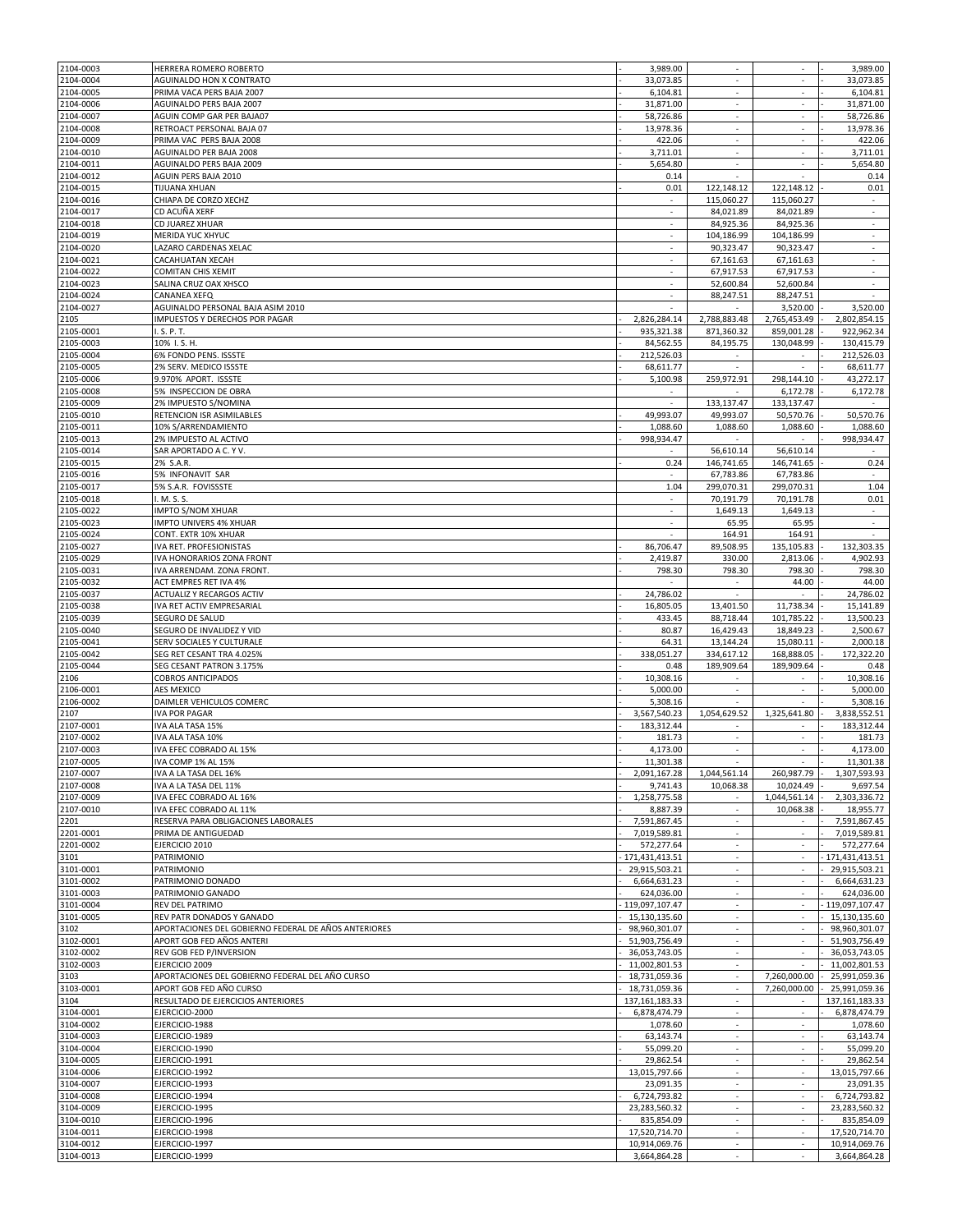| 2104-0003 | HERRERA ROMERO ROBERTO                               | 3,989.00                 |                          |                          | 3,989.00          |
|-----------|------------------------------------------------------|--------------------------|--------------------------|--------------------------|-------------------|
| 2104-0004 | AGUINALDO HON X CONTRATO                             | 33,073.85                | $\sim$                   | $\overline{\phantom{a}}$ | 33,073.85         |
| 2104-0005 | PRIMA VACA PERS BAJA 2007                            | 6,104.81                 | ×.                       | ×.                       | 6,104.81          |
|           |                                                      |                          |                          |                          |                   |
| 2104-0006 | AGUINALDO PERS BAJA 2007                             | 31,871.00                | $\sim$                   | $\overline{\phantom{a}}$ | 31,871.00         |
| 2104-0007 | AGUIN COMP GAR PER BAJA07                            | 58,726.86                |                          |                          | 58,726.86         |
| 2104-0008 | RETROACT PERSONAL BAJA 07                            | 13,978.36                | $\overline{\phantom{a}}$ | $\overline{\phantom{a}}$ | 13,978.36         |
| 2104-0009 | PRIMA VAC PERS BAJA 2008                             | 422.06                   |                          |                          | 422.06            |
| 2104-0010 | AGUINALDO PER BAJA 2008                              | 3,711.01                 | $\overline{\phantom{a}}$ | $\overline{\phantom{a}}$ | 3,711.01          |
| 2104-0011 | AGUINALDO PERS BAJA 2009                             | 5,654.80                 | $\overline{\phantom{a}}$ | $\overline{\phantom{a}}$ | 5,654.80          |
| 2104-0012 | AGUIN PERS BAJA 2010                                 | 0.14                     | ×.                       | $\sim$                   | 0.14              |
|           |                                                      |                          |                          |                          |                   |
| 2104-0015 | TIJUANA XHUAN                                        | 0.01                     | 122,148.12               | 122,148.12               | 0.01              |
| 2104-0016 | CHIAPA DE CORZO XECHZ                                | $\sim$                   | 115,060.27               | 115,060.27               | $\sim$            |
| 2104-0017 | CD ACUÑA XERF                                        | $\overline{\phantom{a}}$ | 84,021.89                | 84,021.89                | $\sim$            |
| 2104-0018 | CD JUAREZ XHUAR                                      | ×,                       | 84,925.36                | 84,925.36                | ä,                |
| 2104-0019 | MERIDA YUC XHYUC                                     | $\sim$                   | 104,186.99               | 104,186.99               | $\sim$            |
| 2104-0020 | LAZARO CARDENAS XELAC                                |                          | 90,323.47                | 90,323.47                |                   |
| 2104-0021 | CACAHUATAN XECAH                                     | ×.                       | 67,161.63                | 67,161.63                | $\sim$            |
| 2104-0022 | <b>COMITAN CHIS XEMIT</b>                            | $\sim$                   | 67,917.53                | 67,917.53                | $\sim$            |
|           |                                                      |                          |                          |                          |                   |
| 2104-0023 | SALINA CRUZ OAX XHSCO                                | ×.                       | 52,600.84                | 52,600.84                | $\sim$            |
| 2104-0024 | CANANEA XEFQ                                         | $\sim$                   | 88,247.51                | 88,247.51                |                   |
| 2104-0027 | AGUINALDO PERSONAL BAJA ASIM 2010                    |                          |                          | 3,520.00                 | 3,520.00          |
| 2105      | IMPUESTOS Y DERECHOS POR PAGAR                       | 2,826,284.14             | 2,788,883.48             | 2,765,453.49             | 2,802,854.15      |
| 2105-0001 | I.S.P.T.                                             | 935,321.38               | 871,360.32               | 859,001.28               | 922,962.34        |
| 2105-0003 | 10% I.S. H.                                          | 84,562.55                | 84,195.75                | 130,048.99               | 130,415.79        |
| 2105-0004 | 6% FONDO PENS. ISSSTE                                | 212,526.03               |                          |                          | 212,526.03        |
|           |                                                      |                          | ٠                        |                          |                   |
| 2105-0005 | 2% SERV. MEDICO ISSSTE                               | 68,611.77                | ×.                       |                          | 68,611.77         |
| 2105-0006 | 9.970% APORT. ISSSTE                                 | 5,100.98                 | 259,972.91               | 298,144.10               | 43,272.17         |
| 2105-0008 | 5% INSPECCION DE OBRA                                |                          |                          | 6,172.78                 | 6,172.78          |
| 2105-0009 | 2% IMPUESTO S/NOMINA                                 | $\sim$                   | 133,137.47               | 133,137.47               |                   |
| 2105-0010 | RETENCION ISR ASIMILABLES                            | 49,993.07                | 49,993.07                | 50,570.76                | 50,570.76         |
| 2105-0011 | 10% S/ARRENDAMIENTO                                  | 1,088.60                 | 1,088.60                 | 1,088.60                 | 1,088.60          |
| 2105-0013 | 2% IMPUESTO AL ACTIVO                                | 998,934.47               |                          |                          | 998,934.47        |
|           |                                                      |                          |                          |                          |                   |
| 2105-0014 | SAR APORTADO A C. Y V.                               |                          | 56,610.14                | 56,610.14                |                   |
| 2105-0015 | 2% S.A.R.                                            | 0.24                     | 146,741.65               | 146,741.65               | 0.24              |
| 2105-0016 | 5% INFONAVIT SAR                                     | ×.                       | 67,783.86                | 67,783.86                | $\sim$            |
| 2105-0017 | 5% S.A.R. FOVISSSTE                                  | 1.04                     | 299,070.31               | 299,070.31               | 1.04              |
| 2105-0018 | I. M. S. S.                                          | ÷.                       | 70,191.79                | 70,191.78                | 0.01              |
| 2105-0022 | <b>IMPTO S/NOM XHUAR</b>                             | $\overline{\phantom{a}}$ | 1,649.13                 | 1,649.13                 | ٠                 |
| 2105-0023 |                                                      |                          |                          |                          |                   |
|           | IMPTO UNIVERS 4% XHUAR                               |                          | 65.95                    | 65.95                    |                   |
| 2105-0024 | CONT. EXTR 10% XHUAR                                 |                          | 164.91                   | 164.91                   |                   |
| 2105-0027 | IVA RET. PROFESIONISTAS                              | 86,706.47                | 89,508.95                | 135,105.83               | 132,303.35        |
| 2105-0029 | IVA HONORARIOS ZONA FRONT                            | 2,419.87                 | 330.00                   | 2,813.06                 | 4,902.93          |
| 2105-0031 | IVA ARRENDAM. ZONA FRONT.                            | 798.30                   | 798.30                   | 798.30                   | 798.30            |
| 2105-0032 | <b>ACT EMPRES RET IVA 4%</b>                         |                          | $\overline{\phantom{a}}$ | 44.00                    | 44.00             |
| 2105-0037 | <b>ACTUALIZ Y RECARGOS ACTIV</b>                     | 24,786.02                |                          |                          | 24,786.02         |
|           |                                                      |                          |                          |                          |                   |
| 2105-0038 | IVA RET ACTIV EMPRESARIAL                            | 16,805.05                | 13,401.50                | 11,738.34                | 15,141.89         |
| 2105-0039 | SEGURO DE SALUD                                      | 433.45                   | 88,718.44                | 101,785.22               | 13,500.23         |
| 2105-0040 | SEGURO DE INVALIDEZ Y VID                            | 80.87                    | 16,429.43                | 18,849.23                | 2,500.67          |
| 2105-0041 | SERV SOCIALES Y CULTURALE                            | 64.31                    | 13,144.24                | 15,080.11                | 2,000.18          |
| 2105-0042 | SEG RET CESANT TRA 4.025%                            | 338,051.27               | 334,617.12               | 168,888.05               | 172,322.20        |
| 2105-0044 | SEG CESANT PATRON 3.175%                             | 0.48                     | 189,909.64               | 189,909.64               | 0.48              |
| 2106      | <b>COBROS ANTICIPADOS</b>                            | 10,308.16                | $\sim$                   | ٠                        | 10,308.16         |
|           |                                                      |                          | $\overline{\phantom{a}}$ | $\overline{\phantom{a}}$ |                   |
| 2106-0001 | AES MEXICO                                           | 5,000.00                 |                          |                          | 5,000.00          |
| 2106-0002 | DAIMLER VEHICULOS COMERC                             | 5,308.16                 |                          |                          | 5,308.16          |
| 2107      | <b>IVA POR PAGAR</b>                                 | 3,567,540.23             | 1,054,629.52             | 1,325,641.80             | 3,838,552.51      |
| 2107-0001 | IVA ALA TASA 15%                                     | 183,312.44               |                          |                          | 183,312.44        |
| 2107-0002 | IVA ALA TASA 10%                                     | 181.73                   |                          |                          | 181.73            |
| 2107-0003 | IVA EFEC COBRADO AL 15%                              | 4,173.00                 | $\overline{\phantom{a}}$ | $\overline{\phantom{a}}$ | 4,173.00          |
| 2107-0005 | IVA COMP 1% AL 15%                                   | 11,301.38                |                          |                          | 11,301.38         |
| 2107-0007 | IVA A LA TASA DEL 16%                                | 2,091,167.28             | 1,044,561.14             | 260,987.79               | 1,307,593.93      |
|           |                                                      |                          |                          |                          |                   |
| 2107-0008 | IVA A LA TASA DEL 11%                                | 9,741.43                 | 10,068.38                | 10,024.49                | 9,697.54          |
| 2107-0009 | IVA EFEC COBRADO AL 16%                              | 1,258,775.58             |                          | 1,044,561.14             | 2,303,336.72      |
| 2107-0010 | IVA EFEC COBRADO AL 11%                              | 8,887.39                 | $\overline{\phantom{a}}$ | 10,068.38                | 18,955.77         |
| 2201      | RESERVA PARA OBLIGACIONES LABORALES                  | 7,591,867.45             | $\overline{\phantom{a}}$ |                          | 7,591,867.45      |
| 2201-0001 | PRIMA DE ANTIGUEDAD                                  | 7,019,589.81             | ÷                        | $\sim$                   | 7,019,589.81      |
| 2201-0002 | EJERCICIO 2010                                       | 572,277.64               |                          |                          | 572,277.64        |
| 3101      | <b>PATRIMONIO</b>                                    | 171,431,413.51           | $\overline{\phantom{a}}$ | $\sim$                   | 171,431,413.51    |
| 3101-0001 | PATRIMONIO                                           | 29,915,503.21            | $\sim$                   | $\sim$                   | 29,915,503.21     |
| 3101-0002 | PATRIMONIO DONADO                                    | 6,664,631.23             | ÷.                       | $\mathcal{L}$            | 6,664,631.23      |
|           |                                                      |                          |                          |                          |                   |
| 3101-0003 | PATRIMONIO GANADO                                    | 624,036.00               | $\sim$                   | ٠                        | 624,036.00        |
| 3101-0004 | REV DEL PATRIMO                                      | 119,097,107.47           | $\overline{\phantom{a}}$ | $\overline{\phantom{a}}$ | 119,097,107.47    |
| 3101-0005 | REV PATR DONADOS Y GANADO                            | 15,130,135.60            | $\overline{\phantom{a}}$ | $\overline{\phantom{a}}$ | 15,130,135.60     |
| 3102      | APORTACIONES DEL GOBIERNO FEDERAL DE AÑOS ANTERIORES | 98,960,301.07            |                          |                          | 98,960,301.07     |
| 3102-0001 | APORT GOB FED AÑOS ANTERI                            | 51,903,756.49            | $\sim$                   | $\sim$                   | 51,903,756.49     |
| 3102-0002 | REV GOB FED P/INVERSION                              | 36,053,743.05            | $\sim$                   | $\sim$                   | 36,053,743.05     |
| 3102-0003 | EJERCICIO 2009                                       | 11,002,801.53            | $\overline{\phantom{a}}$ |                          | 11,002,801.53     |
| 3103      | APORTACIONES DEL GOBIERNO FEDERAL DEL AÑO CURSO      | 18,731,059.36            | $\sim$                   | 7,260,000.00             | 25,991,059.36     |
| 3103-0001 | APORT GOB FED AÑO CURSO                              | 18,731,059.36            | ÷.                       | 7,260,000.00             | 25,991,059.36     |
|           |                                                      |                          |                          |                          |                   |
| 3104      | RESULTADO DE EJERCICIOS ANTERIORES                   | 137, 161, 183. 33        | $\sim$                   |                          | 137, 161, 183. 33 |
| 3104-0001 | EJERCICIO-2000                                       | 6,878,474.79             |                          |                          | 6,878,474.79      |
| 3104-0002 | EJERCICIO-1988                                       | 1,078.60                 | $\overline{\phantom{a}}$ | $\sim$                   | 1,078.60          |
| 3104-0003 |                                                      |                          | $\overline{\phantom{a}}$ | ٠                        | 63,143.74         |
|           | EJERCICIO-1989                                       | 63,143.74                |                          |                          |                   |
| 3104-0004 | EJERCICIO-1990                                       | 55,099.20                | $\sim$                   | $\sim$                   | 55,099.20         |
|           |                                                      |                          | $\overline{\phantom{a}}$ | $\sim$                   |                   |
| 3104-0005 | EJERCICIO-1991                                       | 29,862.54                |                          |                          | 29,862.54         |
| 3104-0006 | EJERCICIO-1992                                       | 13,015,797.66            | ÷.                       | $\overline{\phantom{a}}$ | 13,015,797.66     |
| 3104-0007 | EJERCICIO-1993                                       | 23,091.35                | ÷                        | $\overline{\phantom{a}}$ | 23,091.35         |
| 3104-0008 | EJERCICIO-1994                                       | 6,724,793.82             | ÷.                       | $\overline{\phantom{a}}$ | 6,724,793.82      |
| 3104-0009 | EJERCICIO-1995                                       | 23,283,560.32            | $\overline{\phantom{a}}$ | ٠                        | 23,283,560.32     |
| 3104-0010 | EJERCICIO-1996                                       | 835,854.09               | $\overline{\phantom{a}}$ | $\overline{\phantom{a}}$ | 835,854.09        |
| 3104-0011 | EJERCICIO-1998                                       | 17,520,714.70            | $\overline{\phantom{a}}$ | $\overline{\phantom{a}}$ | 17,520,714.70     |
| 3104-0012 | EJERCICIO-1997                                       | 10,914,069.76            |                          |                          | 10,914,069.76     |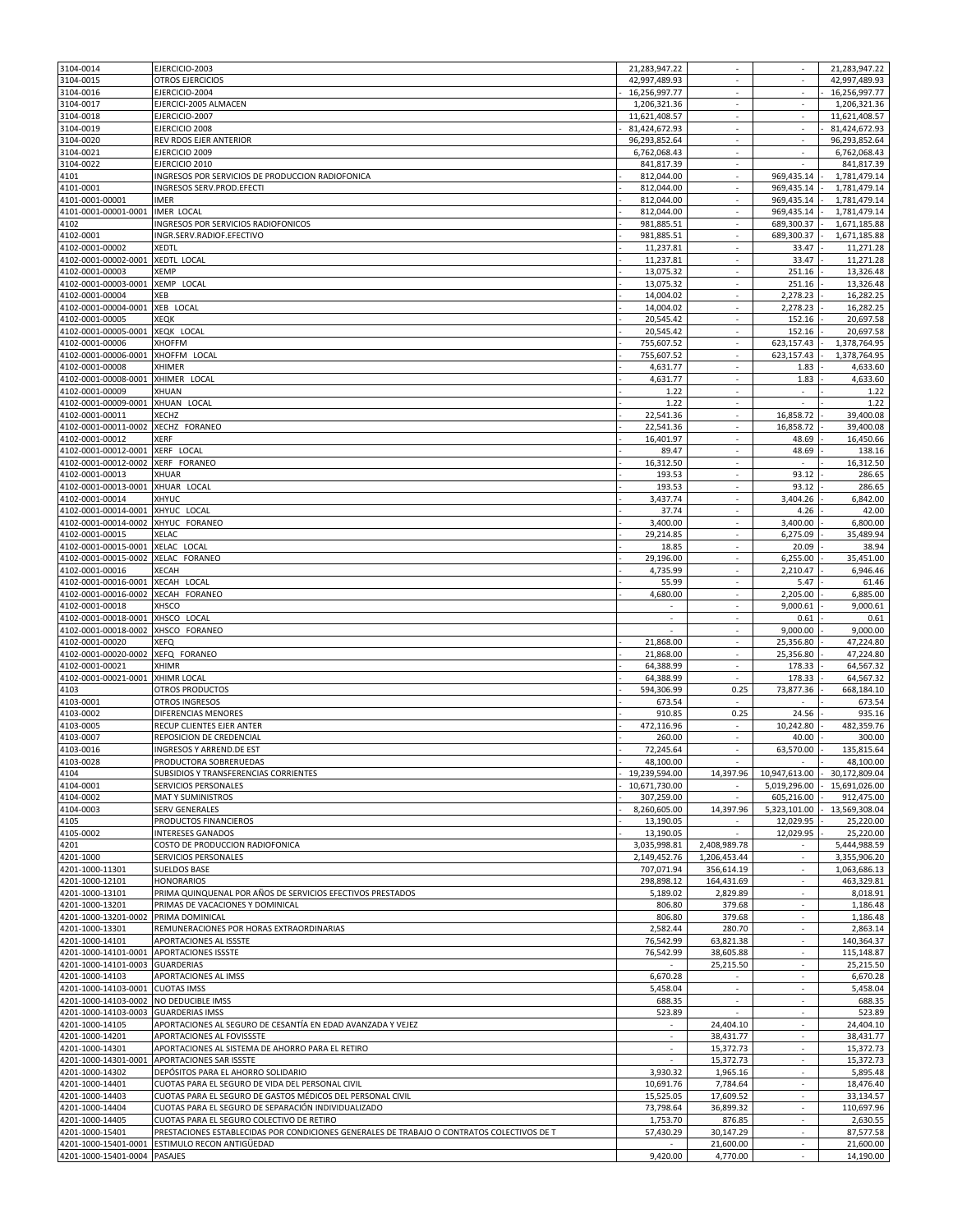| 3104-0014                                    | EJERCICIO-2003                                                                             | 21,283,947.22            | $\sim$                      | $\sim$                      | 21,283,947.22          |
|----------------------------------------------|--------------------------------------------------------------------------------------------|--------------------------|-----------------------------|-----------------------------|------------------------|
| 3104-0015                                    | <b>OTROS EJERCICIOS</b>                                                                    | 42,997,489.93            | ×.                          | $\overline{\phantom{a}}$    | 42,997,489.93          |
| 3104-0016                                    | EJERCICIO-2004                                                                             | 16,256,997.77            | ÷                           | ×.                          | 16,256,997.77          |
| 3104-0017                                    | EJERCICI-2005 ALMACEN                                                                      | 1,206,321.36             | $\overline{\phantom{a}}$    | $\overline{\phantom{a}}$    | 1,206,321.36           |
| 3104-0018                                    | EJERCICIO-2007                                                                             | 11,621,408.57            |                             |                             | 11,621,408.57          |
| 3104-0019                                    | EJERCICIO 2008                                                                             | 81,424,672.93            | $\overline{\phantom{a}}$    | $\overline{\phantom{a}}$    | 81,424,672.93          |
| 3104-0020                                    | REV RDOS EJER ANTERIOR                                                                     | 96,293,852.64            |                             |                             | 96.293.852.64          |
| 3104-0021                                    | EJERCICIO 2009                                                                             | 6,762,068.43             | $\overline{\phantom{a}}$    | $\overline{\phantom{a}}$    | 6,762,068.43           |
| 3104-0022                                    | EJERCICIO 2010                                                                             | 841,817.39               | $\overline{\phantom{a}}$    |                             | 841,817.39             |
| 4101                                         | INGRESOS POR SERVICIOS DE PRODUCCION RADIOFONICA                                           | 812,044.00               | ÷                           | 969,435.14                  | 1,781,479.14           |
| 4101-0001                                    | INGRESOS SERV.PROD.EFECTI                                                                  | 812,044.00               | $\sim$                      | 969,435.14                  | 1,781,479.14           |
| 4101-0001-00001                              | <b>IMER</b>                                                                                | 812,044.00               | ÷                           | 969,435.14                  | 1,781,479.14           |
| 4101-0001-00001-0001                         | <b>IMER LOCAL</b>                                                                          | 812,044.00               |                             | 969,435.14                  | 1,781,479.14           |
| 4102                                         | INGRESOS POR SERVICIOS RADIOFONICOS                                                        | 981,885.51               | ×.                          | 689,300.37                  | 1,671,185.88           |
| 4102-0001                                    | INGR.SERV.RADIOF.EFECTIVO                                                                  | 981,885.51               | $\overline{\phantom{a}}$    | 689,300.37                  | 1,671,185.88           |
| 4102-0001-00002                              |                                                                                            | 11,237.81                |                             |                             | 11,271.28              |
|                                              | XEDTL                                                                                      |                          |                             | 33.47                       |                        |
| 4102-0001-00002-0001                         | <b>XEDTL LOCAL</b>                                                                         | 11,237.81                | ÷                           | 33.47                       | 11,271.28              |
| 4102-0001-00003                              | <b>XEMP</b>                                                                                | 13,075.32                | $\overline{\phantom{a}}$    | 251.16                      | 13,326.48              |
| 4102-0001-00003-0001                         | XEMP LOCAL                                                                                 | 13,075.32                | $\mathcal{L}_{\mathcal{A}}$ | 251.16                      | 13,326.48              |
| 4102-0001-00004                              | XEB                                                                                        | 14,004.02                | $\sim$                      | 2,278.23                    | 16,282.25              |
| 4102-0001-00004-0001                         | XEB LOCAL                                                                                  | 14,004.02                |                             | 2,278.23                    | 16,282.25              |
| 4102-0001-00005                              | XEQK                                                                                       | 20,545.42                | $\overline{\phantom{a}}$    | 152.16                      | 20,697.58              |
| 4102-0001-00005-0001                         | XEQK LOCAL                                                                                 | 20,545.42                |                             | 152.16                      | 20,697.58              |
| 4102-0001-00006                              | <b>XHOFFM</b>                                                                              | 755,607.52               | $\overline{\phantom{a}}$    | 623,157.43                  | 1,378,764.95           |
| 4102-0001-00006-0001                         | XHOFFM LOCAL                                                                               | 755,607.52               | $\overline{\phantom{a}}$    | 623,157.43                  | 1,378,764.95           |
| 4102-0001-00008                              | XHIMER                                                                                     | 4,631.77                 | ÷                           | 1.83                        | 4,633.60               |
| 4102-0001-00008-0001                         | XHIMER LOCAL                                                                               | 4,631.77                 | $\sim$                      | 1.83                        | 4,633.60               |
| 4102-0001-00009                              | XHUAN                                                                                      | 1.22                     | $\mathcal{L}_{\mathcal{A}}$ | $\mathcal{L}_{\mathcal{A}}$ | 1.22                   |
| 4102-0001-00009-0001                         | XHUAN LOCAL                                                                                | 1.22                     | $\overline{\phantom{a}}$    | $\overline{\phantom{a}}$    | 1.22                   |
| 4102-0001-00011                              | XECHZ                                                                                      | 22,541.36                |                             | 16,858.72                   | 39,400.08              |
| 4102-0001-00011-0002                         | XECHZ FORANEO                                                                              | 22,541.36                | $\overline{\phantom{a}}$    | 16,858.72                   | 39,400.08              |
| 4102-0001-00012                              | <b>XERF</b>                                                                                | 16,401.97                |                             |                             | 16.450.66              |
|                                              |                                                                                            |                          |                             | 48.69                       |                        |
| 4102-0001-00012-0001                         | XERF LOCAL                                                                                 | 89.47                    | $\overline{\phantom{a}}$    | 48.69                       | 138.16                 |
| 4102-0001-00012-0002                         | XERF FORANEO                                                                               | 16,312.50                | $\overline{\phantom{a}}$    | $\overline{\phantom{a}}$    | 16,312.50              |
| 4102-0001-00013                              | <b>XHUAR</b>                                                                               | 193.53                   | ÷                           | 93.12                       | 286.65                 |
| 4102-0001-00013-0001 XHUAR LOCAL             |                                                                                            | 193.53                   | $\overline{\phantom{a}}$    | 93.12                       | 286.65                 |
| 4102-0001-00014                              | XHYUC                                                                                      | 3,437.74                 | $\mathcal{L}_{\mathcal{A}}$ | 3,404.26                    | 6,842.00               |
| 4102-0001-00014-0001                         | XHYUC LOCAL                                                                                | 37.74                    | $\overline{\phantom{a}}$    | 4.26                        | 42.00                  |
| 4102-0001-00014-0002                         | XHYUC FORANEO                                                                              | 3,400.00                 |                             | 3,400.00                    | 6,800.00               |
| 4102-0001-00015                              | <b>XELAC</b>                                                                               | 29,214.85                | $\overline{\phantom{a}}$    | 6,275.09                    | 35,489.94              |
| 4102-0001-00015-0001                         | XELAC LOCAL                                                                                | 18.85                    |                             | 20.09                       | 38.94                  |
| 4102-0001-00015-0002                         | <b>XELAC</b><br><b>FORANEO</b>                                                             | 29,196.00                | ÷                           | 6,255.00                    | 35,451.00              |
| 4102-0001-00016                              | <b>XECAH</b>                                                                               | 4,735.99                 | $\overline{\phantom{a}}$    | 2,210.47                    | 6,946.46               |
| 4102-0001-00016-0001                         | XECAH LOCAL                                                                                | 55.99                    | ÷                           | 5.47                        | 61.46                  |
| 4102-0001-00016-0002                         | XECAH FORANEO                                                                              | 4,680.00                 | $\sim$                      | 2,205.00                    | 6,885.00               |
| 4102-0001-00018                              | XHSCO                                                                                      |                          |                             | 9,000.61                    | 9,000.61               |
|                                              |                                                                                            |                          |                             |                             |                        |
| 4102-0001-00018-0001                         | LOCAL<br>XHSCO                                                                             | $\overline{\phantom{a}}$ | $\overline{\phantom{a}}$    | 0.61                        | 0.61                   |
| 4102-0001-00018-0002                         | XHSCO<br><b>FORANEO</b>                                                                    |                          |                             | 9,000.00                    | 9,000.00               |
| 4102-0001-00020                              | XEFQ                                                                                       | 21,868.00                | $\overline{\phantom{a}}$    | 25,356.80                   | 47,224.80              |
| 4102-0001-00020-0002                         | XEFQ FORANEO                                                                               | 21,868.00                | $\sim$                      | 25,356.80                   | 47,224.80              |
| 4102-0001-00021                              | <b>XHIMR</b>                                                                               | 64,388.99                | ÷                           | 178.33                      | 64,567.32              |
| 4102-0001-00021-0001                         | <b>XHIMR LOCAL</b>                                                                         | 64,388.99                | $\sim$                      | 178.33                      | 64,567.32              |
| 4103                                         | <b>OTROS PRODUCTOS</b>                                                                     | 594,306.99               | 0.25                        | 73,877.36                   | 668,184.10             |
| 4103-0001                                    | OTROS INGRESOS                                                                             | 673.54                   | $\overline{\phantom{a}}$    |                             | 673.54                 |
| 4103-0002                                    | DIFERENCIAS MENORES                                                                        | 910.85                   | 0.25                        | 24.56                       | 935.16                 |
| 4103-0005                                    | RECUP CLIENTES EJER ANTER                                                                  | 472,116.96               | $\overline{\phantom{a}}$    | 10,242.80                   | 482,359.76             |
| 4103-0007                                    | REPOSICION DE CREDENCIAL                                                                   | 260.00                   |                             | 40.00                       | 300.00                 |
| 4103-0016                                    | INGRESOS Y ARREND.DE EST                                                                   | 72,245.64                | $\overline{\phantom{a}}$    | 63,570.00                   | 135,815.64             |
| 4103-0028                                    | PRODUCTORA SOBRERUEDAS                                                                     | 48,100.00                |                             |                             | 48,100.00              |
| 4104                                         | SUBSIDIOS Y TRANSFERENCIAS CORRIENTES                                                      | 19,239,594.00            | 14,397.96                   | 10,947,613.00               | 30,172,809.04          |
| 4104-0001                                    | SERVICIOS PERSONALES                                                                       | 10,671,730.00            | $\sim$                      | 5,019,296.00                | 15,691,026.00          |
| 4104-0002                                    | MAT Y SUMINISTROS                                                                          | 307,259.00               |                             | 605,216.00                  | 912,475.00             |
| 4104-0003                                    | <b>SERV GENERALES</b>                                                                      | 8,260,605.00             | 14,397.96                   | 5,323,101.00                | 13,569,308.04          |
| 4105                                         | PRODUCTOS FINANCIEROS                                                                      | 13,190.05                |                             | 12,029.95                   | 25,220.00              |
| 4105-0002                                    | <b>INTERESES GANADOS</b>                                                                   | 13,190.05                | $\sim$                      | 12,029.95                   | 25,220.00              |
| 4201                                         | COSTO DE PRODUCCION RADIOFONICA                                                            | 3,035,998.81             | 2,408,989.78                |                             | 5,444,988.59           |
| 4201-1000                                    | SERVICIOS PERSONALES                                                                       | 2,149,452.76             | 1,206,453.44                | $\sim$                      | 3,355,906.20           |
|                                              |                                                                                            | 707,071.94               | 356,614.19                  |                             |                        |
| 4201-1000-11301                              | <b>SUELDOS BASE</b>                                                                        |                          |                             | $\sim$<br>×.                | 1,063,686.13           |
| 4201-1000-12101                              | <b>HONORARIOS</b>                                                                          | 298,898.12               | 164,431.69                  |                             | 463,329.81             |
| 4201-1000-13101                              | PRIMA QUINQUENAL POR AÑOS DE SERVICIOS EFECTIVOS PRESTADOS                                 | 5,189.02                 | 2,829.89                    | $\overline{\phantom{a}}$    | 8,018.91               |
| 4201-1000-13201                              | PRIMAS DE VACACIONES Y DOMINICAL                                                           | 806.80                   | 379.68                      | $\overline{\phantom{a}}$    | 1,186.48               |
| 4201-1000-13201-0002                         | PRIMA DOMINICAL                                                                            | 806.80                   | 379.68                      | $\overline{\phantom{a}}$    | 1,186.48               |
| 4201-1000-13301                              | REMUNERACIONES POR HORAS EXTRAORDINARIAS                                                   | 2,582.44                 | 280.70                      |                             | 2,863.14               |
| 4201-1000-14101                              | APORTACIONES AL ISSSTE                                                                     | 76,542.99                | 63,821.38                   | $\overline{\phantom{a}}$    | 140,364.37             |
| 4201-1000-14101-0001                         |                                                                                            |                          |                             |                             |                        |
| 4201-1000-14101-0003                         | APORTACIONES ISSSTE                                                                        | 76,542.99                | 38,605.88                   | $\sim$                      | 115,148.87             |
|                                              | <b>GUARDERIAS</b>                                                                          |                          | 25,215.50                   | $\overline{\phantom{a}}$    | 25,215.50              |
| 4201-1000-14103                              | APORTACIONES AL IMSS                                                                       | 6,670.28                 | $\sim$                      | $\overline{\phantom{a}}$    | 6,670.28               |
| 4201-1000-14103-0001                         | <b>CUOTAS IMSS</b>                                                                         | 5,458.04                 | $\mathcal{L}$               | ×.                          | 5,458.04               |
| 4201-1000-14103-0002                         | NO DEDUCIBLE IMSS                                                                          | 688.35                   | $\sim$                      | ٠                           | 688.35                 |
|                                              |                                                                                            |                          |                             |                             |                        |
| 4201-1000-14103-0003                         | <b>GUARDERIAS IMSS</b>                                                                     | 523.89<br>$\sim$         |                             | $\overline{\phantom{a}}$    | 523.89                 |
| 4201-1000-14105                              | APORTACIONES AL SEGURO DE CESANTÍA EN EDAD AVANZADA Y VEJEZ                                |                          | 24,404.10                   |                             | 24,404.10              |
| 4201-1000-14201                              | APORTACIONES AL FOVISSSTE                                                                  | $\sim$                   | 38,431.77                   | ٠                           | 38,431.77              |
| 4201-1000-14301                              | APORTACIONES AL SISTEMA DE AHORRO PARA EL RETIRO                                           | ÷.                       | 15,372.73                   | $\sim$                      | 15,372.73              |
| 4201-1000-14301-0001                         | APORTACIONES SAR ISSSTE                                                                    |                          | 15,372.73                   | $\overline{\phantom{a}}$    | 15,372.73              |
| 4201-1000-14302                              | DEPÓSITOS PARA EL AHORRO SOLIDARIO                                                         | 3,930.32                 | 1,965.16                    | $\mathcal{L}_{\mathcal{A}}$ | 5,895.48               |
| 4201-1000-14401                              | CUOTAS PARA EL SEGURO DE VIDA DEL PERSONAL CIVIL                                           | 10,691.76                | 7,784.64                    | $\overline{\phantom{a}}$    | 18,476.40              |
| 4201-1000-14403                              | CUOTAS PARA EL SEGURO DE GASTOS MÉDICOS DEL PERSONAL CIVIL                                 | 15,525.05                | 17,609.52                   | ×.                          | 33,134.57              |
| 4201-1000-14404                              | CUOTAS PARA EL SEGURO DE SEPARACIÓN INDIVIDUALIZADO                                        | 73,798.64                | 36,899.32                   |                             | 110,697.96             |
| 4201-1000-14405                              | CUOTAS PARA EL SEGURO COLECTIVO DE RETIRO                                                  | 1,753.70                 | 876.85                      | $\overline{\phantom{a}}$    | 2,630.55               |
| 4201-1000-15401                              | PRESTACIONES ESTABLECIDAS POR CONDICIONES GENERALES DE TRABAJO O CONTRATOS COLECTIVOS DE T | 57,430.29                | 30,147.29                   | $\overline{\phantom{a}}$    | 87,577.58              |
| 4201-1000-15401-0001<br>4201-1000-15401-0004 | ESTIMULO RECON ANTIGÜEDAD<br>PASAJES                                                       | 9,420.00                 | 21,600.00<br>4,770.00       |                             | 21,600.00<br>14,190.00 |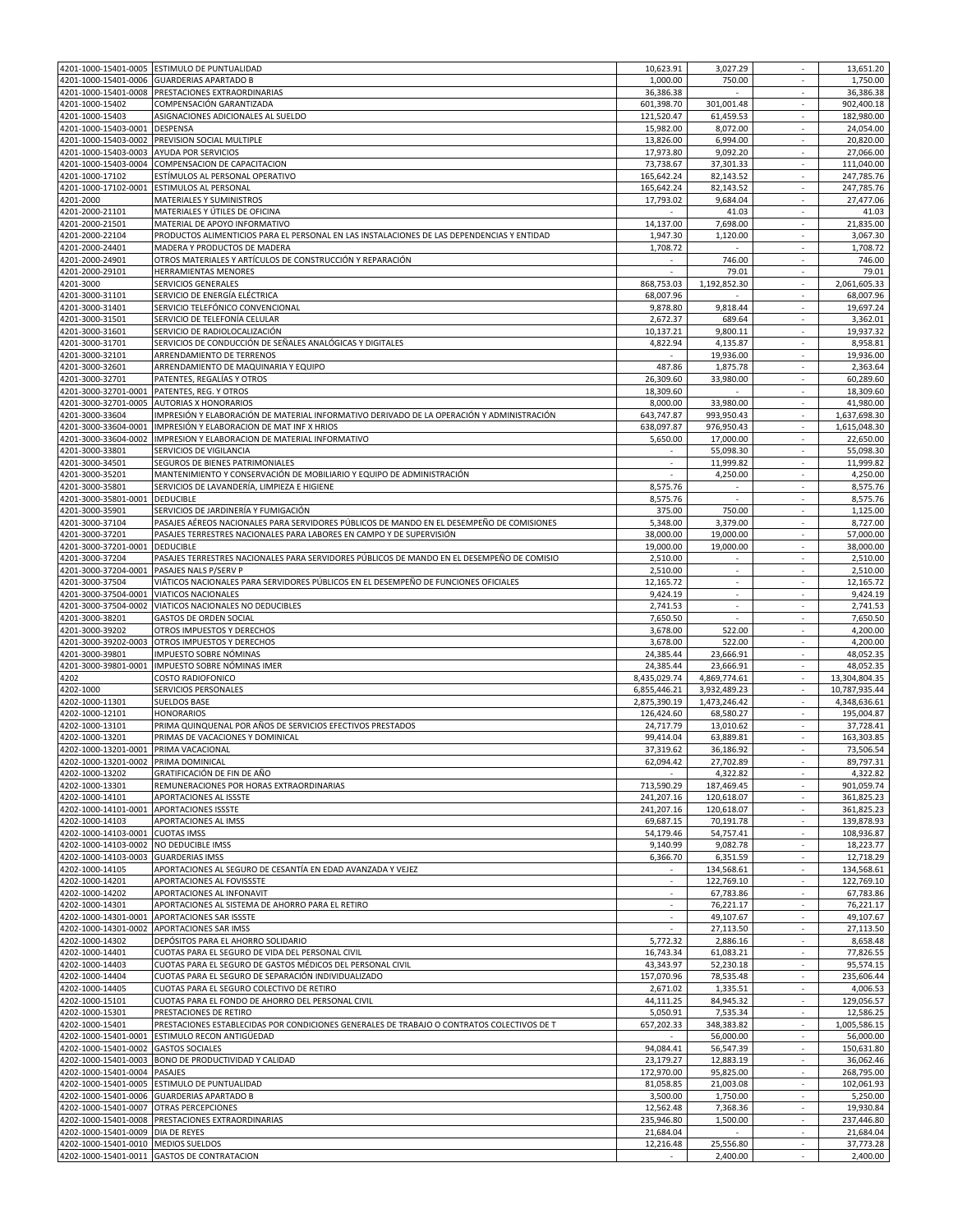|                                          | 4201-1000-15401-0005 ESTIMULO DE PUNTUALIDAD                                               | 10,623.91           | 3,027.29                 |                             | 13,651.20             |
|------------------------------------------|--------------------------------------------------------------------------------------------|---------------------|--------------------------|-----------------------------|-----------------------|
|                                          | 4201-1000-15401-0006 GUARDERIAS APARTADO B                                                 | 1,000.00            | 750.00                   | $\overline{\phantom{a}}$    | 1,750.00              |
|                                          |                                                                                            |                     |                          |                             |                       |
| 4201-1000-15401-0008                     | PRESTACIONES EXTRAORDINARIAS                                                               | 36,386.38           |                          | $\overline{\phantom{a}}$    | 36,386.38             |
| 4201-1000-15402                          | COMPENSACIÓN GARANTIZADA                                                                   | 601,398.70          | 301,001.48               | ٠                           | 902,400.18            |
| 4201-1000-15403                          | ASIGNACIONES ADICIONALES AL SUELDO                                                         | 121,520.47          | 61,459.53                |                             | 182.980.00            |
| 4201-1000-15403-0001                     | <b>DESPENSA</b>                                                                            | 15,982.00           | 8,072.00                 | $\overline{\phantom{a}}$    | 24,054.00             |
| 4201-1000-15403-0002                     | PREVISION SOCIAL MULTIPLE                                                                  | 13,826.00           | 6,994.00                 | $\overline{\phantom{a}}$    | 20,820.00             |
|                                          | <b>AYUDA POR SERVICIOS</b>                                                                 |                     |                          | $\sim$                      |                       |
| 4201-1000-15403-0003                     |                                                                                            | 17,973.80           | 9,092.20                 |                             | 27,066.00             |
| 4201-1000-15403-0004                     | COMPENSACION DE CAPACITACION                                                               | 73,738.67           | 37,301.33                | $\sim$                      | 111,040.00            |
| 4201-1000-17102                          | ESTÍMULOS AL PERSONAL OPERATIVO                                                            | 165,642.24          | 82,143.52                | $\overline{\phantom{a}}$    | 247,785.76            |
|                                          | 4201-1000-17102-0001 ESTIMULOS AL PERSONAL                                                 | 165,642.24          | 82,143.52                | $\overline{\phantom{a}}$    | 247,785.76            |
| 4201-2000                                | MATERIALES Y SUMINISTROS                                                                   | 17,793.02           | 9,684.04                 | ä,                          | 27,477.06             |
|                                          |                                                                                            |                     |                          |                             |                       |
| 4201-2000-21101                          | MATERIALES Y ÚTILES DE OFICINA                                                             |                     | 41.03                    | $\overline{\phantom{a}}$    | 41.03                 |
| 4201-2000-21501                          | MATERIAL DE APOYO INFORMATIVO                                                              | 14,137.00           | 7,698.00                 | $\overline{\phantom{a}}$    | 21,835.00             |
| 4201-2000-22104                          | PRODUCTOS ALIMENTICIOS PARA EL PERSONAL EN LAS INSTALACIONES DE LAS DEPENDENCIAS Y ENTIDAD | 1,947.30            | 1,120.00                 | ×.                          | 3,067.30              |
| 4201-2000-24401                          | MADERA Y PRODUCTOS DE MADERA                                                               | 1,708.72            | $\overline{\phantom{a}}$ | $\overline{\phantom{a}}$    | 1,708.72              |
|                                          |                                                                                            |                     |                          | $\mathcal{L}$               |                       |
| 4201-2000-24901                          | OTROS MATERIALES Y ARTÍCULOS DE CONSTRUCCIÓN Y REPARACIÓN                                  |                     | 746.00                   |                             | 746.00                |
| 4201-2000-29101                          | HERRAMIENTAS MENORES                                                                       | $\sim$              | 79.01                    | $\overline{\phantom{a}}$    | 79.01                 |
| 4201-3000                                | SERVICIOS GENERALES                                                                        | 868,753.03          | 1,192,852.30             | ÷                           | 2,061,605.33          |
| 4201-3000-31101                          | SERVICIO DE ENERGÍA ELÉCTRICA                                                              | 68,007.96           |                          | $\overline{\phantom{a}}$    | 68,007.96             |
|                                          |                                                                                            |                     |                          |                             |                       |
| 4201-3000-31401                          | SERVICIO TELEFÓNICO CONVENCIONAL                                                           | 9,878.80            | 9,818.44                 |                             | 19,697.24             |
| 4201-3000-31501                          | SERVICIO DE TELEFONÍA CELULAR                                                              | 2,672.37            | 689.64                   | $\overline{\phantom{a}}$    | 3,362.01              |
| 4201-3000-31601                          | SERVICIO DE RADIOLOCALIZACIÓN                                                              | 10,137.21           | 9,800.11                 |                             | 19,937.32             |
| 4201-3000-31701                          | SERVICIOS DE CONDUCCIÓN DE SEÑALES ANALÓGICAS Y DIGITALES                                  | 4,822.94            |                          | $\sim$                      | 8,958.81              |
|                                          |                                                                                            |                     | 4,135.87                 |                             |                       |
| 4201-3000-32101                          | ARRENDAMIENTO DE TERRENOS                                                                  | $\sim$              | 19,936.00                | $\overline{\phantom{a}}$    | 19,936.00             |
| 4201-3000-32601                          | ARRENDAMIENTO DE MAQUINARIA Y EQUIPO                                                       | 487.86              | 1,875.78                 | $\mathcal{L}$               | 2,363.64              |
| 4201-3000-32701                          | PATENTES, REGALÍAS Y OTROS                                                                 | 26,309.60           | 33,980.00                | $\sim$                      | 60,289.60             |
|                                          |                                                                                            |                     |                          |                             |                       |
| 4201-3000-32701-0001                     | PATENTES, REG. Y OTROS                                                                     | 18,309.60           |                          | $\overline{\phantom{a}}$    | 18,309.60             |
| 4201-3000-32701-0005                     | <b>AUTORIAS X HONORARIOS</b>                                                               | 8,000.00            | 33,980.00                | $\overline{\phantom{a}}$    | 41,980.00             |
| 4201-3000-33604                          | IMPRESIÓN Y ELABORACIÓN DE MATERIAL INFORMATIVO DERIVADO DE LA OPERACIÓN Y ADMINISTRACIÓN  | 643,747.87          | 993,950.43               |                             | 1,637,698.30          |
| 4201-3000-33604-0001                     | IMPRESIÓN Y ELABORACION DE MAT INF X HRIOS                                                 | 638,097.87          | 976,950.43               | $\overline{\phantom{a}}$    | 1,615,048.30          |
|                                          |                                                                                            |                     |                          |                             |                       |
| 4201-3000-33604-0002                     | IMPRESION Y ELABORACION DE MATERIAL INFORMATIVO                                            | 5,650.00            | 17,000.00                | $\sim$                      | 22,650.00             |
| 4201-3000-33801                          | SERVICIOS DE VIGILANCIA                                                                    | ×.                  | 55,098.30                | $\sim$                      | 55,098.30             |
| 4201-3000-34501                          | SEGUROS DE BIENES PATRIMONIALES                                                            | $\sim$              | 11,999.82                | $\overline{\phantom{a}}$    | 11,999.82             |
|                                          |                                                                                            |                     |                          |                             |                       |
| 4201-3000-35201                          | MANTENIMIENTO Y CONSERVACIÓN DE MOBILIARIO Y EQUIPO DE ADMINISTRACIÓN                      |                     | 4,250.00                 | $\mathcal{L}_{\mathcal{A}}$ | 4,250.00              |
| 4201-3000-35801                          | SERVICIOS DE LAVANDERÍA, LIMPIEZA E HIGIENE                                                | 8,575.76            | $\overline{\phantom{a}}$ | $\overline{\phantom{a}}$    | 8,575.76              |
| 4201-3000-35801-0001                     | <b>DEDUCIBLE</b>                                                                           | 8,575.76            |                          |                             | 8,575.76              |
| 4201-3000-35901                          | SERVICIOS DE JARDINERÍA Y FUMIGACIÓN                                                       | 375.00              | 750.00                   | $\overline{\phantom{a}}$    | 1,125.00              |
|                                          |                                                                                            |                     |                          |                             |                       |
| 4201-3000-37104                          | PASAJES AÉREOS NACIONALES PARA SERVIDORES PÚBLICOS DE MANDO EN EL DESEMPEÑO DE COMISIONES  | 5,348.00            | 3,379.00                 | $\overline{\phantom{a}}$    | 8,727.00              |
| 4201-3000-37201                          | PASAJES TERRESTRES NACIONALES PARA LABORES EN CAMPO Y DE SUPERVISIÓN                       | 38,000.00           | 19,000.00                | $\overline{\phantom{a}}$    | 57,000.00             |
| 4201-3000-37201-0001                     | <b>DEDUCIBLE</b>                                                                           | 19,000.00           | 19,000.00                | $\overline{\phantom{a}}$    | 38,000.00             |
|                                          |                                                                                            |                     |                          |                             |                       |
| 4201-3000-37204                          | PASAJES TERRESTRES NACIONALES PARA SERVIDORES PÚBLICOS DE MANDO EN EL DESEMPEÑO DE COMISIO | 2,510.00            |                          | ä,                          | 2,510.00              |
|                                          | 4201-3000-37204-0001 PASAJES NALS P/SERV P                                                 | 2,510.00            | $\sim$                   | $\overline{\phantom{a}}$    | 2,510.00              |
| 4201-3000-37504                          | VIÁTICOS NACIONALES PARA SERVIDORES PÚBLICOS EN EL DESEMPEÑO DE FUNCIONES OFICIALES        | 12,165.72           |                          |                             | 12,165.72             |
|                                          |                                                                                            |                     | $\overline{\phantom{a}}$ | $\overline{\phantom{a}}$    |                       |
| 4201-3000-37504-0001                     | <b>VIATICOS NACIONALES</b>                                                                 | 9,424.19            |                          |                             | 9,424.19              |
| 4201-3000-37504-0002                     | VIATICOS NACIONALES NO DEDUCIBLES                                                          | 2,741.53            |                          |                             | 2,741.53              |
| 4201-3000-38201                          | <b>GASTOS DE ORDEN SOCIAL</b>                                                              | 7,650.50            | $\overline{\phantom{a}}$ | $\overline{\phantom{a}}$    | 7,650.50              |
| 4201-3000-39202                          | OTROS IMPUESTOS Y DERECHOS                                                                 | 3,678.00            | 522.00                   | $\overline{\phantom{a}}$    | 4,200.00              |
|                                          |                                                                                            |                     |                          |                             |                       |
| 4201-3000-39202-0003                     | OTROS IMPUESTOS Y DERECHOS                                                                 | 3,678.00            | 522.00                   | $\overline{\phantom{a}}$    | 4,200.00              |
| 4201-3000-39801                          | IMPUESTO SOBRE NÓMINAS                                                                     | 24,385.44           | 23,666.91                | $\sim$                      | 48,052.35             |
| 4201-3000-39801-0001                     | IMPUESTO SOBRE NÓMINAS IMER                                                                | 24,385.44           | 23,666.91                | $\mathcal{L}$               | 48,052.35             |
| 4202                                     | <b>COSTO RADIOFONICO</b>                                                                   | 8,435,029.74        | 4,869,774.61             | $\overline{\phantom{a}}$    | 13,304,804.35         |
|                                          |                                                                                            |                     |                          |                             |                       |
| 4202-1000                                | SERVICIOS PERSONALES                                                                       | 6,855,446.21        | 3,932,489.23             | $\overline{\phantom{a}}$    | 10,787,935.44         |
| 4202-1000-11301                          | <b>SUELDOS BASE</b>                                                                        | 2,875,390.19        | 1,473,246.42             | $\overline{\phantom{a}}$    | 4,348,636.61          |
| 4202-1000-12101                          | <b>HONORARIOS</b>                                                                          | 126,424.60          | 68,580.27                |                             | 195,004.87            |
| 4202-1000-13101                          | PRIMA QUINQUENAL POR AÑOS DE SERVICIOS EFECTIVOS PRESTADOS                                 | 24,717.79           | 13,010.62                | $\overline{\phantom{a}}$    | 37,728.41             |
|                                          |                                                                                            |                     |                          |                             |                       |
| 4202-1000-13201                          | PRIMAS DE VACACIONES Y DOMINICAL                                                           | 99,414.04           | 63,889.81                | $\sim$                      | 163,303.85            |
| 4202-1000-13201-0001 PRIMA VACACIONAL    |                                                                                            | 37,319.62           | 36,186.92                | $\overline{\phantom{a}}$    | 73,506.54             |
| 4202-1000-13201-0002 IPRIMA DOMINICAL    |                                                                                            | 62,094.42           | 27,702.89                |                             | 89,797.31             |
| 4202-1000-13202                          | GRATIFICACIÓN DE FIN DE AÑO                                                                |                     | 4,322.82                 | ×.                          | 4,322.82              |
|                                          |                                                                                            |                     |                          |                             |                       |
| 4202-1000-13301                          | REMUNERACIONES POR HORAS EXTRAORDINARIAS                                                   | 713,590.29          | 187,469.45               | ٠                           | 901,059.74            |
| 4202-1000-14101                          | APORTACIONES AL ISSSTE                                                                     | 241,207.16          | 120,618.07               |                             | 361,825.23            |
| 4202-1000-14101-0001 APORTACIONES ISSSTE |                                                                                            | 241,207.16          | 120,618.07               | $\overline{\phantom{a}}$    | 361,825.23            |
| 4202-1000-14103                          | APORTACIONES AL IMSS                                                                       | 69,687.15           | 70,191.78                | $\overline{\phantom{a}}$    | 139,878.93            |
|                                          |                                                                                            |                     |                          |                             |                       |
| 4202-1000-14103-0001 CUOTAS IMSS         |                                                                                            | 54,179.46           | 54.757.41                | $\sim$                      | 108,936.87            |
| 4202-1000-14103-0002                     | NO DEDUCIBLE IMSS                                                                          | 9,140.99            | 9,082.78                 | $\sim$                      | 18,223.77             |
| 4202-1000-14103-0003                     | <b>GUARDERIAS IMSS</b>                                                                     | 6,366.70            | 6,351.59                 | ×.                          | 12,718.29             |
| 4202-1000-14105                          | APORTACIONES AL SEGURO DE CESANTÍA EN EDAD AVANZADA Y VEJEZ                                | $\sim$              | 134,568.61               | $\sim$                      | 134,568.61            |
| 4202-1000-14201                          | APORTACIONES AL FOVISSSTE                                                                  |                     |                          |                             |                       |
|                                          |                                                                                            |                     | 122,769.10               |                             | 122,769.10            |
| 4202-1000-14202                          | APORTACIONES AL INFONAVIT                                                                  | $\sim$              | 67,783.86                | $\overline{\phantom{a}}$    | 67,783.86             |
| 4202-1000-14301                          | APORTACIONES AL SISTEMA DE AHORRO PARA EL RETIRO                                           |                     | 76,221.17                |                             | 76,221.17             |
|                                          | 4202-1000-14301-0001 APORTACIONES SAR ISSSTE                                               | $\sim$              | 49,107.67                | $\overline{\phantom{a}}$    | 49,107.67             |
|                                          |                                                                                            |                     |                          |                             |                       |
| 4202-1000-14301-0002                     | APORTACIONES SAR IMSS                                                                      |                     | 27.113.50                | $\sim$                      | 27,113.50             |
| 4202-1000-14302                          | DEPÓSITOS PARA EL AHORRO SOLIDARIO                                                         | 5,772.32            | 2,886.16                 | $\sim$                      | 8,658.48              |
| 4202-1000-14401                          | CUOTAS PARA EL SEGURO DE VIDA DEL PERSONAL CIVIL                                           | 16,743.34           | 61,083.21                | $\sim$                      | 77,826.55             |
| 4202-1000-14403                          | CUOTAS PARA EL SEGURO DE GASTOS MÉDICOS DEL PERSONAL CIVIL                                 | 43,343.97           | 52,230.18                | $\overline{\phantom{a}}$    | 95,574.15             |
|                                          |                                                                                            |                     |                          |                             |                       |
| 4202-1000-14404                          | CUOTAS PARA EL SEGURO DE SEPARACIÓN INDIVIDUALIZADO                                        | 157,070.96          | 78,535.48                | $\overline{\phantom{a}}$    | 235,606.44            |
| 4202-1000-14405                          | CUOTAS PARA EL SEGURO COLECTIVO DE RETIRO                                                  | 2,671.02            | 1,335.51                 | $\overline{\phantom{a}}$    | 4,006.53              |
| 4202-1000-15101                          | CUOTAS PARA EL FONDO DE AHORRO DEL PERSONAL CIVIL                                          | 44,111.25           | 84,945.32                | $\sim$                      | 129,056.57            |
| 4202-1000-15301                          |                                                                                            | 5,050.91            | 7,535.34                 |                             | 12,586.25             |
|                                          |                                                                                            |                     |                          |                             |                       |
| 4202-1000-15401                          | PRESTACIONES DE RETIRO                                                                     |                     |                          |                             |                       |
|                                          | PRESTACIONES ESTABLECIDAS POR CONDICIONES GENERALES DE TRABAJO O CONTRATOS COLECTIVOS DE T | 657,202.33          | 348,383.82               | $\sim$                      | 1,005,586.15          |
|                                          | 4202-1000-15401-0001 ESTIMULO RECON ANTIGÜEDAD                                             | $\sim$              | 56,000.00                | $\sim$                      | 56,000.00             |
|                                          |                                                                                            |                     |                          | $\sim$                      |                       |
| 4202-1000-15401-0002 GASTOS SOCIALES     |                                                                                            | 94,084.41           | 56,547.39                |                             | 150,631.80            |
|                                          | 4202-1000-15401-0003 BONO DE PRODUCTIVIDAD Y CALIDAD                                       | 23,179.27           | 12,883.19                | $\sim$                      | 36,062.46             |
| 4202-1000-15401-0004                     | <b>PASAJES</b>                                                                             | 172,970.00          | 95,825.00                | $\overline{\phantom{a}}$    | 268,795.00            |
|                                          | 4202-1000-15401-0005 ESTIMULO DE PUNTUALIDAD                                               | 81,058.85           | 21,003.08                | ٠                           | 102,061.93            |
|                                          |                                                                                            |                     |                          |                             |                       |
|                                          | 4202-1000-15401-0006 GUARDERIAS APARTADO B                                                 | 3,500.00            | 1,750.00                 |                             | 5,250.00              |
| 4202-1000-15401-0007 OTRAS PERCEPCIONES  |                                                                                            | 12,562.48           | 7,368.36                 | $\overline{\phantom{a}}$    | 19,930.84             |
|                                          | 4202-1000-15401-0008 PRESTACIONES EXTRAORDINARIAS                                          | 235,946.80          | 1,500.00                 | ٠                           | 237,446.80            |
| 4202-1000-15401-0009 DIA DE REYES        |                                                                                            | 21,684.04           | $\sim$                   | $\sim$                      | 21,684.04             |
| 4202-1000-15401-0010 MEDIOS SUELDOS      |                                                                                            |                     |                          | $\sim$                      |                       |
|                                          | 4202-1000-15401-0011 GASTOS DE CONTRATACION                                                | 12,216.48<br>$\sim$ | 25,556.80<br>2,400.00    | $\overline{\phantom{a}}$    | 37,773.28<br>2,400.00 |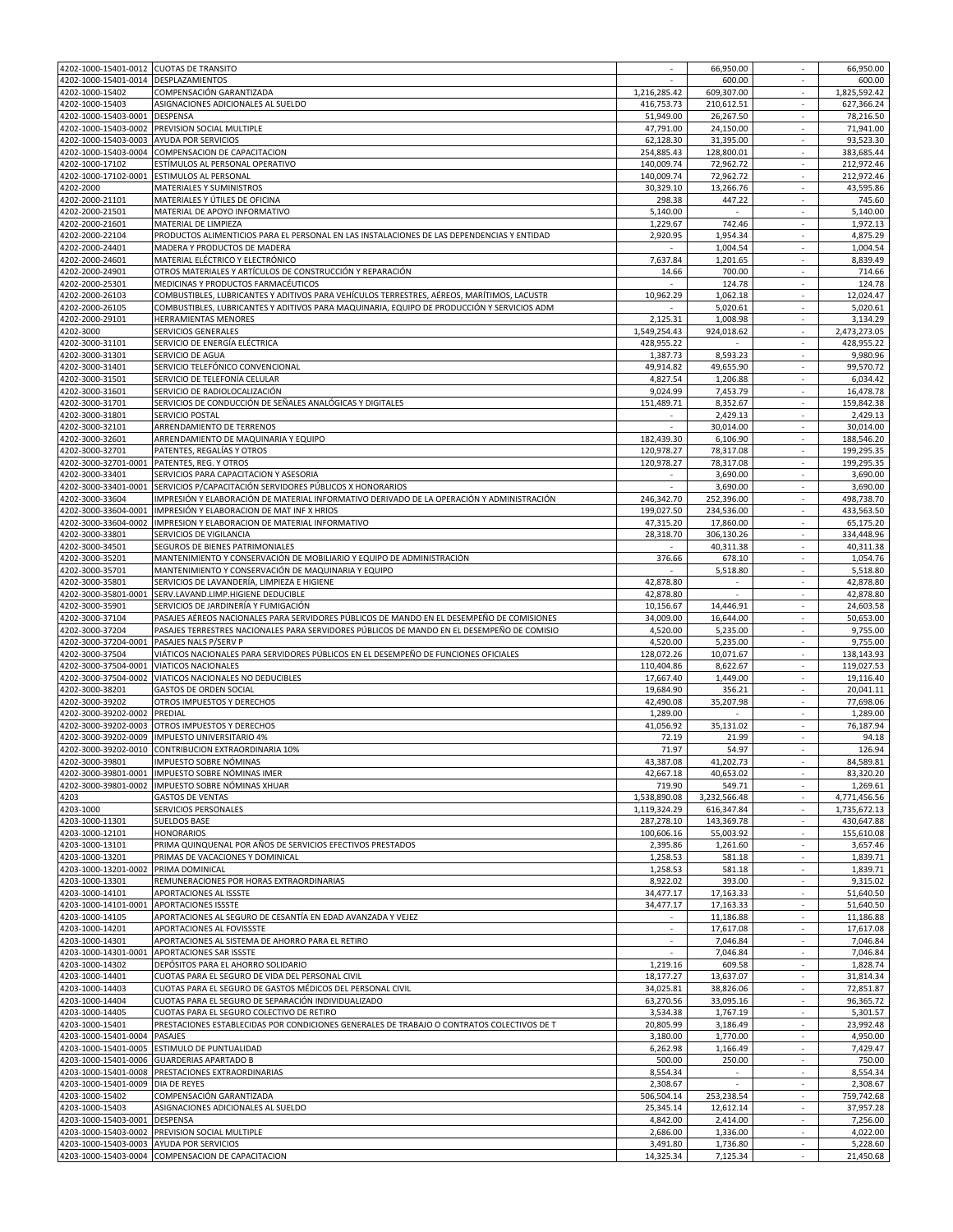| 4202-1000-15401-0014 DESPLAZAMIENTOS<br>4202-1000-15402 | 4202-1000-15401-0012 CUOTAS DE TRANSITO                                                    |              | 66,950.00    |                             | 66,950.00    |
|---------------------------------------------------------|--------------------------------------------------------------------------------------------|--------------|--------------|-----------------------------|--------------|
|                                                         |                                                                                            |              | 600.00       | $\overline{\phantom{a}}$    | 600.00       |
|                                                         | COMPENSACIÓN GARANTIZADA                                                                   | 1,216,285.42 | 609,307.00   | $\mathcal{L}_{\mathcal{A}}$ | 1,825,592.42 |
| 4202-1000-15403                                         | ASIGNACIONES ADICIONALES AL SUELDO                                                         | 416,753.73   | 210,612.51   | ٠                           | 627,366.24   |
| 4202-1000-15403-0001                                    | DESPENSA                                                                                   | 51,949.00    | 26,267.50    |                             | 78,216.50    |
| 4202-1000-15403-0002                                    | PREVISION SOCIAL MULTIPLE                                                                  | 47,791.00    | 24,150.00    | $\overline{\phantom{a}}$    | 71,941.00    |
| 4202-1000-15403-0003                                    | <b>AYUDA POR SERVICIOS</b>                                                                 | 62,128.30    | 31,395.00    |                             | 93.523.30    |
| 4202-1000-15403-0004                                    | COMPENSACION DE CAPACITACION                                                               | 254,885.43   | 128,800.01   | $\overline{\phantom{a}}$    | 383,685.44   |
| 4202-1000-17102                                         | ESTÍMULOS AL PERSONAL OPERATIVO                                                            | 140,009.74   | 72,962.72    | $\overline{\phantom{a}}$    | 212,972.46   |
| 4202-1000-17102-0001                                    | ESTIMULOS AL PERSONAL                                                                      | 140,009.74   | 72,962.72    | $\overline{\phantom{a}}$    | 212,972.46   |
| 4202-2000                                               | MATERIALES Y SUMINISTROS                                                                   | 30,329.10    | 13,266.76    | $\sim$                      | 43,595.86    |
| 4202-2000-21101                                         | MATERIALES Y ÚTILES DE OFICINA                                                             | 298.38       | 447.22       | $\overline{\phantom{a}}$    | 745.60       |
| 4202-2000-21501                                         | MATERIAL DE APOYO INFORMATIVO                                                              | 5,140.00     |              | $\overline{\phantom{a}}$    | 5,140.00     |
| 4202-2000-21601                                         | MATERIAL DE LIMPIEZA                                                                       | 1,229.67     | 742.46       | $\overline{\phantom{a}}$    | 1,972.13     |
| 4202-2000-22104                                         | PRODUCTOS ALIMENTICIOS PARA EL PERSONAL EN LAS INSTALACIONES DE LAS DEPENDENCIAS Y ENTIDAD | 2,920.95     | 1,954.34     | $\overline{\phantom{a}}$    | 4.875.29     |
| 4202-2000-24401                                         |                                                                                            |              |              |                             | 1,004.54     |
|                                                         | MADERA Y PRODUCTOS DE MADERA                                                               |              | 1,004.54     |                             |              |
| 4202-2000-24601                                         | MATERIAL ELÉCTRICO Y ELECTRÓNICO                                                           | 7,637.84     | 1,201.65     | $\sim$                      | 8,839.49     |
| 4202-2000-24901                                         | OTROS MATERIALES Y ARTÍCULOS DE CONSTRUCCIÓN Y REPARACIÓN                                  | 14.66        | 700.00       | $\overline{\phantom{a}}$    | 714.66       |
| 4202-2000-25301                                         | MEDICINAS Y PRODUCTOS FARMACÉUTICOS                                                        |              | 124.78       | $\mathcal{L}$               | 124.78       |
| 4202-2000-26103                                         | COMBUSTIBLES, LUBRICANTES Y ADITIVOS PARA VEHÍCULOS TERRESTRES, AÉREOS, MARÍTIMOS, LACUSTR | 10,962.29    | 1,062.18     | $\sim$                      | 12,024.47    |
| 4202-2000-26105                                         | COMBUSTIBLES, LUBRICANTES Y ADITIVOS PARA MAQUINARIA, EQUIPO DE PRODUCCIÓN Y SERVICIOS ADM |              | 5,020.61     | $\overline{\phantom{a}}$    | 5,020.61     |
| 4202-2000-29101                                         | HERRAMIENTAS MENORES                                                                       | 2,125.31     | 1,008.98     | $\overline{\phantom{a}}$    | 3,134.29     |
| 4202-3000                                               | SERVICIOS GENERALES                                                                        | 1,549,254.43 | 924,018.62   | $\overline{\phantom{a}}$    | 2,473,273.05 |
| 4202-3000-31101                                         | SERVICIO DE ENERGÍA ELÉCTRICA                                                              | 428,955.22   |              | $\overline{\phantom{a}}$    | 428,955.22   |
| 4202-3000-31301                                         | SERVICIO DE AGUA                                                                           | 1,387.73     | 8,593.23     | $\overline{\phantom{a}}$    | 9,980.96     |
| 4202-3000-31401                                         | SERVICIO TELEFÓNICO CONVENCIONAL                                                           | 49,914.82    | 49,655.90    | $\sim$                      | 99,570.72    |
| 4202-3000-31501                                         | SERVICIO DE TELEFONÍA CELULAR                                                              | 4,827.54     | 1,206.88     | $\overline{\phantom{a}}$    | 6,034.42     |
| 4202-3000-31601                                         | SERVICIO DE RADIOLOCALIZACIÓN                                                              | 9,024.99     | 7,453.79     | $\mathcal{L}_{\mathcal{A}}$ | 16,478.78    |
| 4202-3000-31701                                         | SERVICIOS DE CONDUCCIÓN DE SEÑALES ANALÓGICAS Y DIGITALES                                  | 151,489.71   | 8,352.67     | $\overline{\phantom{a}}$    | 159,842.38   |
|                                                         |                                                                                            |              |              |                             |              |
| 4202-3000-31801                                         | SERVICIO POSTAL                                                                            |              | 2,429.13     | $\overline{\phantom{a}}$    | 2,429.13     |
| 4202-3000-32101                                         | ARRENDAMIENTO DE TERRENOS                                                                  |              | 30,014.00    | $\overline{\phantom{a}}$    | 30,014.00    |
| 4202-3000-32601                                         | ARRENDAMIENTO DE MAQUINARIA Y EQUIPO                                                       | 182,439.30   | 6,106.90     |                             | 188,546.20   |
| 4202-3000-32701                                         | PATENTES, REGALÍAS Y OTROS                                                                 | 120,978.27   | 78,317.08    | $\overline{\phantom{a}}$    | 199,295.35   |
| 4202-3000-32701-0001                                    | PATENTES, REG. Y OTROS                                                                     | 120,978.27   | 78,317.08    | $\overline{\phantom{a}}$    | 199,295.35   |
| 4202-3000-33401                                         | SERVICIOS PARA CAPACITACION Y ASESORIA                                                     | $\sim$       | 3,690.00     | $\overline{\phantom{a}}$    | 3,690.00     |
| 4202-3000-33401-0001                                    | SERVICIOS P/CAPACITACIÓN SERVIDORES PÚBLICOS X HONORARIOS                                  | $\sim$       | 3,690.00     | $\overline{\phantom{a}}$    | 3,690.00     |
| 4202-3000-33604                                         | IMPRESIÓN Y ELABORACIÓN DE MATERIAL INFORMATIVO DERIVADO DE LA OPERACIÓN Y ADMINISTRACIÓN  | 246,342.70   | 252,396.00   | $\mathcal{L}_{\mathcal{A}}$ | 498,738.70   |
| 4202-3000-33604-0001                                    | IMPRESIÓN Y ELABORACION DE MAT INF X HRIOS                                                 | 199,027.50   | 234,536.00   | $\overline{\phantom{a}}$    | 433,563.50   |
| 4202-3000-33604-0002                                    | IMPRESION Y ELABORACION DE MATERIAL INFORMATIVO                                            | 47,315.20    | 17,860.00    | $\overline{\phantom{a}}$    | 65,175.20    |
| 4202-3000-33801                                         | SERVICIOS DE VIGILANCIA                                                                    | 28,318.70    | 306,130.26   | $\overline{\phantom{a}}$    | 334,448.96   |
| 4202-3000-34501                                         |                                                                                            |              |              |                             | 40,311.38    |
|                                                         | SEGUROS DE BIENES PATRIMONIALES                                                            |              | 40,311.38    |                             |              |
|                                                         | MANTENIMIENTO Y CONSERVACIÓN DE MOBILIARIO Y EQUIPO DE ADMINISTRACIÓN                      | 376.66       | 678.10       | $\overline{\phantom{a}}$    | 1,054.76     |
| 4202-3000-35201                                         | MANTENIMIENTO Y CONSERVACIÓN DE MAQUINARIA Y EQUIPO                                        |              | 5,518.80     | $\overline{\phantom{a}}$    | 5,518.80     |
| 4202-3000-35701                                         |                                                                                            |              |              |                             | 42,878.80    |
| 4202-3000-35801                                         | SERVICIOS DE LAVANDERÍA, LIMPIEZA E HIGIENE                                                | 42,878.80    |              | $\sim$                      |              |
| 4202-3000-35801-0001                                    | SERV.LAVAND.LIMP.HIGIENE DEDUCIBLE                                                         | 42,878.80    |              | $\overline{\phantom{a}}$    | 42,878.80    |
| 4202-3000-35901                                         | SERVICIOS DE JARDINERÍA Y FUMIGACIÓN                                                       | 10,156.67    | 14,446.91    | ä,                          | 24,603.58    |
| 4202-3000-37104                                         | PASAJES AÉREOS NACIONALES PARA SERVIDORES PÚBLICOS DE MANDO EN EL DESEMPEÑO DE COMISIONES  | 34,009.00    | 16,644.00    | $\overline{\phantom{a}}$    | 50,653.00    |
|                                                         |                                                                                            |              |              |                             |              |
| 4202-3000-37204                                         | PASAJES TERRESTRES NACIONALES PARA SERVIDORES PÚBLICOS DE MANDO EN EL DESEMPEÑO DE COMISIO | 4,520.00     | 5,235.00     | $\overline{\phantom{a}}$    | 9,755.00     |
| 4202-3000-37204-0001                                    | PASAJES NALS P/SERV P                                                                      | 4,520.00     | 5,235.00     |                             | 9,755.00     |
| 4202-3000-37504                                         | VIÁTICOS NACIONALES PARA SERVIDORES PÚBLICOS EN EL DESEMPEÑO DE FUNCIONES OFICIALES        | 128,072.26   | 10,071.67    | $\overline{\phantom{a}}$    | 138,143.93   |
| 4202-3000-37504-0001                                    | <b>VIATICOS NACIONALES</b>                                                                 | 110,404.86   | 8,622.67     | $\sim$                      | 119,027.53   |
| 4202-3000-37504-0002                                    | VIATICOS NACIONALES NO DEDUCIBLES                                                          | 17,667.40    | 1,449.00     | $\sim$                      | 19,116.40    |
| 4202-3000-38201                                         | GASTOS DE ORDEN SOCIAL                                                                     | 19,684.90    | 356.21       | $\overline{\phantom{a}}$    | 20,041.11    |
| 4202-3000-39202                                         | OTROS IMPUESTOS Y DERECHOS                                                                 | 42,490.08    | 35,207.98    | $\overline{\phantom{a}}$    | 77,698.06    |
| 4202-3000-39202-0002                                    | PREDIAL                                                                                    | 1,289.00     |              |                             | 1,289.00     |
| 4202-3000-39202-0003                                    | OTROS IMPUESTOS Y DERECHOS                                                                 | 41,056.92    | 35,131.02    | ٠                           | 76,187.94    |
| 4202-3000-39202-0009                                    | IMPUESTO UNIVERSITARIO 4%                                                                  | 72.19        | 21.99        |                             | 94.18        |
| 4202-3000-39202-0010                                    | CONTRIBUCION EXTRAORDINARIA 10%                                                            | 71.97        | 54.97        | $\overline{\phantom{a}}$    | 126.94       |
| 4202-3000-39801                                         | IMPUESTO SOBRE NOMINAS                                                                     | 43,387.08    | 41,202.73    |                             | 84,589.81    |
| 4202-3000-39801-0001                                    | IMPUESTO SOBRE NÓMINAS IMER                                                                | 42,667.18    | 40,653.02    | ×.                          | 83,320.20    |
| 4202-3000-39801-0002                                    | IMPUESTO SOBRE NÓMINAS XHUAR                                                               | 719.90       | 549.71       | $\sim$                      | 1,269.61     |
| 4203                                                    | <b>GASTOS DE VENTAS</b>                                                                    | 1,538,890.08 | 3,232,566.48 | $\overline{\phantom{a}}$    | 4,771,456.56 |
| 4203-1000                                               | SERVICIOS PERSONALES                                                                       | 1,119,324.29 | 616,347.84   | $\overline{\phantom{a}}$    | 1,735,672.13 |
| 4203-1000-11301                                         |                                                                                            |              |              | ä,                          |              |
|                                                         | SUELDOS BASE                                                                               | 287,278.10   | 143,369.78   | $\sim$                      | 430,647.88   |
| 4203-1000-12101                                         | <b>HONORARIOS</b>                                                                          | 100,606.16   | 55,003.92    |                             | 155,610.08   |
| 4203-1000-13101                                         | PRIMA QUINQUENAL POR AÑOS DE SERVICIOS EFECTIVOS PRESTADOS                                 | 2,395.86     | 1,261.60     |                             | 3,657.46     |
| 4203-1000-13201                                         | PRIMAS DE VACACIONES Y DOMINICAL                                                           | 1,258.53     | 581.18       | $\overline{\phantom{a}}$    | 1,839.71     |
| 4203-1000-13201-0002                                    | PRIMA DOMINICAL                                                                            | 1,258.53     | 581.18       | $\epsilon$                  | 1,839.71     |
| 4203-1000-13301                                         | REMUNERACIONES POR HORAS EXTRAORDINARIAS                                                   | 8,922.02     | 393.00       | $\mathcal{L}$               | 9,315.02     |
| 4203-1000-14101                                         | APORTACIONES AL ISSSTE                                                                     | 34,477.17    | 17,163.33    | ٠                           | 51,640.50    |
| 4203-1000-14101-0001                                    | APORTACIONES ISSSTE                                                                        | 34,477.17    | 17,163.33    | $\overline{\phantom{a}}$    | 51,640.50    |
| 4203-1000-14105                                         | APORTACIONES AL SEGURO DE CESANTÍA EN EDAD AVANZADA Y VEJEZ                                |              | 11,186.88    | $\overline{\phantom{a}}$    | 11,186.88    |
| 4203-1000-14201                                         | APORTACIONES AL FOVISSSTE                                                                  |              | 17.617.08    |                             | 17,617.08    |
| 4203-1000-14301                                         | APORTACIONES AL SISTEMA DE AHORRO PARA EL RETIRO                                           | $\sim$       | 7,046.84     | $\overline{\phantom{a}}$    | 7,046.84     |
| 4203-1000-14301-0001                                    | APORTACIONES SAR ISSSTE                                                                    | $\sim$       | 7,046.84     | $\sim$                      | 7,046.84     |
| 4203-1000-14302                                         | DEPÓSITOS PARA EL AHORRO SOLIDARIO                                                         | 1,219.16     | 609.58       | $\overline{\phantom{a}}$    | 1,828.74     |
| 4203-1000-14401                                         | CUOTAS PARA EL SEGURO DE VIDA DEL PERSONAL CIVIL                                           | 18,177.27    | 13,637.07    | $\overline{\phantom{a}}$    | 31,814.34    |
| 4203-1000-14403                                         | CUOTAS PARA EL SEGURO DE GASTOS MÉDICOS DEL PERSONAL CIVIL                                 | 34,025.81    | 38,826.06    | ×.                          | 72,851.87    |
|                                                         |                                                                                            |              |              |                             |              |
| 4203-1000-14404                                         | CUOTAS PARA EL SEGURO DE SEPARACIÓN INDIVIDUALIZADO                                        | 63,270.56    | 33,095.16    | $\overline{\phantom{a}}$    | 96,365.72    |
| 4203-1000-14405                                         | CUOTAS PARA EL SEGURO COLECTIVO DE RETIRO                                                  | 3,534.38     | 1,767.19     |                             | 5,301.57     |
| 4203-1000-15401                                         | PRESTACIONES ESTABLECIDAS POR CONDICIONES GENERALES DE TRABAJO O CONTRATOS COLECTIVOS DE T | 20,805.99    | 3,186.49     | $\overline{\phantom{a}}$    | 23,992.48    |
| 4203-1000-15401-0004                                    | PASAJES                                                                                    | 3,180.00     | 1,770.00     | ٠                           | 4,950.00     |
| 4203-1000-15401-0005                                    | ESTIMULO DE PUNTUALIDAD                                                                    | 6,262.98     | 1,166.49     | $\sim$                      | 7,429.47     |
| 4203-1000-15401-0006                                    | <b>GUARDERIAS APARTADO B</b>                                                               | 500.00       | 250.00       | $\sim$                      | 750.00       |
| 4203-1000-15401-0008                                    | PRESTACIONES EXTRAORDINARIAS                                                               | 8,554.34     | $\sim$       | ÷.                          | 8,554.34     |
| 4203-1000-15401-0009 DIA DE REYES                       |                                                                                            | 2,308.67     | $\sim$       | $\overline{\phantom{a}}$    | 2,308.67     |
| 4203-1000-15402                                         | COMPENSACIÓN GARANTIZADA                                                                   | 506,504.14   | 253,238.54   | ×.                          | 759,742.68   |
| 4203-1000-15403                                         | ASIGNACIONES ADICIONALES AL SUELDO                                                         | 25,345.14    | 12,612.14    | $\overline{\phantom{a}}$    | 37,957.28    |
| 4203-1000-15403-0001                                    | DESPENSA                                                                                   | 4,842.00     | 2,414.00     | ä,                          | 7,256.00     |
| 4203-1000-15403-0002                                    | PREVISION SOCIAL MULTIPLE                                                                  | 2,686.00     | 1,336.00     | $\overline{\phantom{a}}$    | 4,022.00     |
| 4203-1000-15403-0003                                    | AYUDA POR SERVICIOS                                                                        | 3,491.80     | 1,736.80     |                             | 5,228.60     |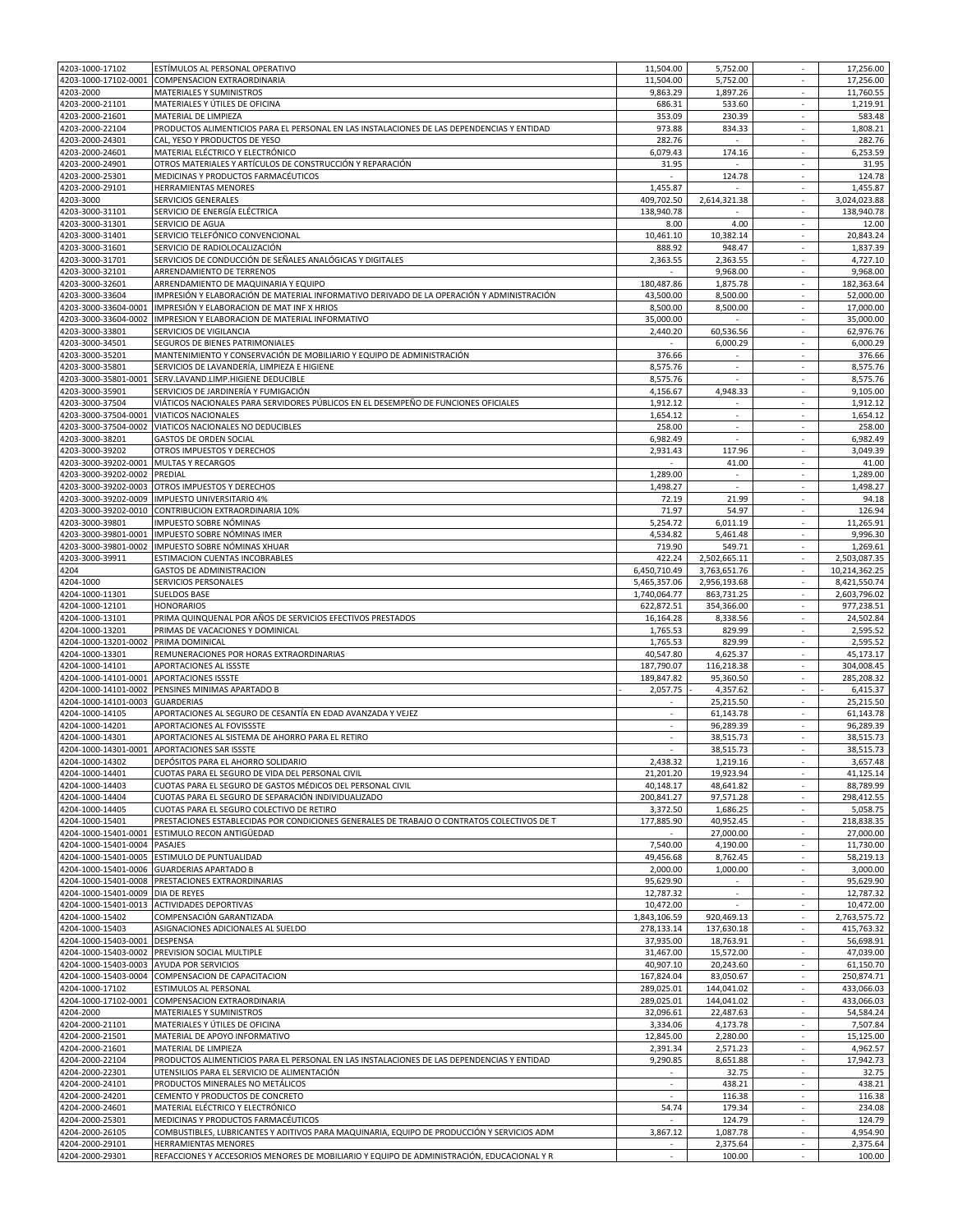| 4203-1000-17102      | ESTÍMULOS AL PERSONAL OPERATIVO                                                            | 11,504.00    | 5,752.00                 | $\overline{\phantom{a}}$           | 17,256.00     |
|----------------------|--------------------------------------------------------------------------------------------|--------------|--------------------------|------------------------------------|---------------|
| 4203-1000-17102-0001 | COMPENSACION EXTRAORDINARIA                                                                | 11,504.00    | 5,752.00                 |                                    | 17,256.00     |
| 4203-2000            | MATERIALES Y SUMINISTROS                                                                   | 9,863.29     | 1,897.26                 | ×.                                 | 11,760.55     |
| 4203-2000-21101      | MATERIALES Y ÚTILES DE OFICINA                                                             | 686.31       | 533.60                   | $\overline{\phantom{a}}$           | 1,219.91      |
| 4203-2000-21601      | MATERIAL DE LIMPIEZA                                                                       | 353.09       | 230.39                   | $\mathcal{L}_{\mathcal{A}}$        | 583.48        |
| 4203-2000-22104      | PRODUCTOS ALIMENTICIOS PARA EL PERSONAL EN LAS INSTALACIONES DE LAS DEPENDENCIAS Y ENTIDAD | 973.88       | 834.33                   | $\overline{\phantom{a}}$           | 1,808.21      |
| 4203-2000-24301      | CAL, YESO Y PRODUCTOS DE YESO                                                              | 282.76       |                          |                                    | 282.76        |
| 4203-2000-24601      | MATERIAL ELÉCTRICO Y ELECTRÓNICO                                                           | 6,079.43     | 174.16                   | $\overline{\phantom{a}}$           | 6,253.59      |
| 4203-2000-24901      | OTROS MATERIALES Y ARTÍCULOS DE CONSTRUCCIÓN Y REPARACIÓN                                  | 31.95        |                          |                                    | 31.95         |
| 4203-2000-25301      | MEDICINAS Y PRODUCTOS FARMACÉUTICOS                                                        | $\sim$       | 124.78                   | $\overline{\phantom{a}}$           | 124.78        |
| 4203-2000-29101      | HERRAMIENTAS MENORES                                                                       | 1,455.87     |                          | $\overline{\phantom{a}}$           | 1,455.87      |
| 4203-3000            | SERVICIOS GENERALES                                                                        | 409,702.50   | 2,614,321.38             | ×.                                 | 3,024,023.88  |
| 4203-3000-31101      | SERVICIO DE ENERGÍA ELÉCTRICA                                                              | 138,940.78   |                          | $\overline{\phantom{a}}$           | 138,940.78    |
| 4203-3000-31301      | SERVICIO DE AGUA                                                                           | 8.00         | 4.00                     | $\mathcal{L}_{\mathcal{A}}$        | 12.00         |
| 4203-3000-31401      | SERVICIO TELEFÓNICO CONVENCIONAL                                                           | 10,461.10    | 10,382.14                | $\overline{\phantom{a}}$           | 20,843.24     |
| 4203-3000-31601      | SERVICIO DE RADIOLOCALIZACIÓN                                                              | 888.92       | 948.47                   |                                    | 1,837.39      |
| 4203-3000-31701      | SERVICIOS DE CONDUCCIÓN DE SEÑALES ANALÓGICAS Y DIGITALES                                  | 2.363.55     | 2,363.55                 | $\overline{\phantom{a}}$           | 4,727.10      |
| 4203-3000-32101      | ARRENDAMIENTO DE TERRENOS                                                                  |              | 9,968.00                 | $\overline{\phantom{a}}$           | 9,968.00      |
| 4203-3000-32601      | ARRENDAMIENTO DE MAQUINARIA Y EQUIPO                                                       |              | 1.875.78                 |                                    |               |
|                      |                                                                                            | 180,487.86   |                          | $\overline{\phantom{a}}$           | 182,363.64    |
| 4203-3000-33604      | IMPRESIÓN Y ELABORACIÓN DE MATERIAL INFORMATIVO DERIVADO DE LA OPERACIÓN Y ADMINISTRACIÓN  | 43,500.00    | 8,500.00                 | ٠                                  | 52,000.00     |
| 4203-3000-33604-0001 | IMPRESIÓN Y ELABORACION DE MAT INF X HRIOS                                                 | 8,500.00     | 8,500.00                 | ×.                                 | 17,000.00     |
|                      | 4203-3000-33604-0002   IMPRESION Y ELABORACION DE MATERIAL INFORMATIVO                     | 35,000.00    |                          | $\overline{\phantom{a}}$           | 35,000.00     |
| 4203-3000-33801      | SERVICIOS DE VIGILANCIA                                                                    | 2,440.20     | 60,536.56                | $\mathcal{L}_{\mathcal{A}}$        | 62,976.76     |
| 4203-3000-34501      | SEGUROS DE BIENES PATRIMONIALES                                                            |              | 6,000.29                 | $\overline{\phantom{a}}$           | 6,000.29      |
| 4203-3000-35201      | MANTENIMIENTO Y CONSERVACIÓN DE MOBILIARIO Y EQUIPO DE ADMINISTRACIÓN                      | 376.66       |                          |                                    | 376.66        |
| 4203-3000-35801      | SERVICIOS DE LAVANDERÍA. LIMPIEZA E HIGIENE                                                | 8,575.76     | $\overline{\phantom{a}}$ | $\overline{\phantom{a}}$           | 8,575.76      |
| 4203-3000-35801-0001 | SERV.LAVAND.LIMP.HIGIENE DEDUCIBLE                                                         | 8,575.76     |                          |                                    | 8.575.76      |
| 4203-3000-35901      | SERVICIOS DE JARDINERÍA Y FUMIGACIÓN                                                       | 4,156.67     | 4,948.33                 | $\overline{\phantom{a}}$           | 9,105.00      |
| 4203-3000-37504      | VIÁTICOS NACIONALES PARA SERVIDORES PÚBLICOS EN EL DESEMPEÑO DE FUNCIONES OFICIALES        | 1,912.12     | $\sim$                   | $\overline{\phantom{a}}$           | 1,912.12      |
| 4203-3000-37504-0001 | <b>VIATICOS NACIONALES</b>                                                                 | 1,654.12     | ÷                        | $\sim$                             | 1,654.12      |
| 4203-3000-37504-0002 | VIATICOS NACIONALES NO DEDUCIBLES                                                          | 258.00       | $\sim$                   | $\overline{\phantom{a}}$           | 258.00        |
| 4203-3000-38201      | <b>GASTOS DE ORDEN SOCIAL</b>                                                              | 6,982.49     |                          | ٠                                  | 6,982.49      |
| 4203-3000-39202      | OTROS IMPUESTOS Y DERECHOS                                                                 | 2,931.43     | 117.96                   | $\overline{\phantom{a}}$           | 3,049.39      |
| 4203-3000-39202-0001 | MULTAS Y RECARGOS                                                                          |              | 41.00                    |                                    | 41.00         |
| 4203-3000-39202-0002 | PREDIAL                                                                                    | 1,289.00     | $\overline{\phantom{a}}$ | $\overline{\phantom{a}}$           | 1,289.00      |
| 4203-3000-39202-0003 | OTROS IMPUESTOS Y DERECHOS                                                                 | 1,498.27     | $\overline{\phantom{a}}$ |                                    | 1,498.27      |
|                      |                                                                                            |              |                          | $\overline{\phantom{a}}$<br>$\sim$ |               |
| 4203-3000-39202-0009 | <b>IMPUESTO UNIVERSITARIO 4%</b>                                                           | 72.19        | 21.99                    |                                    | 94.18         |
| 4203-3000-39202-0010 | CONTRIBUCION EXTRAORDINARIA 10%                                                            | 71.97        | 54.97                    | $\overline{\phantom{a}}$           | 126.94        |
| 4203-3000-39801      | IMPUESTO SOBRE NÓMINAS                                                                     | 5,254.72     | 6,011.19                 | $\sim$                             | 11,265.91     |
| 4203-3000-39801-0001 | IMPUESTO SOBRE NÓMINAS IMER                                                                | 4,534.82     | 5,461.48                 | $\overline{\phantom{a}}$           | 9,996.30      |
| 4203-3000-39801-0002 | IMPUESTO SOBRE NÓMINAS XHUAR                                                               | 719.90       | 549.71                   | ٠                                  | 1,269.61      |
| 4203-3000-39911      | ESTIMACION CUENTAS INCOBRABLES                                                             | 422.24       | 2,502,665.11             | $\overline{\phantom{a}}$           | 2,503,087.35  |
| 4204                 | <b>GASTOS DE ADMINISTRACION</b>                                                            | 6,450,710.49 | 3,763,651.76             | $\overline{\phantom{a}}$           | 10,214,362.25 |
| 4204-1000            | SERVICIOS PERSONALES                                                                       | 5,465,357.06 | 2,956,193.68             | $\sim$                             | 8,421,550.74  |
| 4204-1000-11301      | <b>SUELDOS BASE</b>                                                                        | 1,740,064.77 | 863,731.25               | $\overline{\phantom{a}}$           | 2,603,796.02  |
| 4204-1000-12101      | <b>HONORARIOS</b>                                                                          | 622,872.51   | 354,366.00               | $\mathcal{L}_{\mathcal{A}}$        | 977,238.51    |
| 4204-1000-13101      | PRIMA QUINQUENAL POR AÑOS DE SERVICIOS EFECTIVOS PRESTADOS                                 | 16,164.28    | 8,338.56                 | $\overline{\phantom{a}}$           | 24,502.84     |
| 4204-1000-13201      | PRIMAS DE VACACIONES Y DOMINICAL                                                           | 1,765.53     | 829.99                   |                                    | 2,595.52      |
| 4204-1000-13201-0002 | PRIMA DOMINICAL                                                                            | 1,765.53     | 829.99                   | $\overline{\phantom{a}}$           | 2,595.52      |
| 4204-1000-13301      | REMUNERACIONES POR HORAS EXTRAORDINARIAS                                                   | 40,547.80    | 4,625.37                 | $\overline{\phantom{a}}$           | 45,173.17     |
| 4204-1000-14101      | APORTACIONES AL ISSSTE                                                                     | 187,790.07   | 116,218.38               | $\overline{\phantom{a}}$           | 304.008.45    |
| 4204-1000-14101-0001 | <b>APORTACIONES ISSSTE</b>                                                                 | 189,847.82   | 95,360.50                | $\overline{\phantom{a}}$           | 285,208.32    |
|                      |                                                                                            |              |                          | $\overline{\phantom{a}}$           |               |
| 4204-1000-14101-0002 | PENSINES MINIMAS APARTADO B                                                                | 2,057.75     | 4,357.62                 |                                    | 6,415.37      |
| 4204-1000-14101-0003 | <b>GUARDERIAS</b>                                                                          | $\sim$       | 25,215.50                | $\overline{\phantom{a}}$           | 25,215.50     |
| 4204-1000-14105      | APORTACIONES AL SEGURO DE CESANTÍA EN EDAD AVANZADA Y VEJEZ                                | ×.           | 61,143.78                | $\mathcal{L}$                      | 61,143.78     |
| 4204-1000-14201      | APORTACIONES AL FOVISSSTE                                                                  | ٠.           | 96,289.39                | $\overline{\phantom{a}}$           | 96,289.39     |
| 4204-1000-14301      | APORTACIONES AL SISTEMA DE AHORRO PARA EL RETIRO                                           |              | 38,515.73                |                                    | 38,515.73     |
|                      | 4204-1000-14301-0001 APORTACIONES SAR ISSSTE                                               | ×.           | 38,515.73                | $\overline{\phantom{a}}$           | 38,515.73     |
| 4204-1000-14302      | DEPÓSITOS PARA EL AHORRO SOLIDARIO                                                         | 2,438.32     | 1,219.16                 |                                    | 3,657.48      |
| 4204-1000-14401      | CUOTAS PARA EL SEGURO DE VIDA DEL PERSONAL CIVIL                                           | 21,201.20    | 19,923.94                |                                    | 41,125.14     |
| 4204-1000-14403      | CUOTAS PARA EL SEGURO DE GASTOS MÉDICOS DEL PERSONAL CIVIL                                 | 40,148.17    | 48,641.82                | $\sim$                             | 88,789.99     |
| 4204-1000-14404      | CUOTAS PARA EL SEGURO DE SEPARACIÓN INDIVIDUALIZADO                                        | 200,841.27   | 97,571.28                | $\overline{\phantom{a}}$           | 298,412.55    |
| 4204-1000-14405      | CUOTAS PARA EL SEGURO COLECTIVO DE RETIRO                                                  | 3,372.50     | 1,686.25                 | $\overline{\phantom{a}}$           | 5,058.75      |
| 4204-1000-15401      | PRESTACIONES ESTABLECIDAS POR CONDICIONES GENERALES DE TRABAJO O CONTRATOS COLECTIVOS DE T | 177,885.90   | 40,952.45                | ×.                                 | 218,838.35    |
| 4204-1000-15401-0001 | ESTIMULO RECON ANTIGÜEDAD                                                                  |              | 27,000.00                | ٠                                  | 27,000.00     |
| 4204-1000-15401-0004 | PASAJES                                                                                    | 7,540.00     | 4,190.00                 |                                    | 11,730.00     |
| 4204-1000-15401-0005 | ESTIMULO DE PUNTUALIDAD                                                                    | 49,456.68    | 8,762.45                 | $\overline{\phantom{a}}$           | 58,219.13     |
| 4204-1000-15401-0006 | <b>GUARDERIAS APARTADO B</b>                                                               | 2,000.00     | 1,000.00                 | $\overline{\phantom{a}}$           | 3,000.00      |
| 4204-1000-15401-0008 | PRESTACIONES EXTRAORDINARIAS                                                               | 95,629.90    |                          |                                    | 95,629.90     |
| 4204-1000-15401-0009 | DIA DE REYES                                                                               | 12,787.32    | $\sim$                   | $\sim$                             | 12,787.32     |
| 4204-1000-15401-0013 | <b>ACTIVIDADES DEPORTIVAS</b>                                                              | 10,472.00    | ÷                        | ×.                                 | 10,472.00     |
| 4204-1000-15402      | COMPENSACIÓN GARANTIZADA                                                                   | 1,843,106.59 | 920,469.13               | $\overline{\phantom{a}}$           | 2,763,575.72  |
| 4204-1000-15403      | ASIGNACIONES ADICIONALES AL SUELDO                                                         | 278,133.14   | 137,630.18               |                                    | 415,763.32    |
| 4204-1000-15403-0001 | <b>DESPENSA</b>                                                                            | 37,935.00    | 18,763.91                |                                    | 56,698.91     |
| 4204-1000-15403-0002 |                                                                                            |              | 15,572.00                |                                    | 47.039.00     |
|                      | PREVISION SOCIAL MULTIPLE                                                                  | 31,467.00    |                          |                                    |               |
| 4204-1000-15403-0003 | <b>AYUDA POR SERVICIOS</b>                                                                 | 40,907.10    | 20,243.60                | $\overline{\phantom{a}}$           | 61,150.70     |
| 4204-1000-15403-0004 | COMPENSACION DE CAPACITACION                                                               | 167,824.04   | 83,050.67                | $\overline{\phantom{a}}$           | 250,874.71    |
| 4204-1000-17102      | ESTIMULOS AL PERSONAL                                                                      | 289,025.01   | 144,041.02               | $\overline{\phantom{a}}$           | 433,066.03    |
|                      | 4204-1000-17102-0001 COMPENSACION EXTRAORDINARIA                                           | 289,025.01   | 144,041.02               | $\overline{\phantom{a}}$           | 433,066.03    |
| 4204-2000            | MATERIALES Y SUMINISTROS                                                                   | 32,096.61    | 22,487.63                | ×.                                 | 54,584.24     |
| 4204-2000-21101      | MATERIALES Y ÚTILES DE OFICINA                                                             | 3,334.06     | 4,173.78                 | $\overline{\phantom{a}}$           | 7,507.84      |
| 4204-2000-21501      | MATERIAL DE APOYO INFORMATIVO                                                              | 12,845.00    | 2,280.00                 |                                    | 15,125.00     |
| 4204-2000-21601      | MATERIAL DE LIMPIEZA                                                                       | 2,391.34     | 2,571.23                 | $\overline{\phantom{a}}$           | 4,962.57      |
| 4204-2000-22104      | PRODUCTOS ALIMENTICIOS PARA EL PERSONAL EN LAS INSTALACIONES DE LAS DEPENDENCIAS Y ENTIDAD | 9,290.85     | 8,651.88                 |                                    | 17,942.73     |
| 4204-2000-22301      | UTENSILIOS PARA EL SERVICIO DE ALIMENTACIÓN                                                |              | 32.75                    | $\overline{\phantom{a}}$           | 32.75         |
| 4204-2000-24101      | PRODUCTOS MINERALES NO METÁLICOS                                                           | $\sim$       | 438.21                   | $\sim$                             | 438.21        |
| 4204-2000-24201      | CEMENTO Y PRODUCTOS DE CONCRETO                                                            | ÷.           | 116.38                   | $\sim$                             | 116.38        |
| 4204-2000-24601      | MATERIAL ELÉCTRICO Y ELECTRÓNICO                                                           | 54.74        | 179.34                   | $\overline{\phantom{a}}$           | 234.08        |
| 4204-2000-25301      |                                                                                            |              |                          |                                    |               |
|                      | MEDICINAS Y PRODUCTOS FARMACÉUTICOS                                                        |              | 124.79                   | $\overline{\phantom{a}}$           | 124.79        |
| 4204-2000-26105      | COMBUSTIBLES, LUBRICANTES Y ADITIVOS PARA MAQUINARIA, EQUIPO DE PRODUCCIÓN Y SERVICIOS ADM | 3,867.12     | 1,087.78                 | ٠                                  | 4,954.90      |
| 4204-2000-29101      | HERRAMIENTAS MENORES                                                                       |              | 2,375.64                 |                                    | 2,375.64      |
| 4204-2000-29301      | REFACCIONES Y ACCESORIOS MENORES DE MOBILIARIO Y EQUIPO DE ADMINISTRACIÓN, EDUCACIONAL Y R | $\sim$       | 100.00                   | $\overline{\phantom{a}}$           | 100.00        |